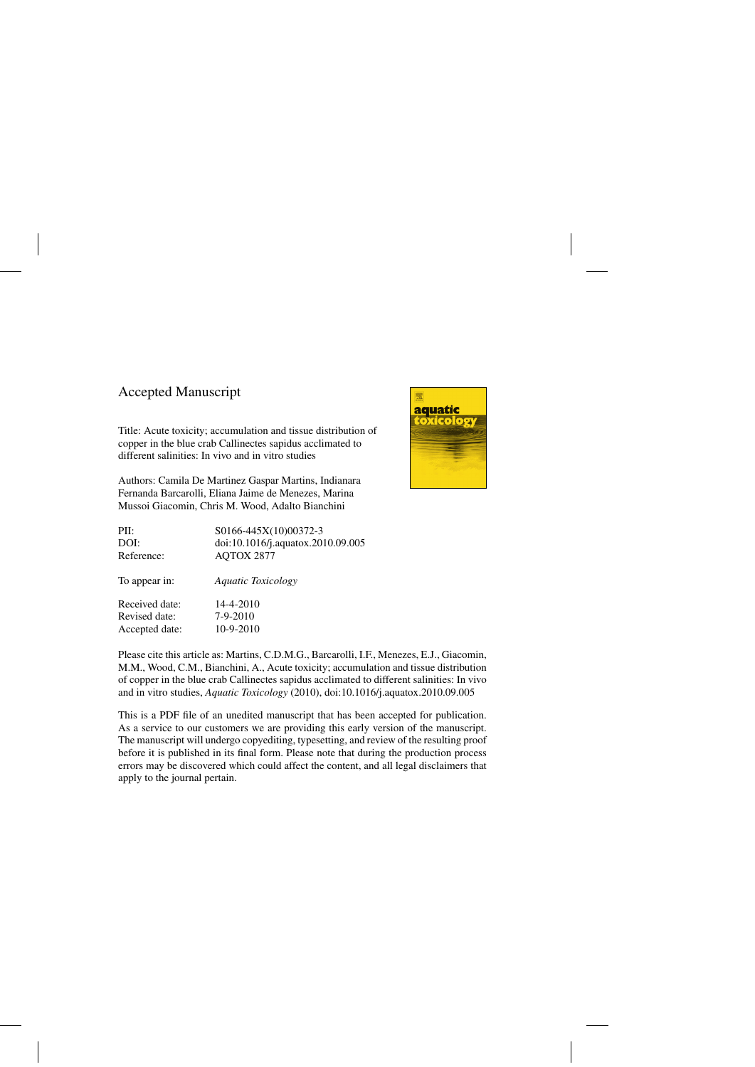## Accepted Manuscript

Title: Acute toxicity; accumulation and tissue distribution of copper in the blue crab Callinectes sapidus acclimated to different salinities: In vivo and in vitro studies

Authors: Camila De Martinez Gaspar Martins, Indianara Fernanda Barcarolli, Eliana Jaime de Menezes, Marina Mussoi Giacomin, Chris M. Wood, Adalto Bianchini



Please cite this article as: Martins, C.D.M.G., Barcarolli, I.F., Menezes, E.J., Giacomin, M.M., Wood, C.M., Bianchini, A., Acute toxicity; accumulation and tissue distribution of copper in the blue crab Callinectes sapidus acclimated to different salinities: In vivo and in vitro studies, *Aquatic Toxicology* (2010), doi:[10.1016/j.aquatox.2010.09.005](dx.doi.org/10.1016/j.aquatox.2010.09.005)

This is a PDF file of an unedited manuscript that has been accepted for publication. As a service to our customers we are providing this early version of the manuscript. The manuscript will undergo copyediting, typesetting, and review of the resulting proof before it is published in its final form. Please note that during the production process errors may be discovered which could affect the content, and all legal disclaimers that apply to the journal pertain.

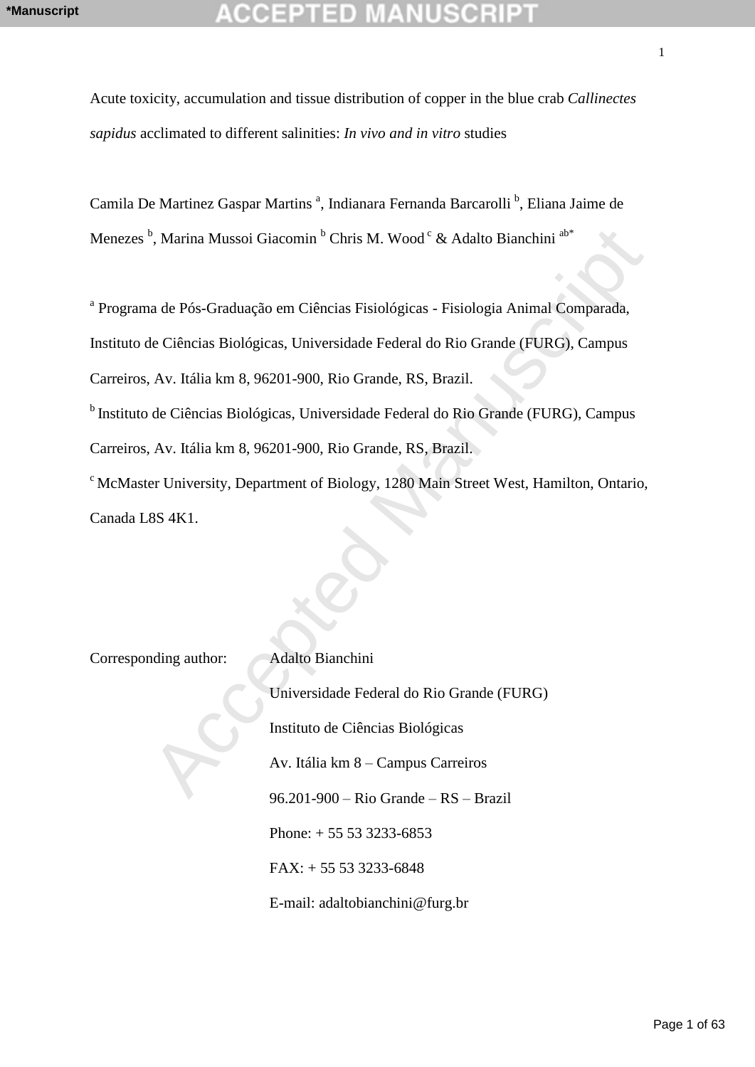Acute toxicity, accumulation and tissue distribution of copper in the blue crab *Callinectes sapidus* acclimated to different salinities: *In vivo and in vitro* studies

Camila De Martinez Gaspar Martins<sup>a</sup>, Indianara Fernanda Barcarolli<sup>b</sup>, Eliana Jaime de Menezes <sup>b</sup>, Marina Mussoi Giacomin <sup>b</sup> Chris M. Wood <sup>c</sup> & Adalto Bianchini <sup>ab\*</sup>

<sup>a</sup> Programa de Pós-Graduação em Ciências Fisiológicas - Fisiologia Animal Comparada,

Instituto de Ciências Biológicas, Universidade Federal do Rio Grande (FURG), Campus

Carreiros, Av. Itália km 8, 96201-900, Rio Grande, RS, Brazil.

<sup>b</sup>Instituto de Ciências Biológicas, Universidade Federal do Rio Grande (FURG), Campus

Carreiros, Av. Itália km 8, 96201-900, Rio Grande, RS, Brazil.

<sup>c</sup> McMaster University, Department of Biology, 1280 Main Street West, Hamilton, Ontario, Canada L8S 4K1.

Corresponding author: Adalto Bianchini

<sup>h</sup>, Marina Mussoi Giacomin <sup>h</sup> Chris M. Wood<sup>c</sup> & Adalto Bianchini <sup>aho</sup><br>
a de Pós-Graduação em Ciências Fisiológicas - Fisiologia Animal Comparada,<br>
de Ciências Biológicas, Universidade Federal do Rio Grande (FURG), Camp Universidade Federal do Rio Grande (FURG) Instituto de Ciências Biológicas Av. Itália km 8 – Campus Carreiros 96.201-900 – Rio Grande – RS – Brazil Phone:  $+ 55 53 3233 - 6853$  $FAX: + 55533333 - 6848$ 

E-mail: adaltobianchini@furg.br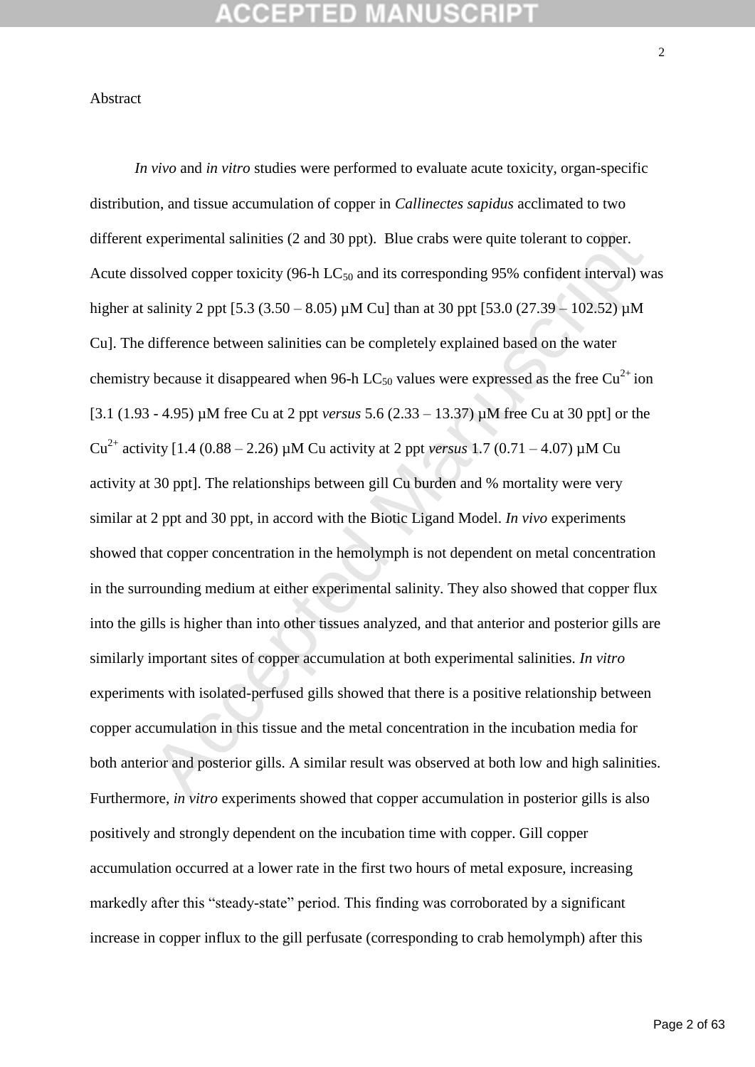### Abstract

experimental salinities (2 and 30 ppt). Blue crabs were quite tolerant to copper.<br>
solved copper toxicity (96-h LC<sub>50</sub> and its corresponding 95% confident interval) w<br>
salinity 2 ppt [5.3 (3.50 – 8.05)  $\mu$ M Cu] than at 3 *In vivo* and *in vitro* studies were performed to evaluate acute toxicity, organ-specific distribution, and tissue accumulation of copper in *Callinectes sapidus* acclimated to two different experimental salinities (2 and 30 ppt). Blue crabs were quite tolerant to copper. Acute dissolved copper toxicity (96-h  $LC_{50}$  and its corresponding 95% confident interval) was higher at salinity 2 ppt [5.3 (3.50 – 8.05) µM Cu] than at 30 ppt [53.0 (27.39 – 102.52) µM Cu]. The difference between salinities can be completely explained based on the water chemistry because it disappeared when 96-h LC<sub>50</sub> values were expressed as the free Cu<sup>2+</sup> ion [3.1 (1.93 - 4.95) µM free Cu at 2 ppt *versus* 5.6 (2.33 – 13.37) µM free Cu at 30 ppt] or the Cu2+ activity [1.4 (0.88 – 2.26) µM Cu activity at 2 ppt *versus* 1.7 (0.71 – 4.07) µM Cu activity at 30 ppt]. The relationships between gill Cu burden and % mortality were very similar at 2 ppt and 30 ppt, in accord with the Biotic Ligand Model. *In vivo* experiments showed that copper concentration in the hemolymph is not dependent on metal concentration in the surrounding medium at either experimental salinity. They also showed that copper flux into the gills is higher than into other tissues analyzed, and that anterior and posterior gills are similarly important sites of copper accumulation at both experimental salinities. *In vitro*  experiments with isolated-perfused gills showed that there is a positive relationship between copper accumulation in this tissue and the metal concentration in the incubation media for both anterior and posterior gills. A similar result was observed at both low and high salinities. Furthermore, *in vitro* experiments showed that copper accumulation in posterior gills is also positively and strongly dependent on the incubation time with copper. Gill copper accumulation occurred at a lower rate in the first two hours of metal exposure, increasing markedly after this "steady-state" period. This finding was corroborated by a significant increase in copper influx to the gill perfusate (corresponding to crab hemolymph) after this

 $\mathcal{L}$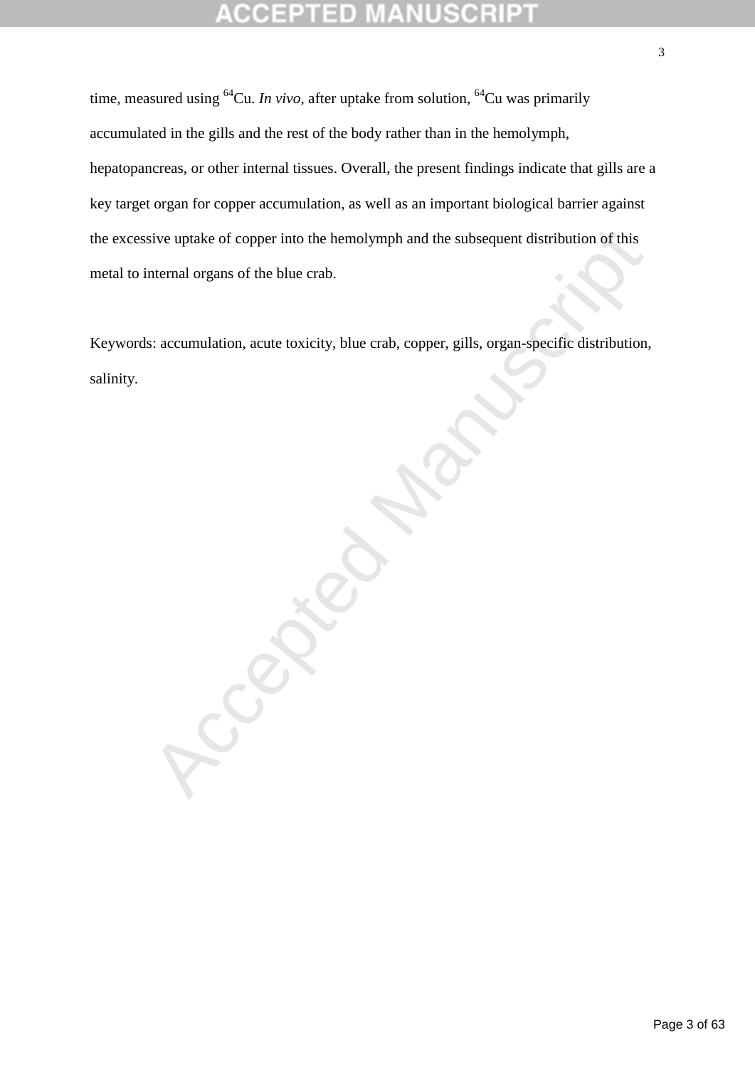# 라메

time, measured using  ${}^{64}Cu$ . *In vivo*, after uptake from solution,  ${}^{64}Cu$  was primarily accumulated in the gills and the rest of the body rather than in the hemolymph, hepatopancreas, or other internal tissues. Overall, the present findings indicate that gills are a key target organ for copper accumulation, as well as an important biological barrier against the excessive uptake of copper into the hemolymph and the subsequent distribution of this metal to internal organs of the blue crab.

Keywords: accumulation, acute toxicity, blue crab, copper, gills, organ-specific distribution, salinity.

Accepted Manuscript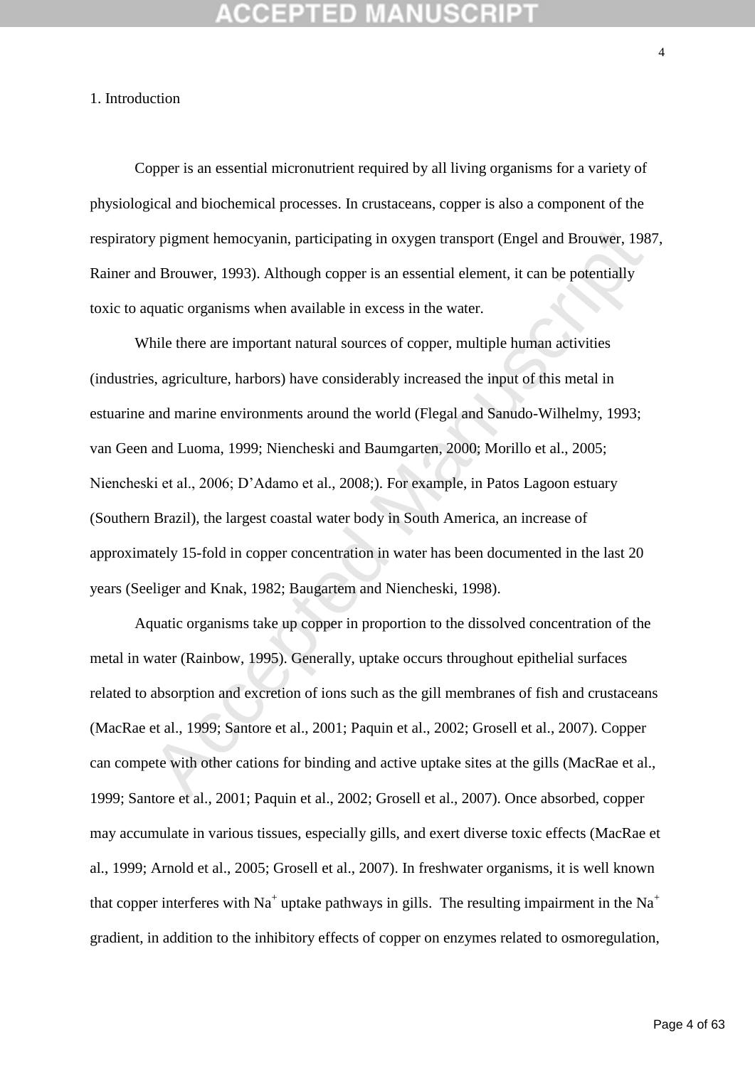### 1. Introduction

Copper is an essential micronutrient required by all living organisms for a variety of physiological and biochemical processes. In crustaceans, copper is also a component of the respiratory pigment hemocyanin, participating in oxygen transport (Engel and Brouwer, 1987, Rainer and Brouwer, 1993). Although copper is an essential element, it can be potentially toxic to aquatic organisms when available in excess in the water.

y pigment hemocyanin, participating in oxygen transport (Engel and Brouwer, 198<br>
d Brouwer, 1993). Although copper is an essential element, it can be potentially<br>
quatic organisms when available in excess in the water.<br>
hi While there are important natural sources of copper, multiple human activities (industries, agriculture, harbors) have considerably increased the input of this metal in estuarine and marine environments around the world (Flegal and Sanudo-Wilhelmy, 1993; van Geen and Luoma, 1999; Niencheski and Baumgarten, 2000; Morillo et al., 2005; Niencheski et al., 2006; D'Adamo et al., 2008;). For example, in Patos Lagoon estuary (Southern Brazil), the largest coastal water body in South America, an increase of approximately 15-fold in copper concentration in water has been documented in the last 20 years (Seeliger and Knak, 1982; Baugartem and Niencheski, 1998).

Aquatic organisms take up copper in proportion to the dissolved concentration of the metal in water (Rainbow, 1995). Generally, uptake occurs throughout epithelial surfaces related to absorption and excretion of ions such as the gill membranes of fish and crustaceans (MacRae et al., 1999; Santore et al., 2001; Paquin et al., 2002; Grosell et al., 2007). Copper can compete with other cations for binding and active uptake sites at the gills (MacRae et al., 1999; Santore et al., 2001; Paquin et al., 2002; Grosell et al., 2007). Once absorbed, copper may accumulate in various tissues, especially gills, and exert diverse toxic effects (MacRae et al., 1999; Arnold et al., 2005; Grosell et al., 2007). In freshwater organisms, it is well known that copper interferes with Na<sup>+</sup> uptake pathways in gills. The resulting impairment in the Na<sup>+</sup> gradient, in addition to the inhibitory effects of copper on enzymes related to osmoregulation,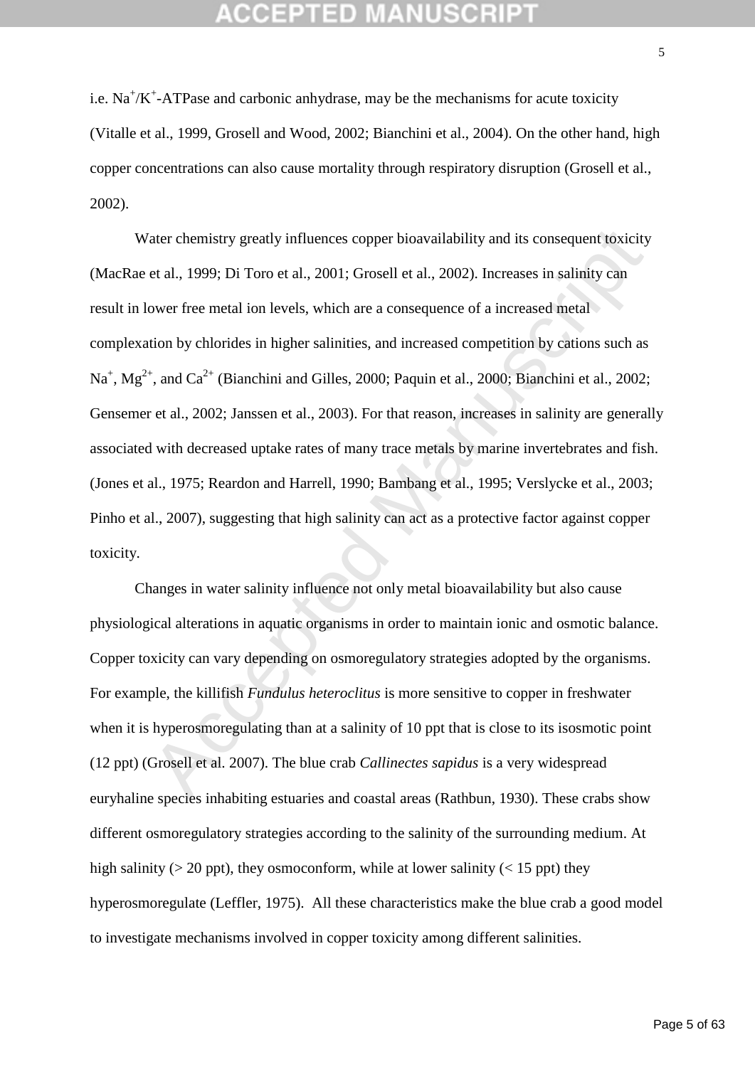i.e.  $Na^+/K^+$ -ATPase and carbonic anhydrase, may be the mechanisms for acute toxicity (Vitalle et al., 1999, Grosell and Wood, 2002; Bianchini et al., 2004). On the other hand, high copper concentrations can also cause mortality through respiratory disruption (Grosell et al., 2002).

The chemistry greatly influences copper bioavailability and its consequent toxicity<br>et al., 1999; Di Toro et al., 2001; Grosell et al., 2002). Increases in salinity can<br>ower free metal ion levels, which are a consequence Water chemistry greatly influences copper bioavailability and its consequent toxicity (MacRae et al., 1999; Di Toro et al., 2001; Grosell et al., 2002). Increases in salinity can result in lower free metal ion levels, which are a consequence of a increased metal complexation by chlorides in higher salinities, and increased competition by cations such as  $\text{Na}^+$ ,  $\text{Mg}^{2+}$ , and  $\text{Ca}^{2+}$  (Bianchini and Gilles, 2000; Paquin et al., 2000; Bianchini et al., 2002; Gensemer et al., 2002; Janssen et al., 2003). For that reason, increases in salinity are generally associated with decreased uptake rates of many trace metals by marine invertebrates and fish. (Jones et al., 1975; Reardon and Harrell, 1990; Bambang et al., 1995; Verslycke et al., 2003; Pinho et al., 2007), suggesting that high salinity can act as a protective factor against copper toxicity.

Changes in water salinity influence not only metal bioavailability but also cause physiological alterations in aquatic organisms in order to maintain ionic and osmotic balance. Copper toxicity can vary depending on osmoregulatory strategies adopted by the organisms. For example, the killifish *Fundulus heteroclitus* is more sensitive to copper in freshwater when it is hyperosmoregulating than at a salinity of 10 ppt that is close to its isosmotic point (12 ppt) (Grosell et al. 2007). The blue crab *Callinectes sapidus* is a very widespread euryhaline species inhabiting estuaries and coastal areas (Rathbun, 1930). These crabs show different osmoregulatory strategies according to the salinity of the surrounding medium. At high salinity ( $> 20$  ppt), they osmoconform, while at lower salinity ( $< 15$  ppt) they hyperosmoregulate (Leffler, 1975). All these characteristics make the blue crab a good model to investigate mechanisms involved in copper toxicity among different salinities.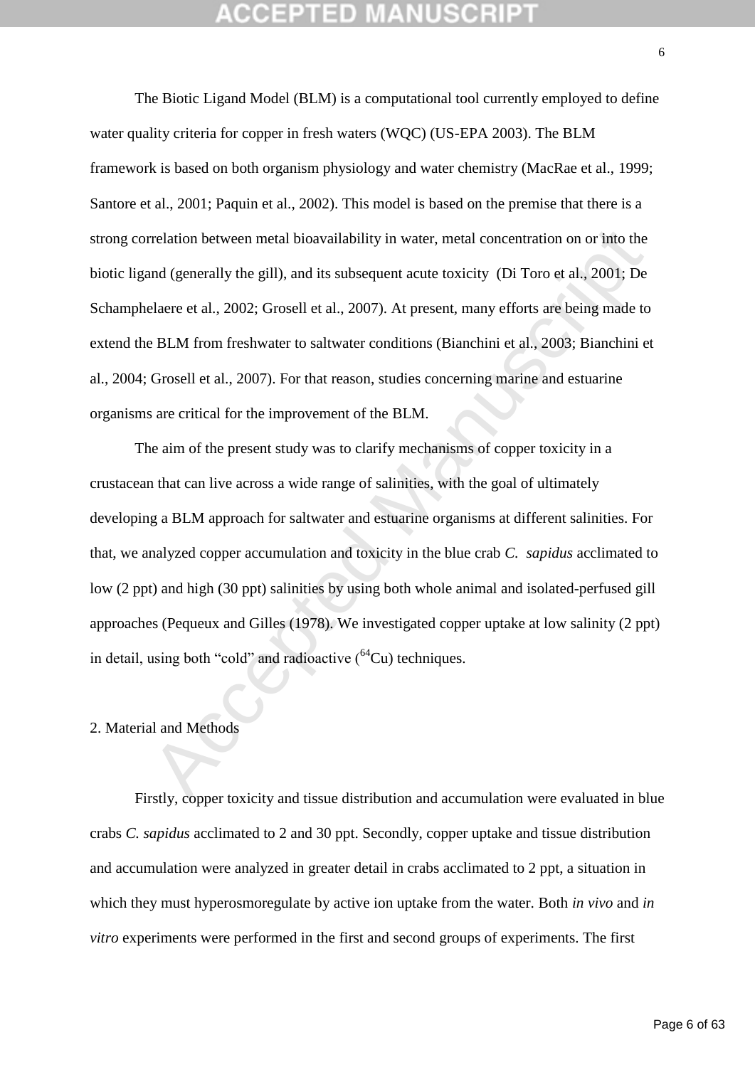The Biotic Ligand Model (BLM) is a computational tool currently employed to define water quality criteria for copper in fresh waters (WQC) (US-EPA 2003). The BLM framework is based on both organism physiology and water chemistry (MacRae et al., 1999; Santore et al., 2001; Paquin et al., 2002). This model is based on the premise that there is a strong correlation between metal bioavailability in water, metal concentration on or into the biotic ligand (generally the gill), and its subsequent acute toxicity (Di Toro et al., 2001; De Schamphelaere et al., 2002; Grosell et al., 2007). At present, many efforts are being made to extend the BLM from freshwater to saltwater conditions (Bianchini et al., 2003; Bianchini et al., 2004; Grosell et al., 2007). For that reason, studies concerning marine and estuarine organisms are critical for the improvement of the BLM.

rrelation between metal bioavailability in water, metal concentration on or into the<br>and (generally the gill), and its subsequent acute toxicity (Di Toro et al., 2001; De<br>elaere et al., 2002; Grosell et al., 2007). At pre The aim of the present study was to clarify mechanisms of copper toxicity in a crustacean that can live across a wide range of salinities, with the goal of ultimately developing a BLM approach for saltwater and estuarine organisms at different salinities. For that, we analyzed copper accumulation and toxicity in the blue crab *C. sapidus* acclimated to low (2 ppt) and high (30 ppt) salinities by using both whole animal and isolated-perfused gill approaches (Pequeux and Gilles (1978). We investigated copper uptake at low salinity (2 ppt) in detail, using both "cold" and radioactive  $(^{64}Cu)$  techniques.

### 2. Material and Methods

Firstly, copper toxicity and tissue distribution and accumulation were evaluated in blue crabs *C. sapidus* acclimated to 2 and 30 ppt. Secondly, copper uptake and tissue distribution and accumulation were analyzed in greater detail in crabs acclimated to 2 ppt, a situation in which they must hyperosmoregulate by active ion uptake from the water. Both *in vivo* and *in vitro* experiments were performed in the first and second groups of experiments. The first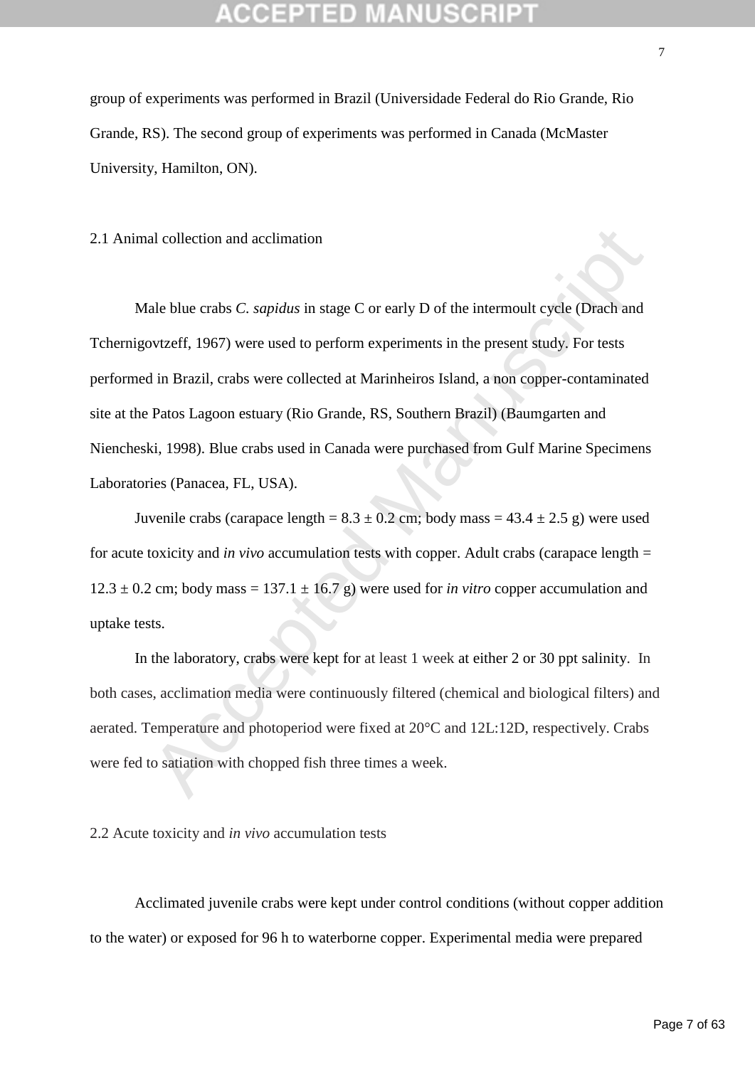group of experiments was performed in Brazil (Universidade Federal do Rio Grande, Rio Grande, RS). The second group of experiments was performed in Canada (McMaster University, Hamilton, ON).

2.1 Animal collection and acclimation

al collection and acclimation<br>ale blue crabs *C. sapidus* in stage *C* or early *D* of the intermoult cycle (Drach and<br>ovtzeff, 1967) were used to perform experiments in the present study. For tests<br>in Brazil, crabs were Male blue crabs *C. sapidus* in stage C or early D of the intermoult cycle (Drach and Tchernigovtzeff, 1967) were used to perform experiments in the present study. For tests performed in Brazil, crabs were collected at Marinheiros Island, a non copper-contaminated site at the Patos Lagoon estuary (Rio Grande, RS, Southern Brazil) (Baumgarten and Niencheski, 1998). Blue crabs used in Canada were purchased from Gulf Marine Specimens Laboratories (Panacea, FL, USA).

Juvenile crabs (carapace length =  $8.3 \pm 0.2$  cm; body mass =  $43.4 \pm 2.5$  g) were used for acute toxicity and *in vivo* accumulation tests with copper. Adult crabs (carapace length =  $12.3 \pm 0.2$  cm; body mass = 137.1  $\pm$  16.7 g) were used for *in vitro* copper accumulation and uptake tests.

In the laboratory, crabs were kept for at least 1 week at either 2 or 30 ppt salinity. In both cases, acclimation media were continuously filtered (chemical and biological filters) and aerated. Temperature and photoperiod were fixed at 20°C and 12L:12D, respectively. Crabs were fed to satiation with chopped fish three times a week.

2.2 Acute toxicity and *in vivo* accumulation tests

Acclimated juvenile crabs were kept under control conditions (without copper addition to the water) or exposed for 96 h to waterborne copper. Experimental media were prepared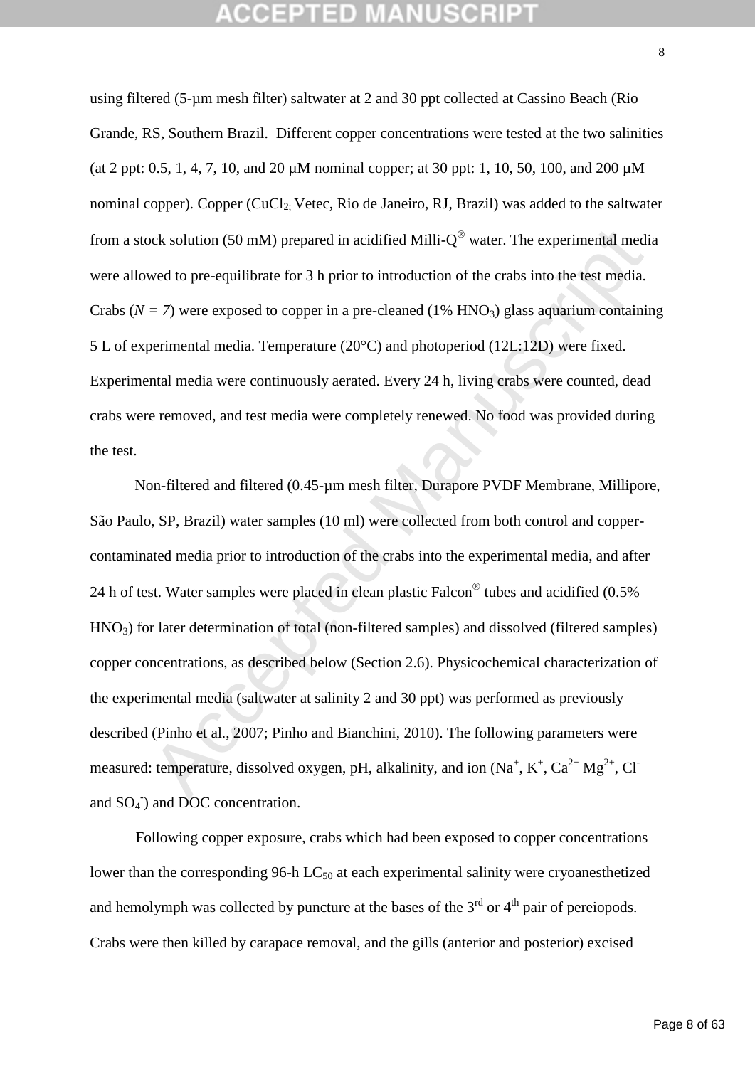using filtered (5-µm mesh filter) saltwater at 2 and 30 ppt collected at Cassino Beach (Rio Grande, RS, Southern Brazil. Different copper concentrations were tested at the two salinities (at 2 ppt: 0.5, 1, 4, 7, 10, and 20 µM nominal copper; at 30 ppt: 1, 10, 50, 100, and 200 µM nominal copper). Copper (CuCl<sub>2</sub>: Vetec, Rio de Janeiro, RJ, Brazil) was added to the saltwater from a stock solution (50 mM) prepared in acidified Milli- $Q^{\textcircled{}}$  water. The experimental media were allowed to pre-equilibrate for 3 h prior to introduction of the crabs into the test media. Crabs ( $N = 7$ ) were exposed to copper in a pre-cleaned (1% HNO<sub>3</sub>) glass aquarium containing 5 L of experimental media. Temperature (20°C) and photoperiod (12L:12D) were fixed. Experimental media were continuously aerated. Every 24 h, living crabs were counted, dead crabs were removed, and test media were completely renewed. No food was provided during the test.

bck solution (50 mM) prepared in acidified Milli-Q<sup>\*</sup> water. The experimental mediated to pre-equilibrate for 3 h prior to introduction of the crabs into the test media.<br>  $= 7$ ) were exposed to copper in a pre-cleaned (1% Non-filtered and filtered (0.45-µm mesh filter, Durapore PVDF Membrane, Millipore, São Paulo, SP, Brazil) water samples (10 ml) were collected from both control and coppercontaminated media prior to introduction of the crabs into the experimental media, and after 24 h of test. Water samples were placed in clean plastic Falcon<sup>®</sup> tubes and acidified (0.5% HNO3) for later determination of total (non-filtered samples) and dissolved (filtered samples) copper concentrations, as described below (Section 2.6). Physicochemical characterization of the experimental media (saltwater at salinity 2 and 30 ppt) was performed as previously described (Pinho et al., 2007; Pinho and Bianchini, 2010). The following parameters were measured: temperature, dissolved oxygen, pH, alkalinity, and ion  $(Na^+, K^+, Ca^{2+}Mg^{2+}, Cl^-)$ and  $SO_4$ <sup>-</sup>) and DOC concentration.

Following copper exposure, crabs which had been exposed to copper concentrations lower than the corresponding 96-h  $LC_{50}$  at each experimental salinity were cryoanesthetized and hemolymph was collected by puncture at the bases of the  $3<sup>rd</sup>$  or  $4<sup>th</sup>$  pair of pereiopods. Crabs were then killed by carapace removal, and the gills (anterior and posterior) excised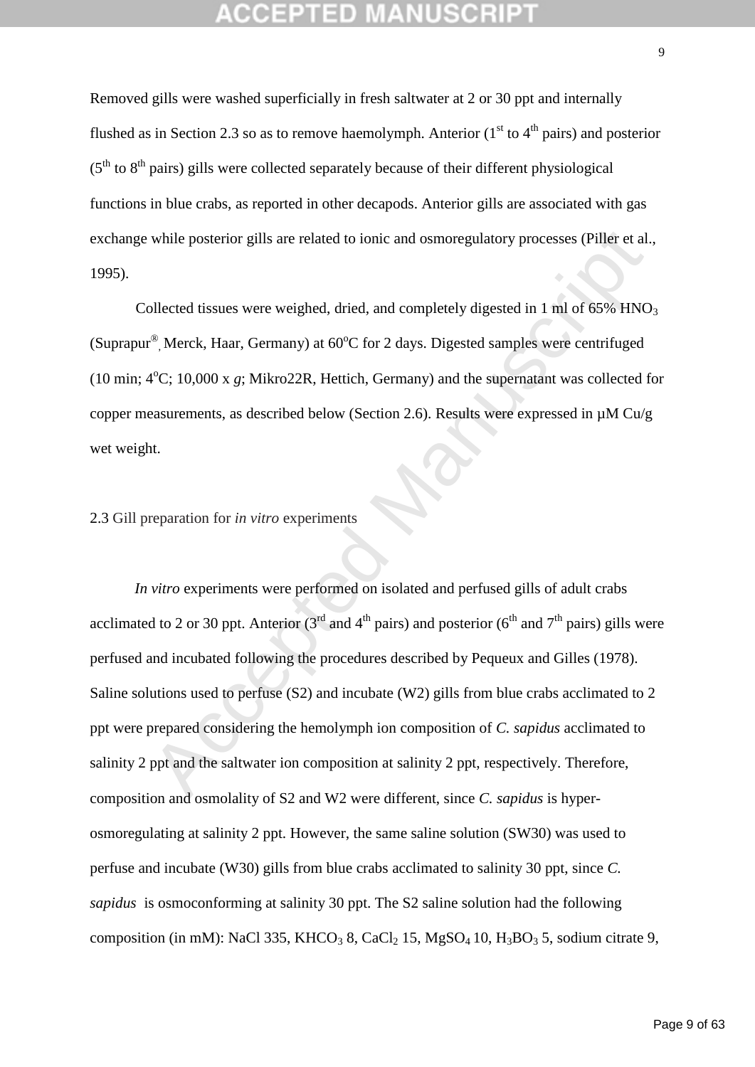Removed gills were washed superficially in fresh saltwater at 2 or 30 ppt and internally flushed as in Section 2.3 so as to remove haemolymph. Anterior  $(1<sup>st</sup>$  to  $4<sup>th</sup>$  pairs) and posterior  $(5<sup>th</sup>$  to  $8<sup>th</sup>$  pairs) gills were collected separately because of their different physiological functions in blue crabs, as reported in other decapods. Anterior gills are associated with gas exchange while posterior gills are related to ionic and osmoregulatory processes (Piller et al., 1995).

Collected tissues were weighed, dried, and completely digested in 1 ml of  $65\%$  HNO<sub>3</sub> (Suprapur<sup>®</sup>, Merck, Haar, Germany) at  $60^{\circ}$ C for 2 days. Digested samples were centrifuged (10 min;  $4^{\circ}$ C; 10,000 x  $g$ ; Mikro22R, Hettich, Germany) and the supernatant was collected for copper measurements, as described below (Section 2.6). Results were expressed in µM Cu/g wet weight.

### 2.3 Gill preparation for *in vitro* experiments

while posterior gills are related to ionic and osmoregulatory processes (Piller et al.<br>
blected tissues were weighed, dried, and completely digested in 1 ml of 65% HNO<br>
<sup>29</sup>. Merck, Haar, Germany) at 60°C for 2 days. Dige *In vitro* experiments were performed on isolated and perfused gills of adult crabs acclimated to 2 or 30 ppt. Anterior  $(3^{rd}$  and  $4^{th}$  pairs) and posterior  $(6^{th}$  and  $7^{th}$  pairs) gills were perfused and incubated following the procedures described by Pequeux and Gilles (1978). Saline solutions used to perfuse (S2) and incubate (W2) gills from blue crabs acclimated to 2 ppt were prepared considering the hemolymph ion composition of *C. sapidus* acclimated to salinity 2 ppt and the saltwater ion composition at salinity 2 ppt, respectively. Therefore, composition and osmolality of S2 and W2 were different, since *C. sapidus* is hyperosmoregulating at salinity 2 ppt. However, the same saline solution (SW30) was used to perfuse and incubate (W30) gills from blue crabs acclimated to salinity 30 ppt, since *C. sapidus* is osmoconforming at salinity 30 ppt. The S2 saline solution had the following composition (in mM): NaCl 335, KHCO<sub>3</sub> 8, CaCl<sub>2</sub> 15, MgSO<sub>4</sub> 10, H<sub>3</sub>BO<sub>3</sub> 5, sodium citrate 9,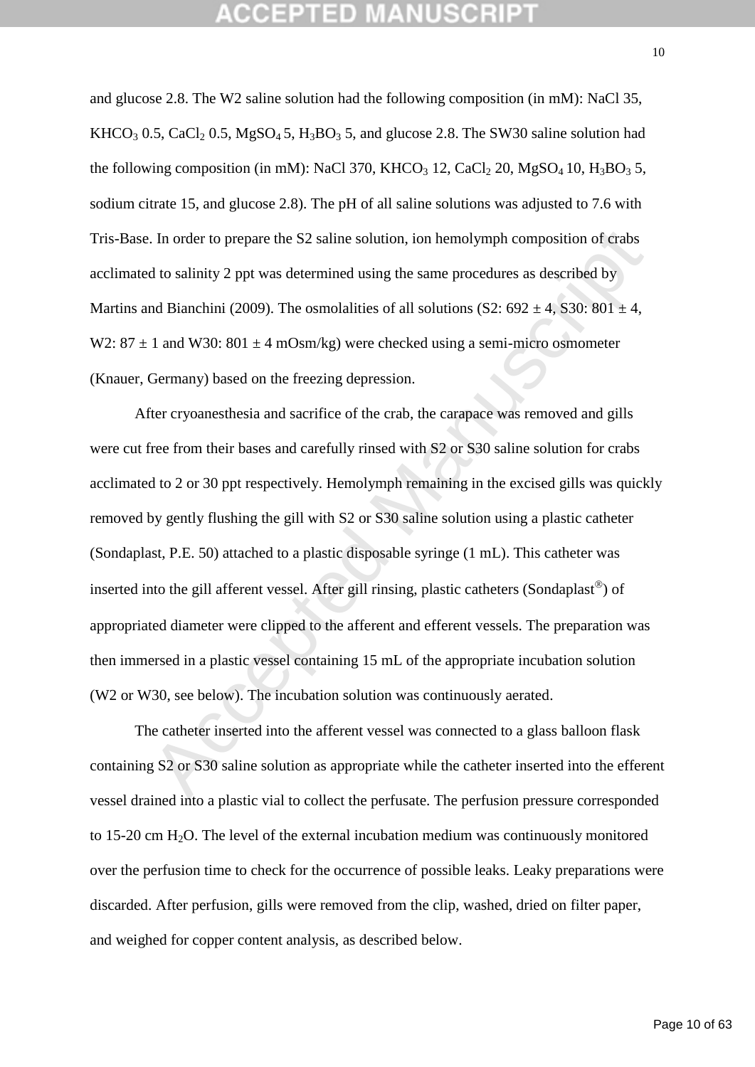and glucose 2.8. The W2 saline solution had the following composition (in mM): NaCl 35,  $KHCO<sub>3</sub> 0.5, CaCl<sub>2</sub> 0.5, MgSO<sub>4</sub> 5, H<sub>3</sub> BO<sub>3</sub> 5, and glucose 2.8. The SW30 saline solution had$ the following composition (in mM): NaCl 370, KHCO<sub>3</sub> 12, CaCl<sub>2</sub> 20, MgSO<sub>4</sub> 10, H<sub>3</sub>BO<sub>3</sub> 5, sodium citrate 15, and glucose 2.8). The pH of all saline solutions was adjusted to 7.6 with Tris-Base. In order to prepare the S2 saline solution, ion hemolymph composition of crabs acclimated to salinity 2 ppt was determined using the same procedures as described by Martins and Bianchini (2009). The osmolalities of all solutions (S2:  $692 \pm 4$ , S30:  $801 \pm 4$ , W2:  $87 \pm 1$  and W30:  $801 \pm 4$  mOsm/kg) were checked using a semi-micro osmometer (Knauer, Germany) based on the freezing depression.

E In order to prepare the S2 saline solution, ion hemolymph composition of crabs<br>
d to salinity 2 ppt was determined using the same procedures as described by<br>
md Bianchini (2009). The osmolalities of all solutions (S2: 6 After cryoanesthesia and sacrifice of the crab, the carapace was removed and gills were cut free from their bases and carefully rinsed with S2 or S30 saline solution for crabs acclimated to 2 or 30 ppt respectively. Hemolymph remaining in the excised gills was quickly removed by gently flushing the gill with S2 or S30 saline solution using a plastic catheter (Sondaplast, P.E. 50) attached to a plastic disposable syringe (1 mL). This catheter was inserted into the gill afferent vessel. After gill rinsing, plastic catheters (Sondaplast<sup>®</sup>) of appropriated diameter were clipped to the afferent and efferent vessels. The preparation was then immersed in a plastic vessel containing 15 mL of the appropriate incubation solution (W2 or W30, see below). The incubation solution was continuously aerated.

The catheter inserted into the afferent vessel was connected to a glass balloon flask containing S2 or S30 saline solution as appropriate while the catheter inserted into the efferent vessel drained into a plastic vial to collect the perfusate. The perfusion pressure corresponded to 15-20 cm  $H<sub>2</sub>O$ . The level of the external incubation medium was continuously monitored over the perfusion time to check for the occurrence of possible leaks. Leaky preparations were discarded. After perfusion, gills were removed from the clip, washed, dried on filter paper, and weighed for copper content analysis, as described below.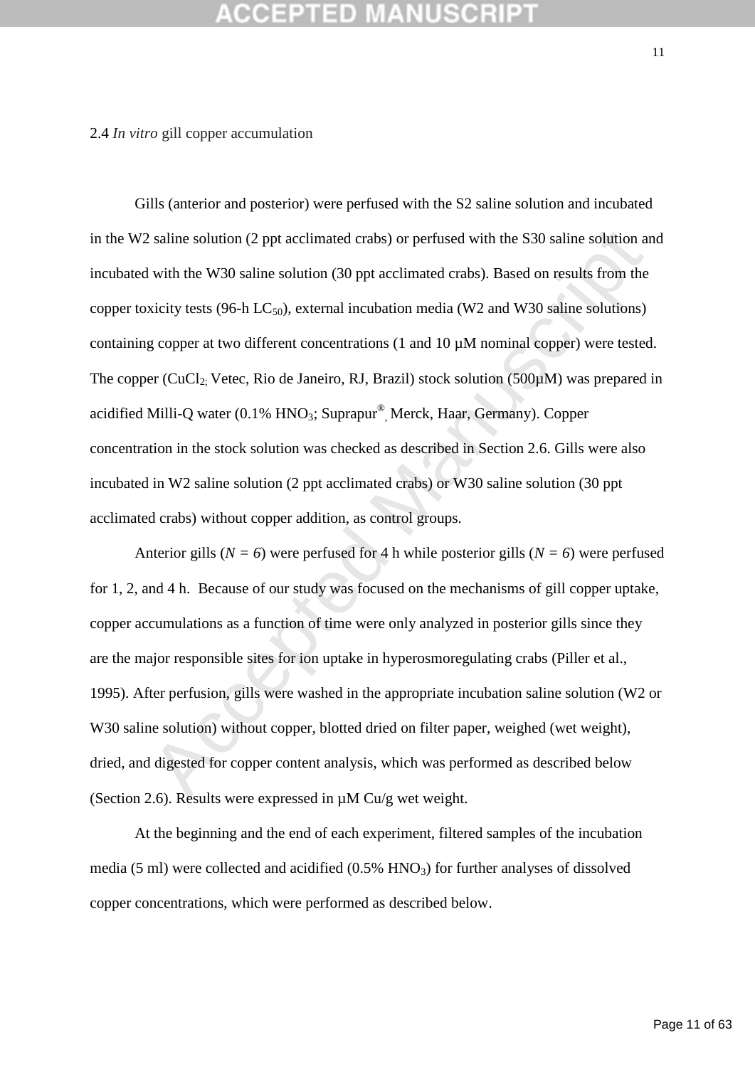### 2.4 *In vitro* gill copper accumulation

*l* saline solution (2 ppt acclimated crabs) or perfused with the S30 saline solution at<br>with the W30 saline solution (30 ppt acclimated crabs). Based on results from the<br>xicity tests (96-h LC<sub>30</sub>), external incubation me Gills (anterior and posterior) were perfused with the S2 saline solution and incubated in the W2 saline solution (2 ppt acclimated crabs) or perfused with the S30 saline solution and incubated with the W30 saline solution (30 ppt acclimated crabs). Based on results from the copper toxicity tests (96-h  $LC_{50}$ ), external incubation media (W2 and W30 saline solutions) containing copper at two different concentrations (1 and 10 µM nominal copper) were tested. The copper (CuCl<sub>2;</sub> Vetec, Rio de Janeiro, RJ, Brazil) stock solution (500 $\mu$ M) was prepared in acidified Milli-Q water (0.1% HNO<sub>3</sub>; Suprapur®, Merck, Haar, Germany). Copper concentration in the stock solution was checked as described in Section 2.6. Gills were also incubated in W2 saline solution (2 ppt acclimated crabs) or W30 saline solution (30 ppt acclimated crabs) without copper addition, as control groups.

Anterior gills ( $N = 6$ ) were perfused for 4 h while posterior gills ( $N = 6$ ) were perfused for 1, 2, and 4 h. Because of our study was focused on the mechanisms of gill copper uptake, copper accumulations as a function of time were only analyzed in posterior gills since they are the major responsible sites for ion uptake in hyperosmoregulating crabs (Piller et al., 1995). After perfusion, gills were washed in the appropriate incubation saline solution (W2 or W30 saline solution) without copper, blotted dried on filter paper, weighed (wet weight), dried, and digested for copper content analysis, which was performed as described below (Section 2.6). Results were expressed in µM Cu/g wet weight.

At the beginning and the end of each experiment, filtered samples of the incubation media (5 ml) were collected and acidified  $(0.5\%$  HNO<sub>3</sub>) for further analyses of dissolved copper concentrations, which were performed as described below.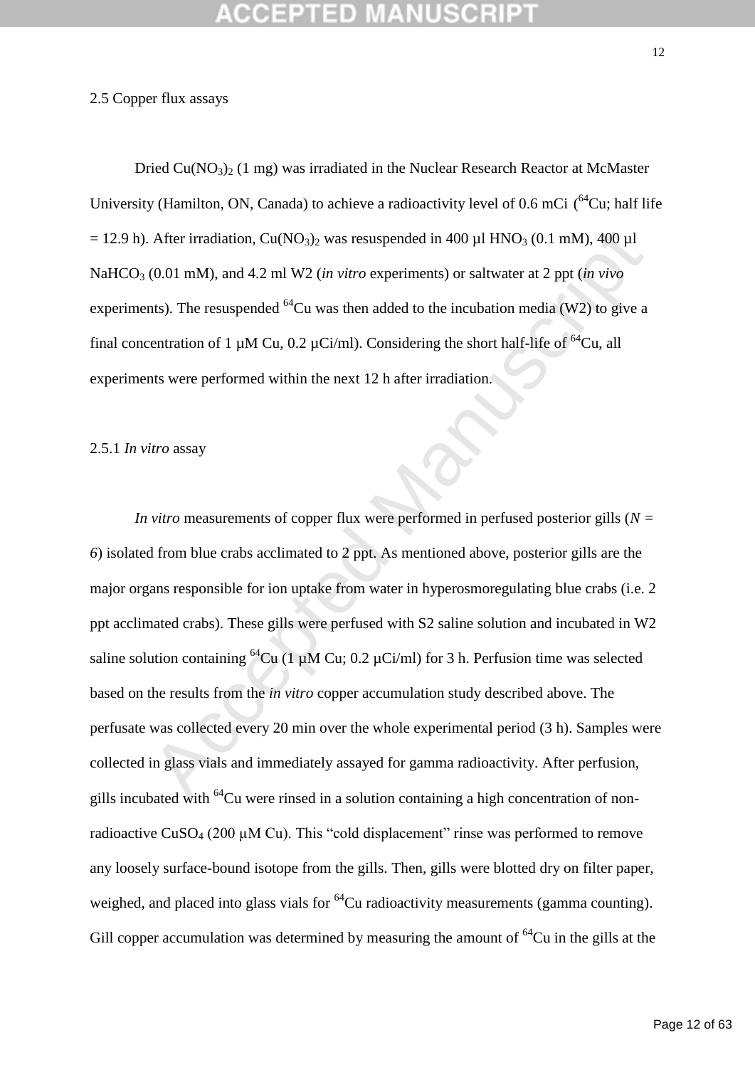### 2.5 Copper flux assays

Dried  $Cu(NO<sub>3</sub>)<sub>2</sub>$  (1 mg) was irradiated in the Nuclear Research Reactor at McMaster University (Hamilton, ON, Canada) to achieve a radioactivity level of 0.6 mCi  $(^{64}$ Cu; half life  $= 12.9$  h). After irradiation, Cu(NO<sub>3</sub>)<sub>2</sub> was resuspended in 400 µl HNO<sub>3</sub> (0.1 mM), 400 µl NaHCO<sub>3</sub> (0.01 mM), and 4.2 ml W2 (*in vitro* experiments) or saltwater at 2 ppt (*in vivo* experiments). The resuspended  ${}^{64}$ Cu was then added to the incubation media (W2) to give a final concentration of 1  $\mu$ M Cu, 0.2  $\mu$ Ci/ml). Considering the short half-life of <sup>64</sup>Cu, all experiments were performed within the next 12 h after irradiation.

### 2.5.1 *In vitro* assay

After irradiation, Cu(NO<sub>3</sub>)<sub>2</sub> was resuspended in 400 µl HNO<sub>3</sub> (0.1 mM), 400 µl<br>
(0.01 mM), and 4.2 ml W2 (*in vitro* experiments) or saltwater at 2 ppt (*in vivo*<br>
nts). The resuspended <sup>64</sup>Cu was then added to the inc *In vitro* measurements of copper flux were performed in perfused posterior gills (*N = 6*) isolated from blue crabs acclimated to 2 ppt. As mentioned above, posterior gills are the major organs responsible for ion uptake from water in hyperosmoregulating blue crabs (i.e. 2 ppt acclimated crabs). These gills were perfused with S2 saline solution and incubated in W2 saline solution containing <sup>64</sup>Cu (1 µM Cu; 0.2 µCi/ml) for 3 h. Perfusion time was selected based on the results from the *in vitro* copper accumulation study described above. The perfusate was collected every 20 min over the whole experimental period (3 h). Samples were collected in glass vials and immediately assayed for gamma radioactivity. After perfusion, gills incubated with  $^{64}$ Cu were rinsed in a solution containing a high concentration of nonradioactive CuSO<sub>4</sub> (200  $\mu$ M Cu). This "cold displacement" rinse was performed to remove any loosely surface-bound isotope from the gills. Then, gills were blotted dry on filter paper, weighed, and placed into glass vials for  ${}^{64}$ Cu radioactivity measurements (gamma counting). Gill copper accumulation was determined by measuring the amount of  ${}^{64}Cu$  in the gills at the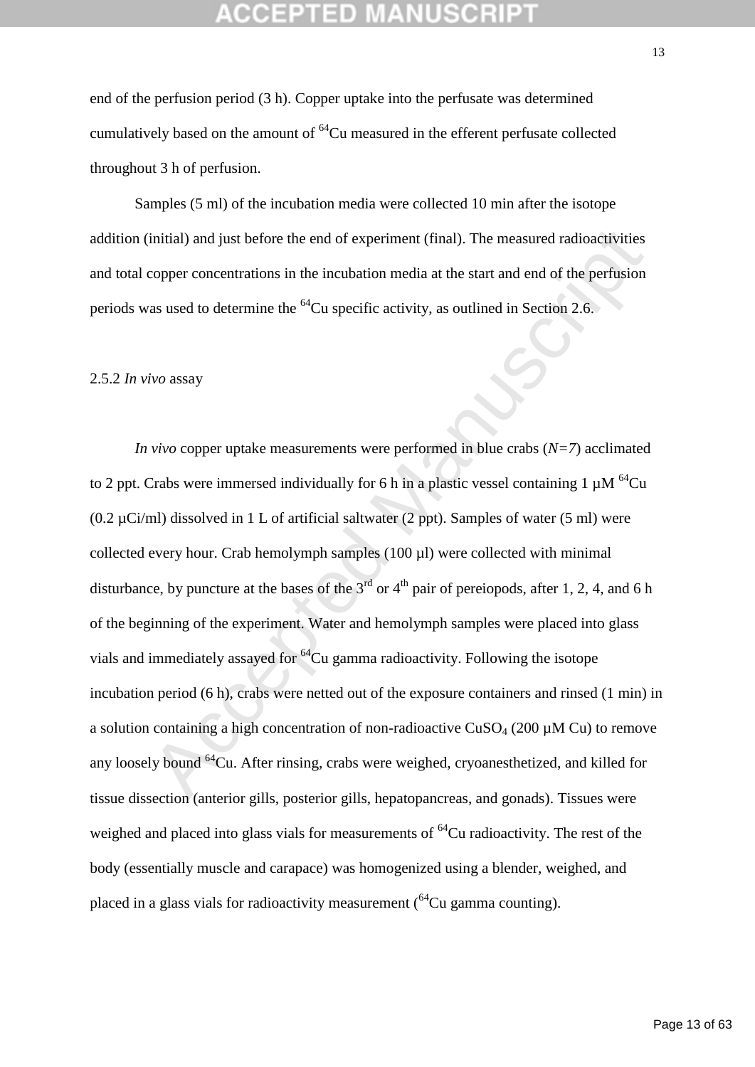end of the perfusion period (3 h). Copper uptake into the perfusate was determined cumulatively based on the amount of  ${}^{64}Cu$  measured in the efferent perfusate collected throughout 3 h of perfusion.

Samples (5 ml) of the incubation media were collected 10 min after the isotope addition (initial) and just before the end of experiment (final). The measured radioactivities and total copper concentrations in the incubation media at the start and end of the perfusion periods was used to determine the <sup>64</sup>Cu specific activity, as outlined in Section 2.6.

### 2.5.2 *In vivo* assay

initial) and just before the end of experiment (final). The measured radioactivities<br>copper concentrations in the incubation media at the start and end of the perfusion<br>as used to determine the <sup>64</sup>Cu specific activity, a *In vivo* copper uptake measurements were performed in blue crabs (*N=7*) acclimated to 2 ppt. Crabs were immersed individually for 6 h in a plastic vessel containing 1  $\mu$ M <sup>64</sup>Cu  $(0.2 \mu\text{Ci/ml})$  dissolved in 1 L of artificial saltwater (2 ppt). Samples of water (5 ml) were collected every hour. Crab hemolymph samples (100 µl) were collected with minimal disturbance, by puncture at the bases of the  $3<sup>rd</sup>$  or  $4<sup>th</sup>$  pair of pereiopods, after 1, 2, 4, and 6 h of the beginning of the experiment. Water and hemolymph samples were placed into glass vials and immediately assayed for  ${}^{64}Cu$  gamma radioactivity. Following the isotope incubation period (6 h), crabs were netted out of the exposure containers and rinsed (1 min) in a solution containing a high concentration of non-radioactive  $CuSO<sub>4</sub>$  (200  $\mu$ M Cu) to remove any loosely bound <sup>64</sup>Cu. After rinsing, crabs were weighed, cryoanesthetized, and killed for tissue dissection (anterior gills, posterior gills, hepatopancreas, and gonads). Tissues were weighed and placed into glass vials for measurements of  ${}^{64}Cu$  radioactivity. The rest of the body (essentially muscle and carapace) was homogenized using a blender, weighed, and placed in a glass vials for radioactivity measurement  $(^{64}Cu$  gamma counting).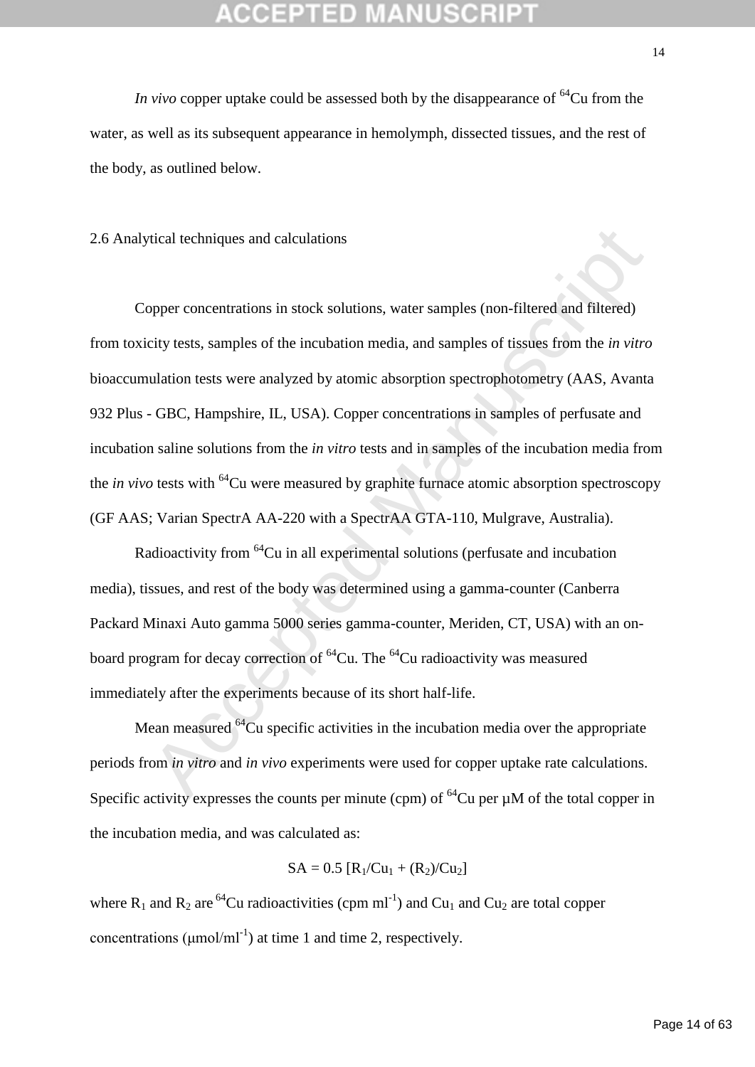*In vivo* copper uptake could be assessed both by the disappearance of  ${}^{64}Cu$  from the water, as well as its subsequent appearance in hemolymph, dissected tissues, and the rest of the body, as outlined below.

2.6 Analytical techniques and calculations

tical techniques and calculations<br>opper concentrations in stock solutions, water samples (non-filtered and filtered)<br>city tests, samples of the incubation media, and samples of tissues from the *in vitro*<br>ulation tests we Copper concentrations in stock solutions, water samples (non-filtered and filtered) from toxicity tests, samples of the incubation media, and samples of tissues from the *in vitro* bioaccumulation tests were analyzed by atomic absorption spectrophotometry (AAS, Avanta 932 Plus - GBC, Hampshire, IL, USA). Copper concentrations in samples of perfusate and incubation saline solutions from the *in vitro* tests and in samples of the incubation media from the *in vivo* tests with <sup>64</sup>Cu were measured by graphite furnace atomic absorption spectroscopy (GF AAS; Varian SpectrA AA-220 with a SpectrAA GTA-110, Mulgrave, Australia).

Radioactivity from <sup>64</sup>Cu in all experimental solutions (perfusate and incubation media), tissues, and rest of the body was determined using a gamma-counter (Canberra Packard Minaxi Auto gamma 5000 series gamma-counter, Meriden, CT, USA) with an onboard program for decay correction of  ${}^{64}Cu$ . The  ${}^{64}Cu$  radioactivity was measured immediately after the experiments because of its short half-life.

Mean measured  ${}^{64}$ Cu specific activities in the incubation media over the appropriate periods from *in vitro* and *in vivo* experiments were used for copper uptake rate calculations. Specific activity expresses the counts per minute (cpm) of  ${}^{64}Cu$  per  $\mu$ M of the total copper in the incubation media, and was calculated as:

$$
SA = 0.5\ [R_1/Cu_1 + (R_2)/Cu_2]
$$

where  $R_1$  and  $R_2$  are <sup>64</sup>Cu radioactivities (cpm ml<sup>-1</sup>) and Cu<sub>1</sub> and Cu<sub>2</sub> are total copper concentrations ( $\mu$ mol/ml<sup>-1</sup>) at time 1 and time 2, respectively.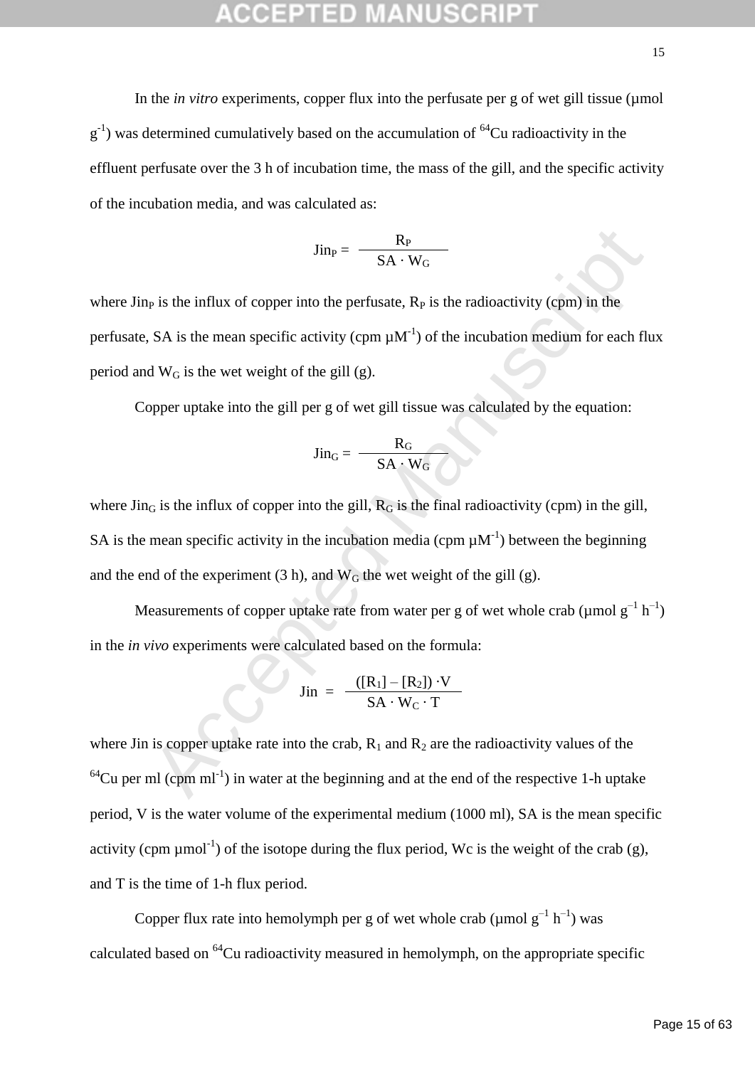In the *in vitro* experiments, copper flux into the perfusate per g of wet gill tissue (µmol  $g^{-1}$ ) was determined cumulatively based on the accumulation of <sup>64</sup>Cu radioactivity in the effluent perfusate over the 3 h of incubation time, the mass of the gill, and the specific activity of the incubation media, and was calculated as:

$$
Jin_P=\ \frac{R_P}{SA\cdot W_G}
$$

where  $\lim_{p \to \infty}$  is the influx of copper into the perfusate,  $R_p$  is the radioactivity (cpm) in the perfusate, SA is the mean specific activity (cpm  $\mu$ M<sup>-1</sup>) of the incubation medium for each flux period and  $W_G$  is the wet weight of the gill (g).

Copper uptake into the gill per g of wet gill tissue was calculated by the equation:

$$
Jin_{G} = \frac{R_{G}}{SA \cdot W_{G}}
$$

 $\sin_P = \frac{R_P}{SA \cdot W_G}$ <br>  $\sin P = \frac{R_P}{SA \cdot W_G}$ <br>  $\sin P = \frac{R_S}{SA \cdot W_G}$ <br>  $\sin P = \frac{R_S}{A \cdot W_G}$  is the mean specific activity (cpm  $\mu M^{-1}$ ) of the incubation medium for each flt<br>  $\sin P = \frac{R_G}{SA \cdot W_G}$ <br>  $\sin P = \frac{R_G}{SA \cdot W_G}$ <br>  $\sin P = \frac{R_G}{SA \cdot W_G}$ where  $\text{Jin}_{G}$  is the influx of copper into the gill,  $R_{G}$  is the final radioactivity (cpm) in the gill, SA is the mean specific activity in the incubation media (cpm  $\mu$ M<sup>-1</sup>) between the beginning and the end of the experiment (3 h), and  $W_G$  the wet weight of the gill (g).

Measurements of copper uptake rate from water per g of wet whole crab ( $\mu$ mol g<sup>-1</sup> h<sup>-1</sup>) in the *in vivo* experiments were calculated based on the formula:

$$
Jin = \frac{([R_1] - [R_2]) \cdot V}{SA \cdot W_C \cdot T}
$$

where Jin is copper uptake rate into the crab,  $R_1$  and  $R_2$  are the radioactivity values of the  $64$ Cu per ml (cpm ml<sup>-1</sup>) in water at the beginning and at the end of the respective 1-h uptake period, V is the water volume of the experimental medium (1000 ml), SA is the mean specific activity (cpm  $\mu$ mol<sup>-1</sup>) of the isotope during the flux period, Wc is the weight of the crab (g), and T is the time of 1-h flux period.

Copper flux rate into hemolymph per g of wet whole crab ( $\mu$ mol  $g^{-1}$  h<sup>-1</sup>) was calculated based on  ${}^{64}$ Cu radioactivity measured in hemolymph, on the appropriate specific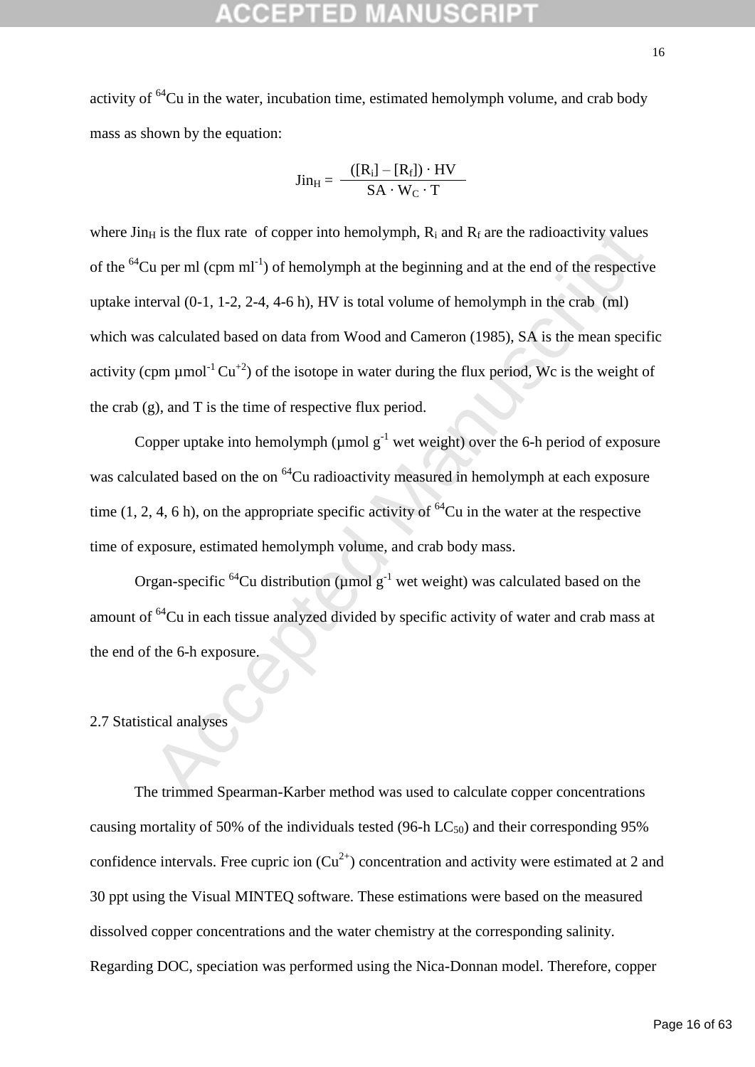activity of  ${}^{64}$ Cu in the water, incubation time, estimated hemolymph volume, and crab body mass as shown by the equation:

$$
Jin_{H} = \frac{([R_i] - [R_f]) \cdot HV}{SA \cdot W_C \cdot T}
$$

in is the flux rate of copper into hemolymph, R<sub>3</sub> and R<sub>6</sub> are the radioactivity values<br>
'u per ml (cpm ml<sup>-1</sup>) of hemolymph at the beginning and at the end of the respective<br>
terval (0-1, 1-2, 2-4, 4-6 h), HV is total v where  $\lim_{H \to \infty}$  is the flux rate of copper into hemolymph, R<sub>i</sub> and R<sub>f</sub> are the radioactivity values of the  ${}^{64}$ Cu per ml (cpm ml<sup>-1</sup>) of hemolymph at the beginning and at the end of the respective uptake interval (0-1, 1-2, 2-4, 4-6 h), HV is total volume of hemolymph in the crab (ml) which was calculated based on data from Wood and Cameron (1985), SA is the mean specific activity (cpm  $\mu$ mol<sup>-1</sup> Cu<sup>+2</sup>) of the isotope in water during the flux period, Wc is the weight of the crab (g), and T is the time of respective flux period.

Copper uptake into hemolymph ( $\mu$ mol g<sup>-1</sup> wet weight) over the 6-h period of exposure was calculated based on the on <sup>64</sup>Cu radioactivity measured in hemolymph at each exposure time (1, 2, 4, 6 h), on the appropriate specific activity of  ${}^{64}$ Cu in the water at the respective time of exposure, estimated hemolymph volume, and crab body mass.

Organ-specific <sup>64</sup>Cu distribution (µmol  $g^{-1}$  wet weight) was calculated based on the amount of <sup>64</sup>Cu in each tissue analyzed divided by specific activity of water and crab mass at the end of the 6-h exposure.

### 2.7 Statistical analyses

The trimmed Spearman-Karber method was used to calculate copper concentrations causing mortality of 50% of the individuals tested (96-h  $LC_{50}$ ) and their corresponding 95% confidence intervals. Free cupric ion  $Cu^{2+}$ ) concentration and activity were estimated at 2 and 30 ppt using the Visual MINTEQ software. These estimations were based on the measured dissolved copper concentrations and the water chemistry at the corresponding salinity. Regarding DOC, speciation was performed using the Nica-Donnan model. Therefore, copper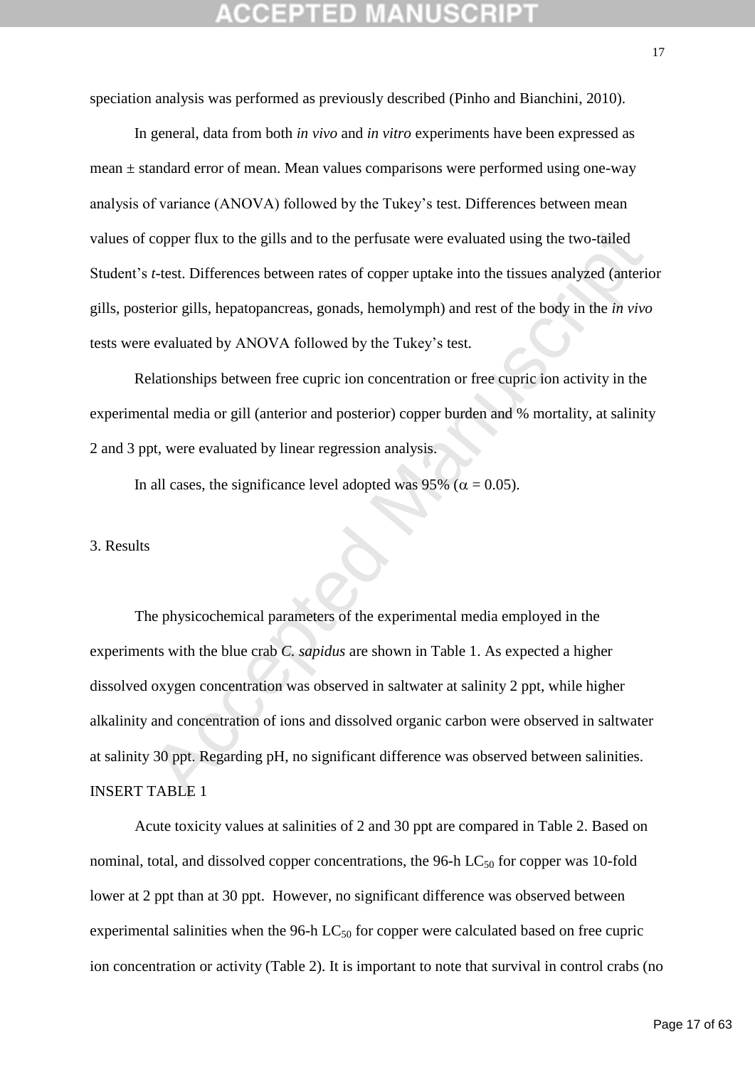speciation analysis was performed as previously described (Pinho and Bianchini, 2010).

In general, data from both *in vivo* and *in vitro* experiments have been expressed as mean ± standard error of mean. Mean values comparisons were performed using one-way analysis of variance (ANOVA) followed by the Tukey's test. Differences between mean values of copper flux to the gills and to the perfusate were evaluated using the two-tailed Student's *t*-test. Differences between rates of copper uptake into the tissues analyzed (anterior gills, posterior gills, hepatopancreas, gonads, hemolymph) and rest of the body in the *in vivo* tests were evaluated by ANOVA followed by the Tukey's test.

Relationships between free cupric ion concentration or free cupric ion activity in the experimental media or gill (anterior and posterior) copper burden and % mortality, at salinity 2 and 3 ppt, were evaluated by linear regression analysis.

In all cases, the significance level adopted was 95% ( $\alpha = 0.05$ ).

### 3. Results

copper flux to the gills and to the perfusate were evaluated using the two-tailed *t*-test. Differences between rates of copper uptake into the tissues analyzed (anterierier gills, hepatopancreas, gonads, hemolymph) and r The physicochemical parameters of the experimental media employed in the experiments with the blue crab *C. sapidus* are shown in Table 1. As expected a higher dissolved oxygen concentration was observed in saltwater at salinity 2 ppt, while higher alkalinity and concentration of ions and dissolved organic carbon were observed in saltwater at salinity 30 ppt. Regarding pH, no significant difference was observed between salinities. INSERT TABLE 1

Acute toxicity values at salinities of 2 and 30 ppt are compared in Table 2. Based on nominal, total, and dissolved copper concentrations, the 96-h  $LC_{50}$  for copper was 10-fold lower at 2 ppt than at 30 ppt. However, no significant difference was observed between experimental salinities when the 96-h  $LC_{50}$  for copper were calculated based on free cupric ion concentration or activity (Table 2). It is important to note that survival in control crabs (no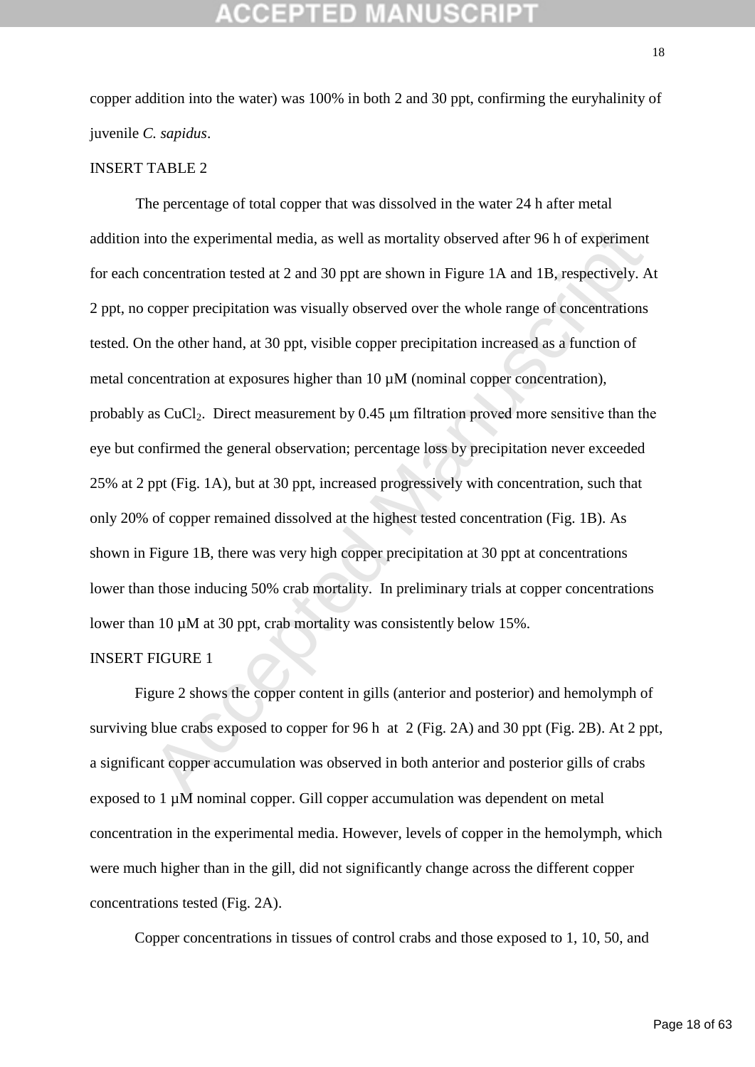copper addition into the water) was 100% in both 2 and 30 ppt, confirming the euryhalinity of juvenile *C. sapidus*.

### INSERT TABLE 2

nto the experimental media, as well as mortality observed after 96 h of experiment<br>concentration tested at 2 and 30 ppt are shown in Figure 1A and 1B, respectively. A<br>copper precipitation was visually observed over the wh The percentage of total copper that was dissolved in the water 24 h after metal addition into the experimental media, as well as mortality observed after 96 h of experiment for each concentration tested at 2 and 30 ppt are shown in Figure 1A and 1B, respectively. At 2 ppt, no copper precipitation was visually observed over the whole range of concentrations tested. On the other hand, at 30 ppt, visible copper precipitation increased as a function of metal concentration at exposures higher than 10  $\mu$ M (nominal copper concentration), probably as  $CuCl<sub>2</sub>$ . Direct measurement by 0.45  $\mu$ m filtration proved more sensitive than the eye but confirmed the general observation; percentage loss by precipitation never exceeded 25% at 2 ppt (Fig. 1A), but at 30 ppt, increased progressively with concentration, such that only 20% of copper remained dissolved at the highest tested concentration (Fig. 1B). As shown in Figure 1B, there was very high copper precipitation at 30 ppt at concentrations lower than those inducing 50% crab mortality. In preliminary trials at copper concentrations lower than 10  $\mu$ M at 30 ppt, crab mortality was consistently below 15%.

### INSERT FIGURE 1

Figure 2 shows the copper content in gills (anterior and posterior) and hemolymph of surviving blue crabs exposed to copper for 96 h at 2 (Fig. 2A) and 30 ppt (Fig. 2B). At 2 ppt, a significant copper accumulation was observed in both anterior and posterior gills of crabs exposed to 1  $\mu$ M nominal copper. Gill copper accumulation was dependent on metal concentration in the experimental media. However, levels of copper in the hemolymph, which were much higher than in the gill, did not significantly change across the different copper concentrations tested (Fig. 2A).

Copper concentrations in tissues of control crabs and those exposed to 1, 10, 50, and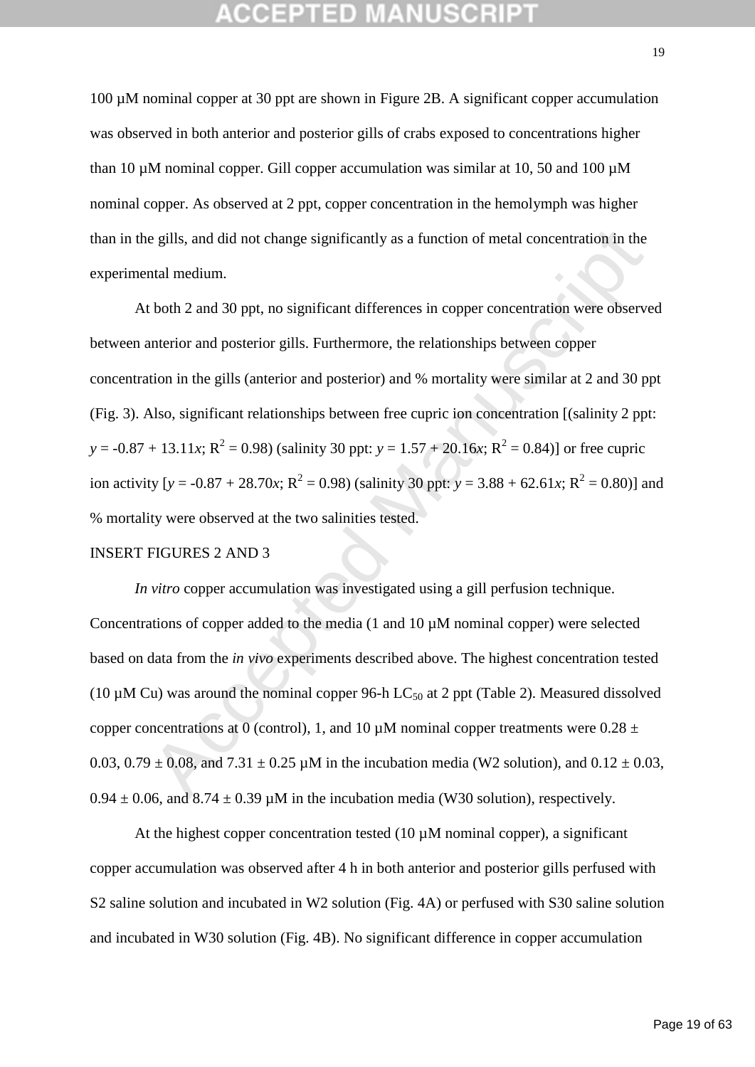100 µM nominal copper at 30 ppt are shown in Figure 2B. A significant copper accumulation was observed in both anterior and posterior gills of crabs exposed to concentrations higher than 10  $\mu$ M nominal copper. Gill copper accumulation was similar at 10, 50 and 100  $\mu$ M nominal copper. As observed at 2 ppt, copper concentration in the hemolymph was higher than in the gills, and did not change significantly as a function of metal concentration in the experimental medium.

e gills, and did not change significantly as a function of metal concentration in the<br>ntal medium.<br>
thoth 2 and 30 ppt, no significant differences in copper concentration were observe<br>
therior and posterior gills. Further At both 2 and 30 ppt, no significant differences in copper concentration were observed between anterior and posterior gills. Furthermore, the relationships between copper concentration in the gills (anterior and posterior) and % mortality were similar at 2 and 30 ppt (Fig. 3). Also, significant relationships between free cupric ion concentration [(salinity 2 ppt:  $y = -0.87 + 13.11x$ ;  $R^2 = 0.98$ ) (salinity 30 ppt:  $y = 1.57 + 20.16x$ ;  $R^2 = 0.84$ )] or free cupric ion activity [ $y = -0.87 + 28.70x$ ;  $R^2 = 0.98$ ) (salinity 30 ppt:  $y = 3.88 + 62.61x$ ;  $R^2 = 0.80$ )] and % mortality were observed at the two salinities tested.

### INSERT FIGURES 2 AND 3

*In vitro* copper accumulation was investigated using a gill perfusion technique. Concentrations of copper added to the media (1 and 10 µM nominal copper) were selected based on data from the *in vivo* experiments described above. The highest concentration tested (10  $\mu$ M Cu) was around the nominal copper 96-h LC<sub>50</sub> at 2 ppt (Table 2). Measured dissolved copper concentrations at 0 (control), 1, and 10  $\mu$ M nominal copper treatments were 0.28  $\pm$ 0.03, 0.79  $\pm$  0.08, and 7.31  $\pm$  0.25 µM in the incubation media (W2 solution), and 0.12  $\pm$  0.03,  $0.94 \pm 0.06$ , and  $8.74 \pm 0.39$  µM in the incubation media (W30 solution), respectively.

At the highest copper concentration tested (10  $\mu$ M nominal copper), a significant copper accumulation was observed after 4 h in both anterior and posterior gills perfused with S2 saline solution and incubated in W2 solution (Fig. 4A) or perfused with S30 saline solution and incubated in W30 solution (Fig. 4B). No significant difference in copper accumulation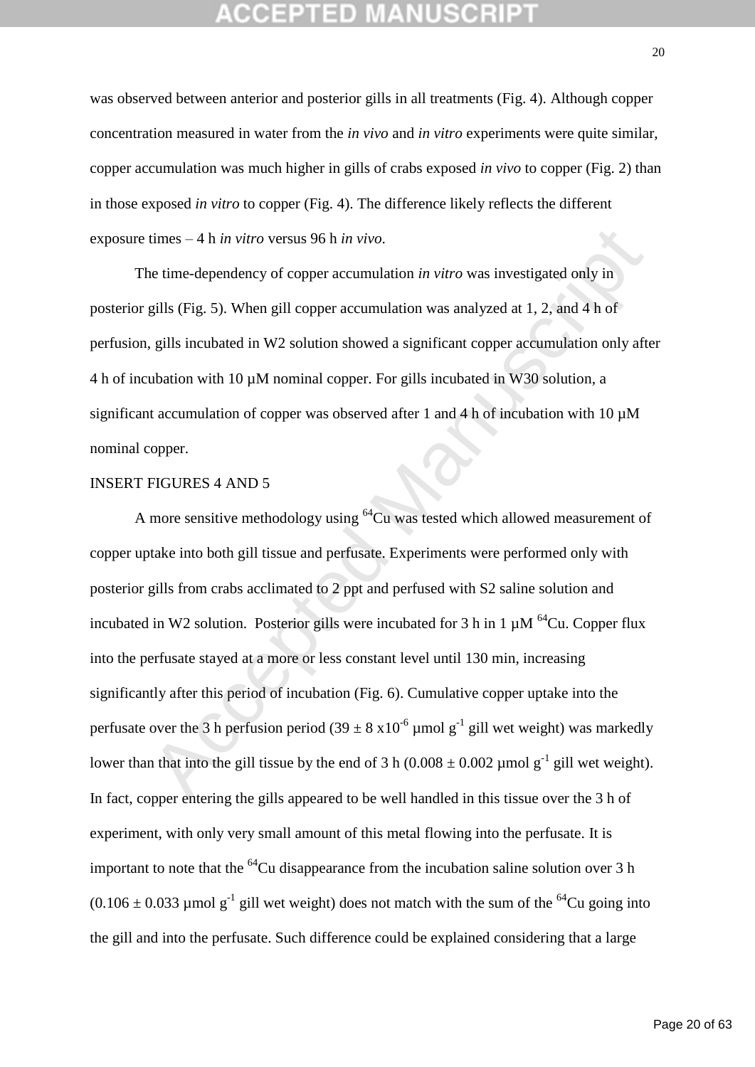was observed between anterior and posterior gills in all treatments (Fig. 4). Although copper concentration measured in water from the *in vivo* and *in vitro* experiments were quite similar, copper accumulation was much higher in gills of crabs exposed *in vivo* to copper (Fig. 2) than in those exposed *in vitro* to copper (Fig. 4). The difference likely reflects the different exposure times – 4 h *in vitro* versus 96 h *in vivo*.

The time-dependency of copper accumulation *in vitro* was investigated only in posterior gills (Fig. 5). When gill copper accumulation was analyzed at 1, 2, and 4 h of perfusion, gills incubated in W2 solution showed a significant copper accumulation only after 4 h of incubation with 10 µM nominal copper. For gills incubated in W30 solution, a significant accumulation of copper was observed after 1 and 4 h of incubation with 10  $\mu$ M nominal copper.

### INSERT FIGURES 4 AND 5

times – 4 h *in vitro* versus 96 h *in vivo*.<br>
he time-dependency of copper accumulation *in vitro* was investigated only in<br>
gills (Fig. 5). When gill copper accumulation was analyzed at 1, 2, and 4 h of<br>
gills incubated A more sensitive methodology using  ${}^{64}Cu$  was tested which allowed measurement of copper uptake into both gill tissue and perfusate. Experiments were performed only with posterior gills from crabs acclimated to 2 ppt and perfused with S2 saline solution and incubated in W2 solution. Posterior gills were incubated for 3 h in 1  $\mu$ M <sup>64</sup>Cu. Copper flux into the perfusate stayed at a more or less constant level until 130 min, increasing significantly after this period of incubation (Fig. 6). Cumulative copper uptake into the perfusate over the 3 h perfusion period  $(39 \pm 8 \times 10^{-6} \mu$  mol g<sup>-1</sup> gill wet weight) was markedly lower than that into the gill tissue by the end of 3 h (0.008  $\pm$  0.002 µmol g<sup>-1</sup> gill wet weight). In fact, copper entering the gills appeared to be well handled in this tissue over the 3 h of experiment, with only very small amount of this metal flowing into the perfusate. It is important to note that the  ${}^{64}Cu$  disappearance from the incubation saline solution over 3 h  $(0.106 \pm 0.033 \mu$  mol g<sup>-1</sup> gill wet weight) does not match with the sum of the <sup>64</sup>Cu going into the gill and into the perfusate. Such difference could be explained considering that a large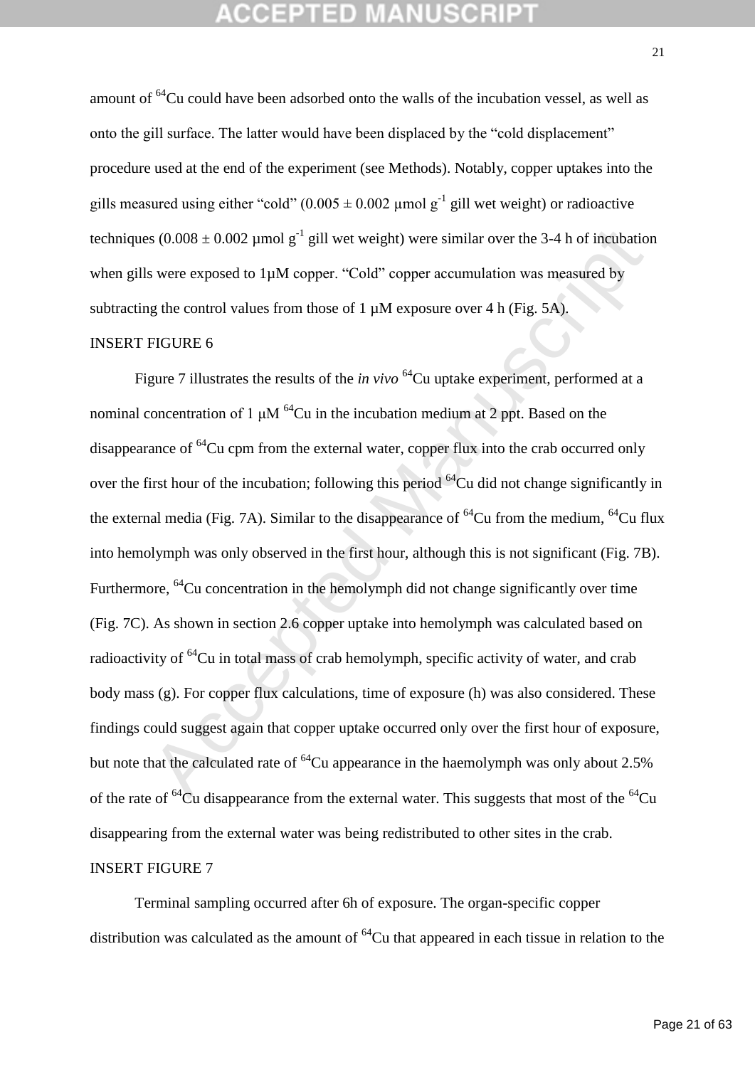amount of <sup>64</sup>Cu could have been adsorbed onto the walls of the incubation vessel, as well as onto the gill surface. The latter would have been displaced by the "cold displacement" procedure used at the end of the experiment (see Methods). Notably, copper uptakes into the gills measured using either "cold"  $(0.005 \pm 0.002 \mu \text{mol g}^{-1}$  gill wet weight) or radioactive techniques  $(0.008 \pm 0.002 \mu \text{mol g}^{-1}$  gill wet weight) were similar over the 3-4 h of incubation when gills were exposed to 1µM copper. "Cold" copper accumulation was measured by subtracting the control values from those of 1  $\mu$ M exposure over 4 h (Fig. 5A).

## INSERT FIGURE 6

s (0.008 ± 0.002 µmol g<sup>-1</sup> gill wet weight) were similar over the 3-4 h of incubation<br>s were exposed to 1µM copper. "Cold" copper accumulation was measured by<br>g the control values from those of 1µM exposure over 4 h (Fig Figure 7 illustrates the results of the *in vivo* <sup>64</sup>Cu uptake experiment, performed at a nominal concentration of 1  $\mu$ M <sup>64</sup>Cu in the incubation medium at 2 ppt. Based on the disappearance of  ${}^{64}$ Cu cpm from the external water, copper flux into the crab occurred only over the first hour of the incubation; following this period  $^{64}$ Cu did not change significantly in the external media (Fig. 7A). Similar to the disappearance of  $^{64}$ Cu from the medium,  $^{64}$ Cu flux into hemolymph was only observed in the first hour, although this is not significant (Fig. 7B). Furthermore, <sup>64</sup>Cu concentration in the hemolymph did not change significantly over time (Fig. 7C). As shown in section 2.6 copper uptake into hemolymph was calculated based on radioactivity of <sup>64</sup>Cu in total mass of crab hemolymph, specific activity of water, and crab body mass (g). For copper flux calculations, time of exposure (h) was also considered. These findings could suggest again that copper uptake occurred only over the first hour of exposure, but note that the calculated rate of  ${}^{64}$ Cu appearance in the haemolymph was only about 2.5% of the rate of  ${}^{64}$ Cu disappearance from the external water. This suggests that most of the  ${}^{64}$ Cu disappearing from the external water was being redistributed to other sites in the crab. INSERT FIGURE 7

Terminal sampling occurred after 6h of exposure. The organ-specific copper distribution was calculated as the amount of  ${}^{64}$ Cu that appeared in each tissue in relation to the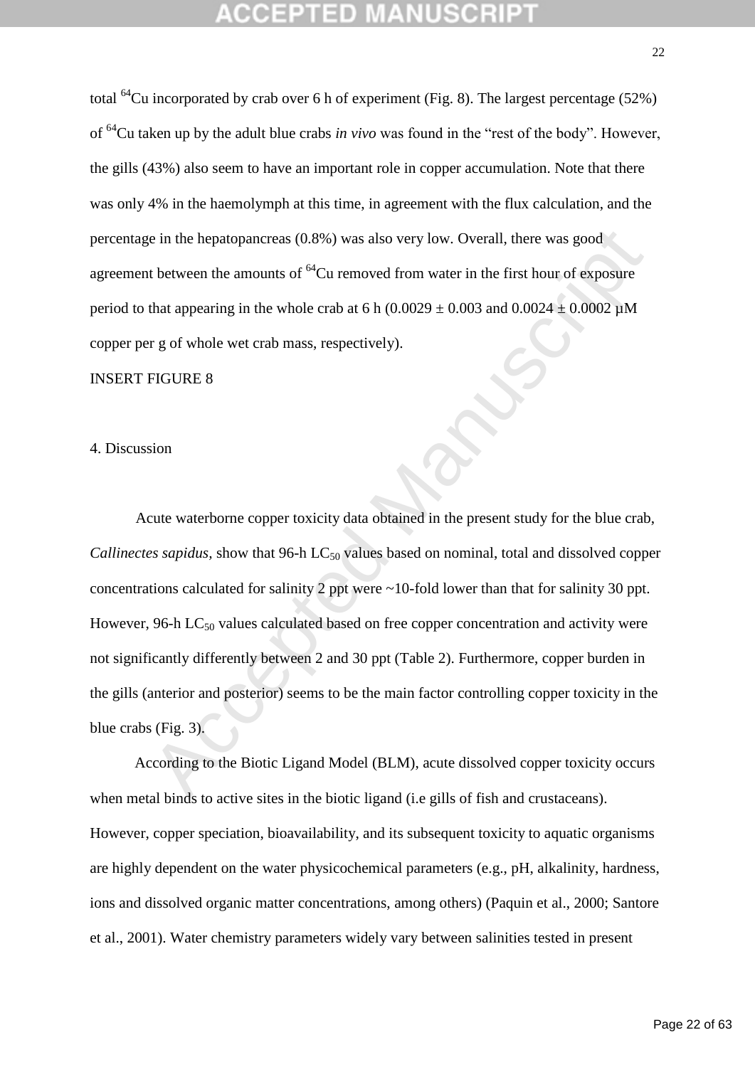total <sup>64</sup>Cu incorporated by crab over 6 h of experiment (Fig. 8). The largest percentage (52%) of <sup>64</sup>Cu taken up by the adult blue crabs *in vivo* was found in the "rest of the body". However, the gills (43%) also seem to have an important role in copper accumulation. Note that there was only 4% in the haemolymph at this time, in agreement with the flux calculation, and the percentage in the hepatopancreas (0.8%) was also very low. Overall, there was good agreement between the amounts of  ${}^{64}$ Cu removed from water in the first hour of exposure period to that appearing in the whole crab at 6 h (0.0029  $\pm$  0.003 and 0.0024  $\pm$  0.0002  $\mu$ M copper per g of whole wet crab mass, respectively).

INSERT FIGURE 8

### 4. Discussion

is in the hepatopancreas (0.8%) was also very low. Overall, there was good<br>
at between the amounts of <sup>64</sup>Cu removed from water in the first hour of exposure<br>
that appearing in the whole crab at 6 h (0.0029 ± 0.003 and 0. Acute waterborne copper toxicity data obtained in the present study for the blue crab, *Callinectes sapidus,* show that 96-h LC<sub>50</sub> values based on nominal, total and dissolved copper concentrations calculated for salinity 2 ppt were ~10-fold lower than that for salinity 30 ppt. However, 96-h  $LC_{50}$  values calculated based on free copper concentration and activity were not significantly differently between 2 and 30 ppt (Table 2). Furthermore, copper burden in the gills (anterior and posterior) seems to be the main factor controlling copper toxicity in the blue crabs (Fig. 3).

According to the Biotic Ligand Model (BLM), acute dissolved copper toxicity occurs when metal binds to active sites in the biotic ligand (*i.e gills of fish and crustaceans*). However, copper speciation, bioavailability, and its subsequent toxicity to aquatic organisms are highly dependent on the water physicochemical parameters (e.g., pH, alkalinity, hardness, ions and dissolved organic matter concentrations, among others) (Paquin et al., 2000; Santore et al., 2001). Water chemistry parameters widely vary between salinities tested in present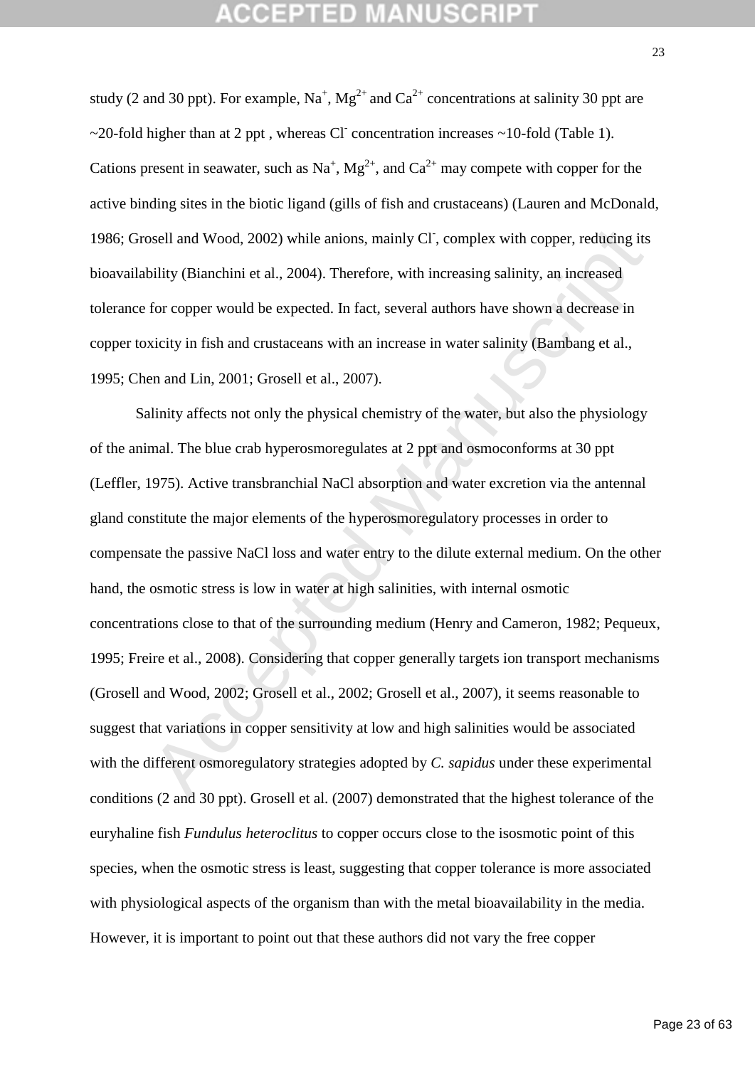study (2 and 30 ppt). For example,  $Na^+$ ,  $Mg^{2+}$  and  $Ca^{2+}$  concentrations at salinity 30 ppt are ~20-fold higher than at 2 ppt, whereas Cl concentration increases ~10-fold (Table 1). Cations present in seawater, such as Na<sup>+</sup>, Mg<sup>2+</sup>, and Ca<sup>2+</sup> may compete with copper for the active binding sites in the biotic ligand (gills of fish and crustaceans) (Lauren and McDonald, 1986; Grosell and Wood, 2002) while anions, mainly Cl, complex with copper, reducing its bioavailability (Bianchini et al., 2004). Therefore, with increasing salinity, an increased tolerance for copper would be expected. In fact, several authors have shown a decrease in copper toxicity in fish and crustaceans with an increase in water salinity (Bambang et al., 1995; Chen and Lin, 2001; Grosell et al., 2007).

osell and Wood, 2002) while anions, mainly CF, complex with copper, reducing its<br>bility (Bianchini et al., 2004). Therefore, with increasing salinity, an increased<br>for copper would be expected. In fact, several authors hav Salinity affects not only the physical chemistry of the water, but also the physiology of the animal. The blue crab hyperosmoregulates at 2 ppt and osmoconforms at 30 ppt (Leffler, 1975). Active transbranchial NaCl absorption and water excretion via the antennal gland constitute the major elements of the hyperosmoregulatory processes in order to compensate the passive NaCl loss and water entry to the dilute external medium. On the other hand, the osmotic stress is low in water at high salinities, with internal osmotic concentrations close to that of the surrounding medium (Henry and Cameron, 1982; Pequeux, 1995; Freire et al., 2008). Considering that copper generally targets ion transport mechanisms (Grosell and Wood, 2002; Grosell et al., 2002; Grosell et al., 2007), it seems reasonable to suggest that variations in copper sensitivity at low and high salinities would be associated with the different osmoregulatory strategies adopted by *C. sapidus* under these experimental conditions (2 and 30 ppt). Grosell et al. (2007) demonstrated that the highest tolerance of the euryhaline fish *Fundulus heteroclitus* to copper occurs close to the isosmotic point of this species, when the osmotic stress is least, suggesting that copper tolerance is more associated with physiological aspects of the organism than with the metal bioavailability in the media. However, it is important to point out that these authors did not vary the free copper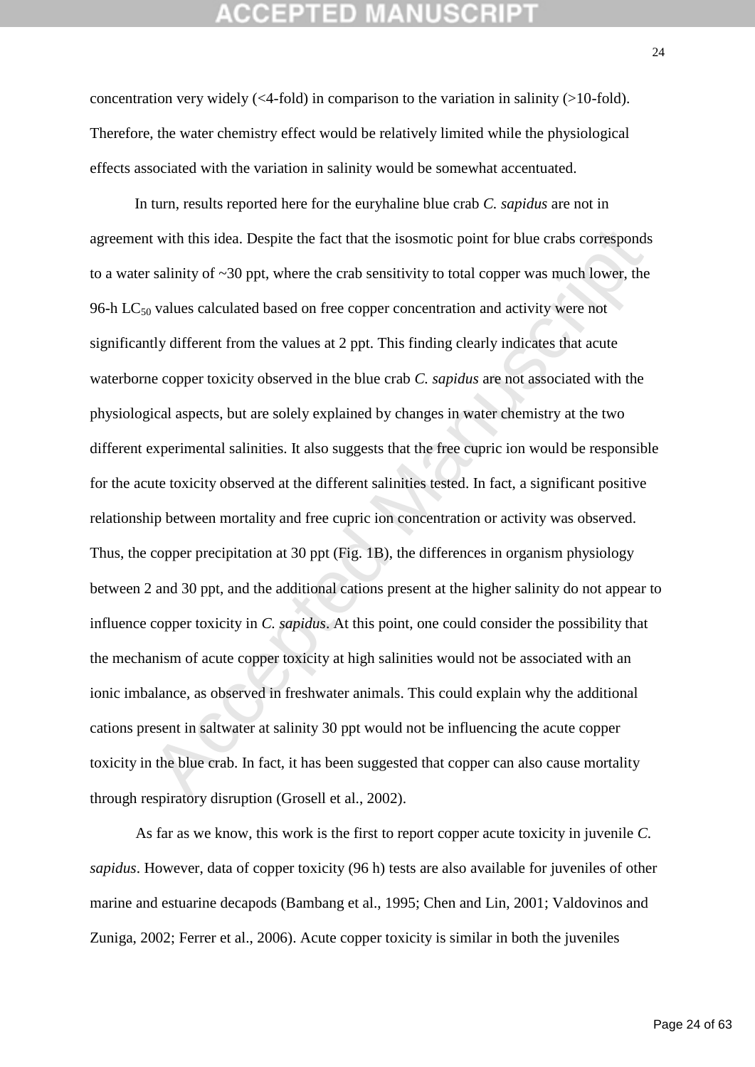## GEPTED M

concentration very widely  $(\leq 4$ -fold) in comparison to the variation in salinity  $(>10$ -fold). Therefore, the water chemistry effect would be relatively limited while the physiological effects associated with the variation in salinity would be somewhat accentuated.

it with this idea. Despite the fact that the isosmotic point for blue crabs corresponds<br>
salinity of ~30 ppt, where the crab sensitivity to total copper was much lower, the<br>
y values calculated based on free copper concen In turn, results reported here for the euryhaline blue crab *C. sapidus* are not in agreement with this idea. Despite the fact that the isosmotic point for blue crabs corresponds to a water salinity of  $\sim$ 30 ppt, where the crab sensitivity to total copper was much lower, the 96-h  $LC_{50}$  values calculated based on free copper concentration and activity were not significantly different from the values at 2 ppt. This finding clearly indicates that acute waterborne copper toxicity observed in the blue crab *C. sapidus* are not associated with the physiological aspects, but are solely explained by changes in water chemistry at the two different experimental salinities. It also suggests that the free cupric ion would be responsible for the acute toxicity observed at the different salinities tested. In fact, a significant positive relationship between mortality and free cupric ion concentration or activity was observed. Thus, the copper precipitation at 30 ppt (Fig. 1B), the differences in organism physiology between 2 and 30 ppt, and the additional cations present at the higher salinity do not appear to influence copper toxicity in *C. sapidus*. At this point, one could consider the possibility that the mechanism of acute copper toxicity at high salinities would not be associated with an ionic imbalance, as observed in freshwater animals. This could explain why the additional cations present in saltwater at salinity 30 ppt would not be influencing the acute copper toxicity in the blue crab. In fact, it has been suggested that copper can also cause mortality through respiratory disruption (Grosell et al., 2002).

As far as we know, this work is the first to report copper acute toxicity in juvenile *C. sapidus*. However, data of copper toxicity (96 h) tests are also available for juveniles of other marine and estuarine decapods (Bambang et al., 1995; Chen and Lin, 2001; Valdovinos and Zuniga, 2002; Ferrer et al., 2006). Acute copper toxicity is similar in both the juveniles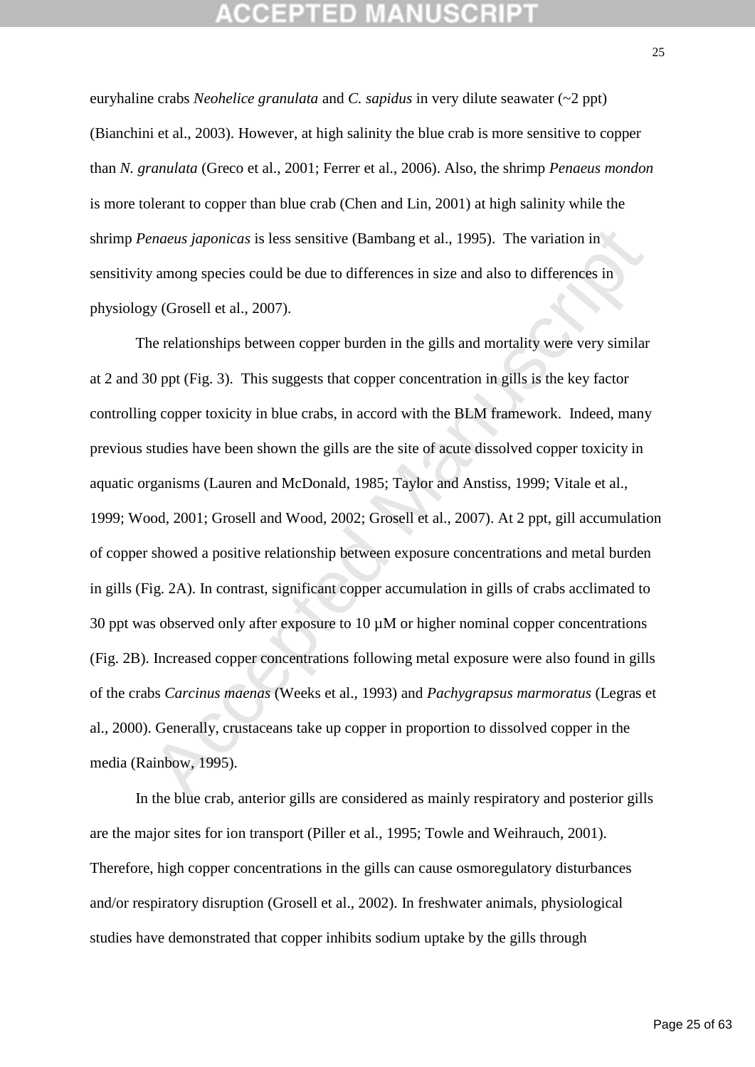euryhaline crabs *Neohelice granulata* and *C. sapidus* in very dilute seawater (~2 ppt) (Bianchini et al., 2003). However, at high salinity the blue crab is more sensitive to copper than *N. granulata* (Greco et al., 2001; Ferrer et al., 2006). Also, the shrimp *Penaeus mondon* is more tolerant to copper than blue crab (Chen and Lin, 2001) at high salinity while the shrimp *Penaeus japonicas* is less sensitive (Bambang et al., 1995). The variation in sensitivity among species could be due to differences in size and also to differences in physiology (Grosell et al., 2007).

*enaeus japonicas* is less sensitive (Bambang et al., 1995). The variation in<br>y among species could be due to differences in size and also to differences in<br>y (Grosell et al., 2007).<br>
are relationships between copper burd The relationships between copper burden in the gills and mortality were very similar at 2 and 30 ppt (Fig. 3). This suggests that copper concentration in gills is the key factor controlling copper toxicity in blue crabs, in accord with the BLM framework. Indeed, many previous studies have been shown the gills are the site of acute dissolved copper toxicity in aquatic organisms (Lauren and McDonald, 1985; Taylor and Anstiss, 1999; Vitale et al., 1999; Wood, 2001; Grosell and Wood, 2002; Grosell et al., 2007). At 2 ppt, gill accumulation of copper showed a positive relationship between exposure concentrations and metal burden in gills (Fig. 2A). In contrast, significant copper accumulation in gills of crabs acclimated to 30 ppt was observed only after exposure to 10 µM or higher nominal copper concentrations (Fig. 2B). Increased copper concentrations following metal exposure were also found in gills of the crabs *Carcinus maenas* (Weeks et al., 1993) and *Pachygrapsus marmoratus* (Legras et al., 2000). Generally, crustaceans take up copper in proportion to dissolved copper in the media (Rainbow, 1995).

In the blue crab, anterior gills are considered as mainly respiratory and posterior gills are the major sites for ion transport (Piller et al., 1995; Towle and Weihrauch, 2001). Therefore, high copper concentrations in the gills can cause osmoregulatory disturbances and/or respiratory disruption (Grosell et al., 2002). In freshwater animals, physiological studies have demonstrated that copper inhibits sodium uptake by the gills through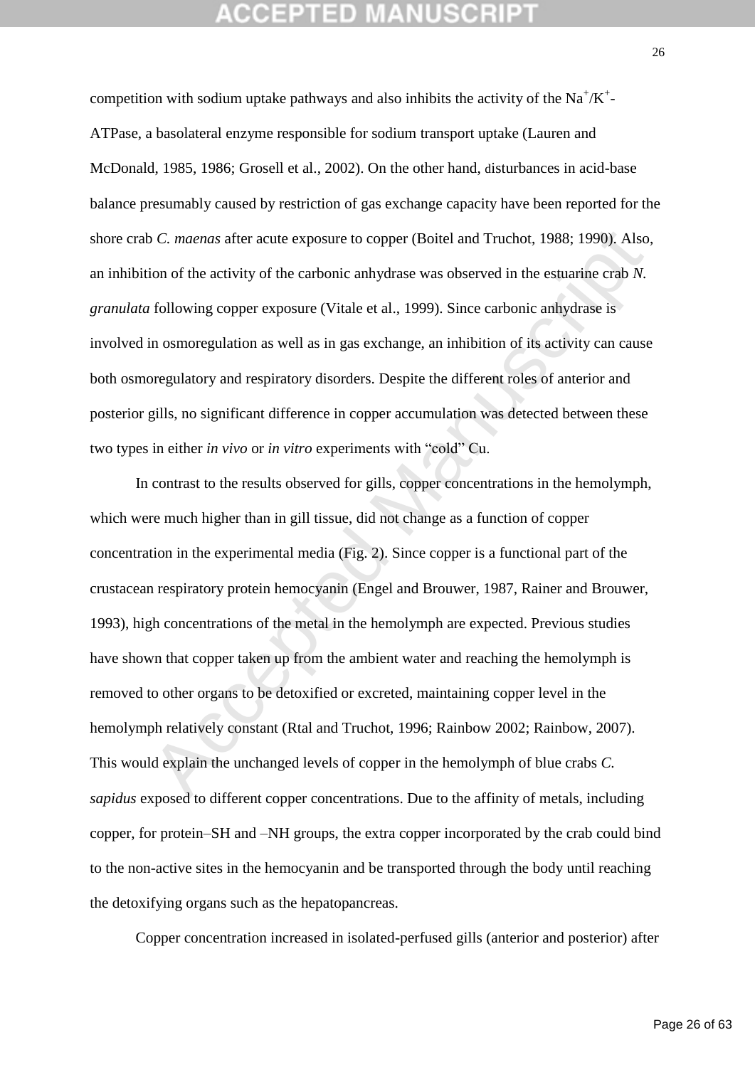## 'CEPTED M

competition with sodium uptake pathways and also inhibits the activity of the  $Na^{\dagger}/K^{\dagger}$ -ATPase, a basolateral enzyme responsible for sodium transport uptake (Lauren and McDonald, 1985, 1986; Grosell et al., 2002). On the other hand, disturbances in acid-base balance presumably caused by restriction of gas exchange capacity have been reported for the shore crab *C. maenas* after acute exposure to copper (Boitel and Truchot, 1988; 1990). Also, an inhibition of the activity of the carbonic anhydrase was observed in the estuarine crab *N. granulata* following copper exposure (Vitale et al., 1999). Since carbonic anhydrase is involved in osmoregulation as well as in gas exchange, an inhibition of its activity can cause both osmoregulatory and respiratory disorders. Despite the different roles of anterior and posterior gills, no significant difference in copper accumulation was detected between these two types in either *in vivo* or *in vitro* experiments with "cold" Cu.

o *C. maenas* after acute exposure to copper (Boitel and Truchot, 1988; 1990). Also,<br>ion of the activity of the carbonic anhydrase was observed in the estuarine crab *N*.<br>following copper exposure (Vitale et al., 1999). Si In contrast to the results observed for gills, copper concentrations in the hemolymph, which were much higher than in gill tissue, did not change as a function of copper concentration in the experimental media (Fig. 2). Since copper is a functional part of the crustacean respiratory protein hemocyanin (Engel and Brouwer, 1987, Rainer and Brouwer, 1993), high concentrations of the metal in the hemolymph are expected. Previous studies have shown that copper taken up from the ambient water and reaching the hemolymph is removed to other organs to be detoxified or excreted, maintaining copper level in the hemolymph relatively constant (Rtal and Truchot, 1996; Rainbow 2002; Rainbow, 2007). This would explain the unchanged levels of copper in the hemolymph of blue crabs *C. sapidus* exposed to different copper concentrations. Due to the affinity of metals, including copper, for protein–SH and –NH groups, the extra copper incorporated by the crab could bind to the non-active sites in the hemocyanin and be transported through the body until reaching the detoxifying organs such as the hepatopancreas.

Copper concentration increased in isolated-perfused gills (anterior and posterior) after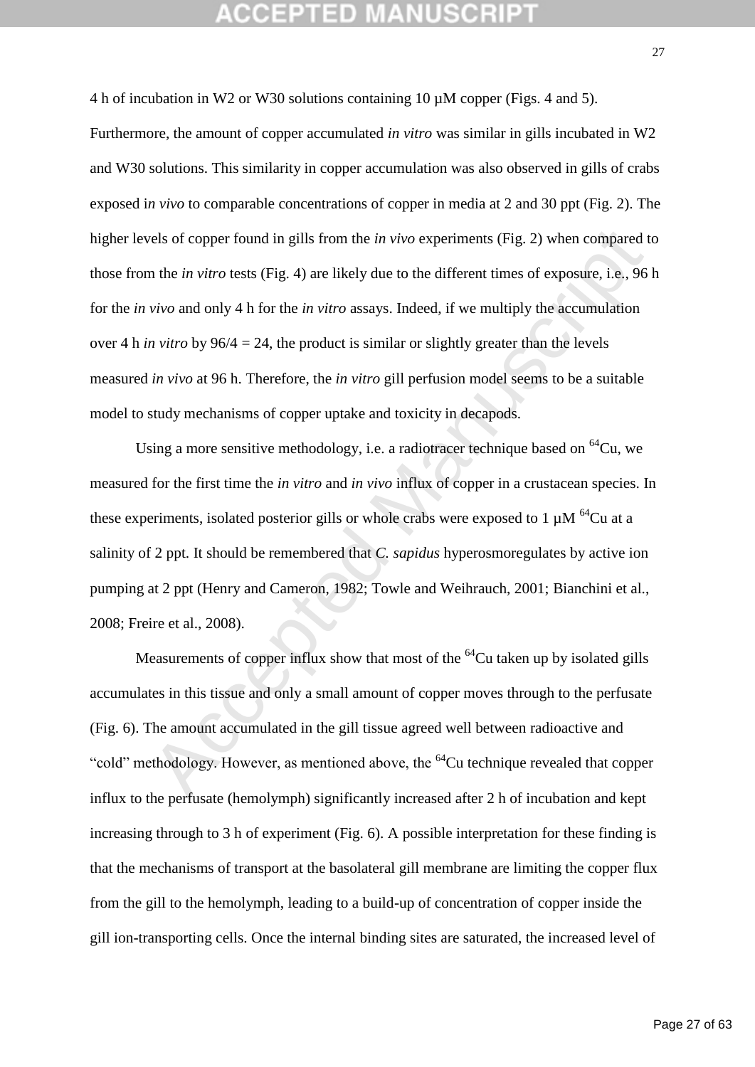4 h of incubation in W2 or W30 solutions containing 10 µM copper (Figs. 4 and 5).

rels of copper found in gills from the *in vivo* experiments (Fig. 2) when compared to the *in vitro* tests (Fig. 4) are likely due to the different times of exposure, i.e., 96 vivo and only 4 h for the *in vitro* assays. Furthermore, the amount of copper accumulated *in vitro* was similar in gills incubated in W2 and W30 solutions. This similarity in copper accumulation was also observed in gills of crabs exposed i*n vivo* to comparable concentrations of copper in media at 2 and 30 ppt (Fig. 2). The higher levels of copper found in gills from the *in vivo* experiments (Fig. 2) when compared to those from the *in vitro* tests (Fig. 4) are likely due to the different times of exposure, i.e., 96 h for the *in vivo* and only 4 h for the *in vitro* assays. Indeed, if we multiply the accumulation over 4 h *in vitro* by 96/4 = 24, the product is similar or slightly greater than the levels measured *in vivo* at 96 h. Therefore, the *in vitro* gill perfusion model seems to be a suitable model to study mechanisms of copper uptake and toxicity in decapods.

Using a more sensitive methodology, i.e. a radiotracer technique based on  ${}^{64}Cu$ , we measured for the first time the *in vitro* and *in vivo* influx of copper in a crustacean species. In these experiments, isolated posterior gills or whole crabs were exposed to 1  $\mu$ M <sup>64</sup>Cu at a salinity of 2 ppt. It should be remembered that *C. sapidus* hyperosmoregulates by active ion pumping at 2 ppt (Henry and Cameron, 1982; Towle and Weihrauch, 2001; Bianchini et al., 2008; Freire et al., 2008).

Measurements of copper influx show that most of the  $^{64}$ Cu taken up by isolated gills accumulates in this tissue and only a small amount of copper moves through to the perfusate (Fig. 6). The amount accumulated in the gill tissue agreed well between radioactive and "cold" methodology. However, as mentioned above, the <sup>64</sup>Cu technique revealed that copper influx to the perfusate (hemolymph) significantly increased after 2 h of incubation and kept increasing through to 3 h of experiment (Fig. 6). A possible interpretation for these finding is that the mechanisms of transport at the basolateral gill membrane are limiting the copper flux from the gill to the hemolymph, leading to a build-up of concentration of copper inside the gill ion-transporting cells. Once the internal binding sites are saturated, the increased level of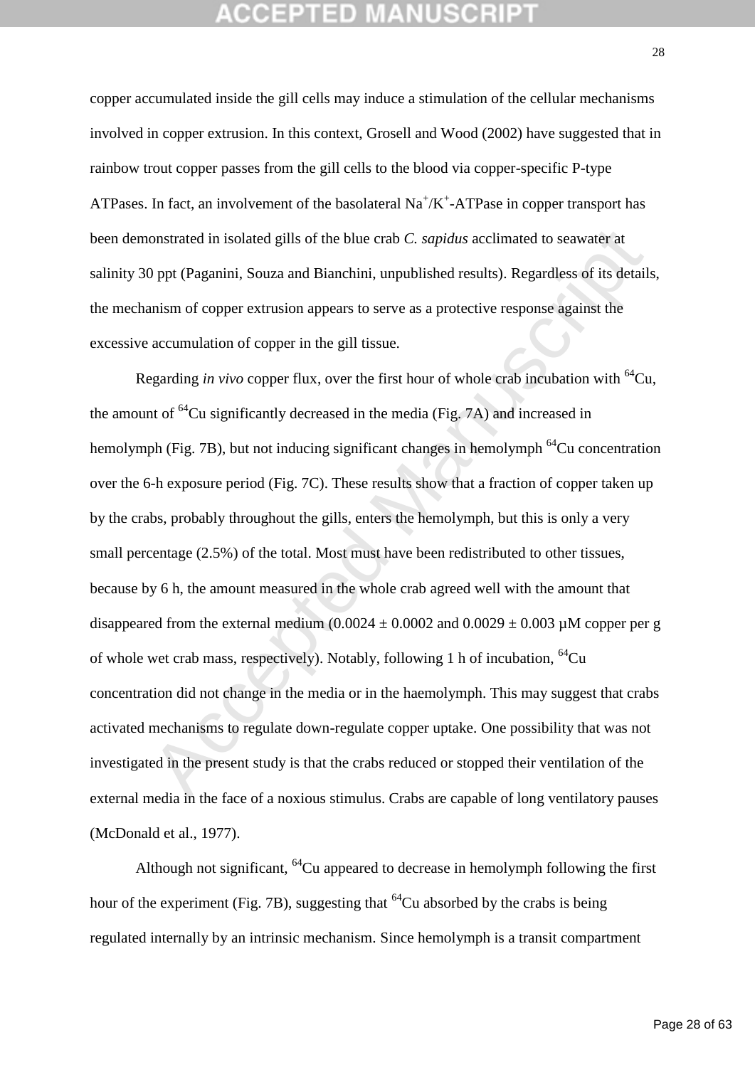copper accumulated inside the gill cells may induce a stimulation of the cellular mechanisms involved in copper extrusion. In this context, Grosell and Wood (2002) have suggested that in rainbow trout copper passes from the gill cells to the blood via copper-specific P-type ATPases. In fact, an involvement of the basolateral  $Na^+/K^+$ -ATPase in copper transport has been demonstrated in isolated gills of the blue crab *C. sapidus* acclimated to seawater at salinity 30 ppt (Paganini, Souza and Bianchini, unpublished results). Regardless of its details, the mechanism of copper extrusion appears to serve as a protective response against the excessive accumulation of copper in the gill tissue.

onstrated in isolated gills of the blue crab *C. sapidus* acclimated to seawater at<br>
D ppt (Paganini, Souza and Bianchini, unpublished results). Regardless of its detail<br>
anism of copper extrusion appears to serve as a pr Regarding *in vivo* copper flux, over the first hour of whole crab incubation with <sup>64</sup>Cu, the amount of  ${}^{64}$ Cu significantly decreased in the media (Fig. 7A) and increased in hemolymph (Fig. 7B), but not inducing significant changes in hemolymph  $^{64}$ Cu concentration over the 6-h exposure period (Fig. 7C). These results show that a fraction of copper taken up by the crabs, probably throughout the gills, enters the hemolymph, but this is only a very small percentage (2.5%) of the total. Most must have been redistributed to other tissues, because by 6 h, the amount measured in the whole crab agreed well with the amount that disappeared from the external medium  $(0.0024 \pm 0.0002$  and  $(0.0029 \pm 0.003 \mu)$  copper per g of whole wet crab mass, respectively). Notably, following 1 h of incubation, <sup>64</sup>Cu concentration did not change in the media or in the haemolymph. This may suggest that crabs activated mechanisms to regulate down-regulate copper uptake. One possibility that was not investigated in the present study is that the crabs reduced or stopped their ventilation of the external media in the face of a noxious stimulus. Crabs are capable of long ventilatory pauses (McDonald et al., 1977).

Although not significant,  $^{64}$ Cu appeared to decrease in hemolymph following the first hour of the experiment (Fig. 7B), suggesting that  $^{64}$ Cu absorbed by the crabs is being regulated internally by an intrinsic mechanism. Since hemolymph is a transit compartment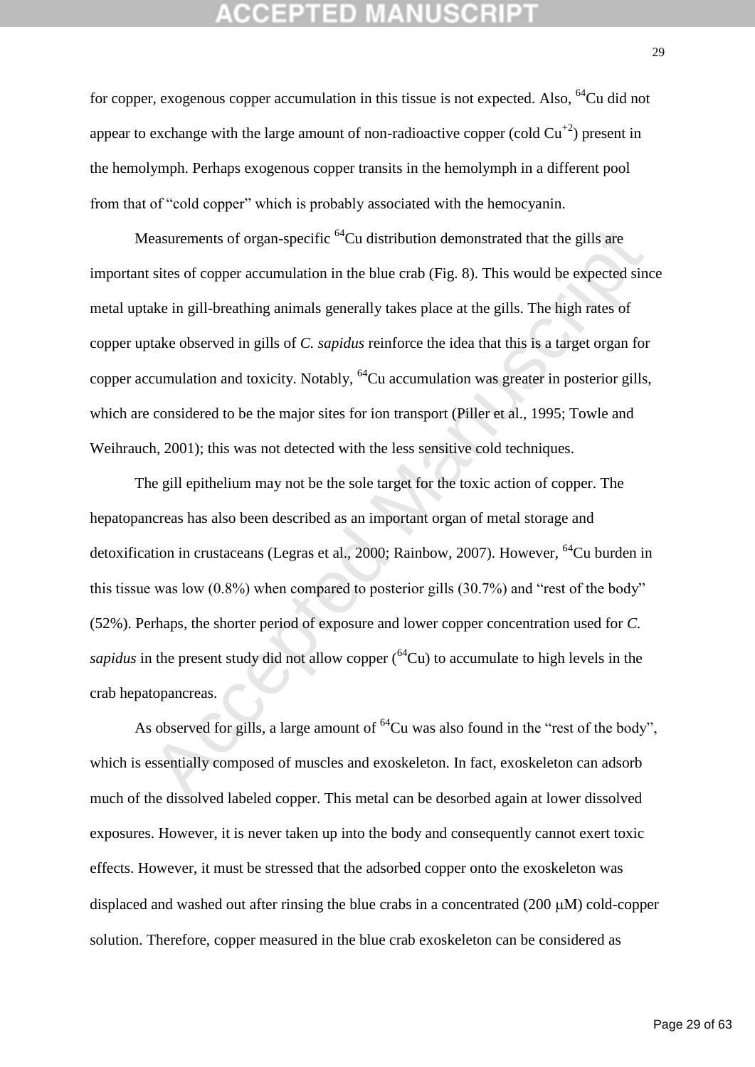for copper, exogenous copper accumulation in this tissue is not expected. Also,  $^{64}$ Cu did not appear to exchange with the large amount of non-radioactive copper (cold  $Cu^{+2}$ ) present in the hemolymph. Perhaps exogenous copper transits in the hemolymph in a different pool from that of "cold copper" which is probably associated with the hemocyanin.

Measurements of organ-specific <sup>64</sup>Cu distribution demonstrated that the gills are important sites of copper accumulation in the blue crab (Fig. 8). This would be expected since metal uptake in gill-breathing animals generally takes place at the gills. The high rates of copper uptake observed in gills of *C. sapidus* reinforce the idea that this is a target organ for copper accumulation and toxicity. Notably,  $^{64}$ Cu accumulation was greater in posterior gills, which are considered to be the major sites for ion transport (Piller et al., 1995; Towle and Weihrauch, 2001); this was not detected with the less sensitive cold techniques.

easurements of organ-specific <sup>64</sup>Cu distribution demonstrated that the gills are<br>sites of copper accumulation in the blue crab (Fig. 8). This would be expected sin<br>ake in gill-breathing animals generally takes place at t The gill epithelium may not be the sole target for the toxic action of copper. The hepatopancreas has also been described as an important organ of metal storage and detoxification in crustaceans (Legras et al., 2000; Rainbow, 2007). However, <sup>64</sup>Cu burden in this tissue was low (0.8%) when compared to posterior gills (30.7%) and "rest of the body" (52%). Perhaps, the shorter period of exposure and lower copper concentration used for *C. sapidus* in the present study did not allow copper  $(64Cu)$  to accumulate to high levels in the crab hepatopancreas.

As observed for gills, a large amount of  ${}^{64}$ Cu was also found in the "rest of the body", which is essentially composed of muscles and exoskeleton. In fact, exoskeleton can adsorb much of the dissolved labeled copper. This metal can be desorbed again at lower dissolved exposures. However, it is never taken up into the body and consequently cannot exert toxic effects. However, it must be stressed that the adsorbed copper onto the exoskeleton was displaced and washed out after rinsing the blue crabs in a concentrated  $(200 \mu M)$  cold-copper solution. Therefore, copper measured in the blue crab exoskeleton can be considered as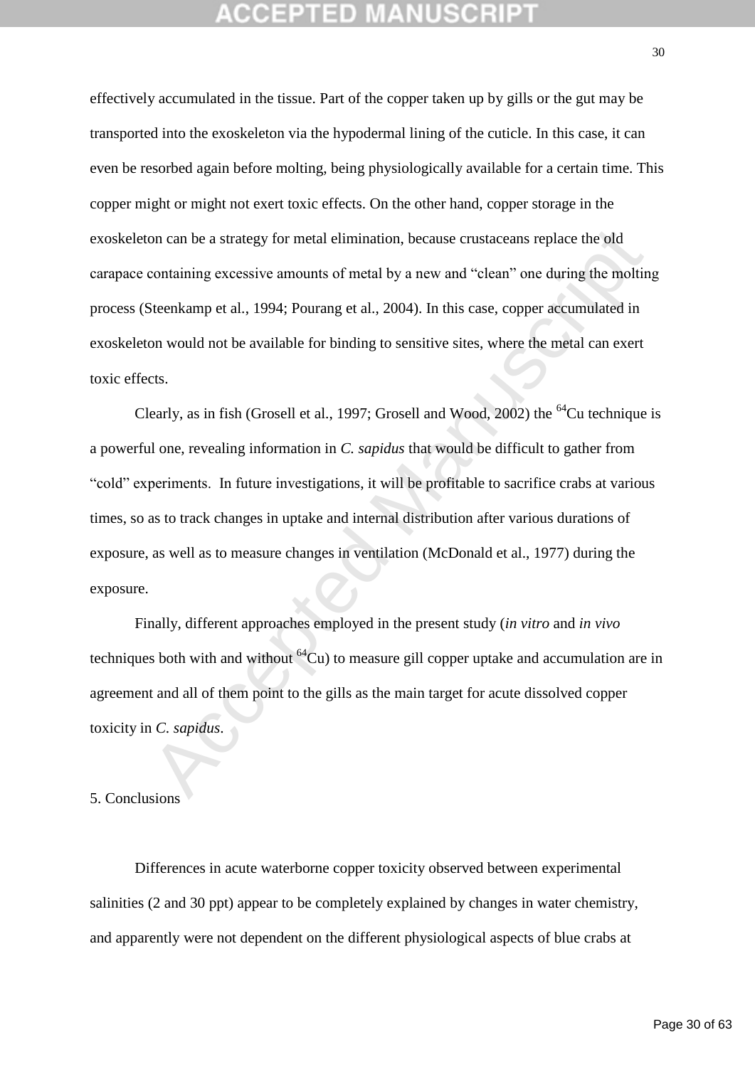effectively accumulated in the tissue. Part of the copper taken up by gills or the gut may be transported into the exoskeleton via the hypodermal lining of the cuticle. In this case, it can even be resorbed again before molting, being physiologically available for a certain time. This copper might or might not exert toxic effects. On the other hand, copper storage in the exoskeleton can be a strategy for metal elimination, because crustaceans replace the old carapace containing excessive amounts of metal by a new and "clean" one during the molting process (Steenkamp et al., 1994; Pourang et al., 2004). In this case, copper accumulated in exoskeleton would not be available for binding to sensitive sites, where the metal can exert toxic effects.

on can be a strategy for metal elimination, because crustaceans replace the old<br>containing excessive amounts of metal by a new and "clean" one during the moltin<br>Steenkamp et al., 1994; Pourang et al., 2004). In this case, Clearly, as in fish (Grosell et al., 1997; Grosell and Wood, 2002) the  $^{64}$ Cu technique is a powerful one, revealing information in *C. sapidus* that would be difficult to gather from "cold" experiments. In future investigations, it will be profitable to sacrifice crabs at various times, so as to track changes in uptake and internal distribution after various durations of exposure, as well as to measure changes in ventilation (McDonald et al., 1977) during the exposure.

Finally, different approaches employed in the present study (*in vitro* and *in vivo* techniques both with and without  $^{64}Cu$ ) to measure gill copper uptake and accumulation are in agreement and all of them point to the gills as the main target for acute dissolved copper toxicity in *C. sapidus*.

### 5. Conclusions

Differences in acute waterborne copper toxicity observed between experimental salinities (2 and 30 ppt) appear to be completely explained by changes in water chemistry, and apparently were not dependent on the different physiological aspects of blue crabs at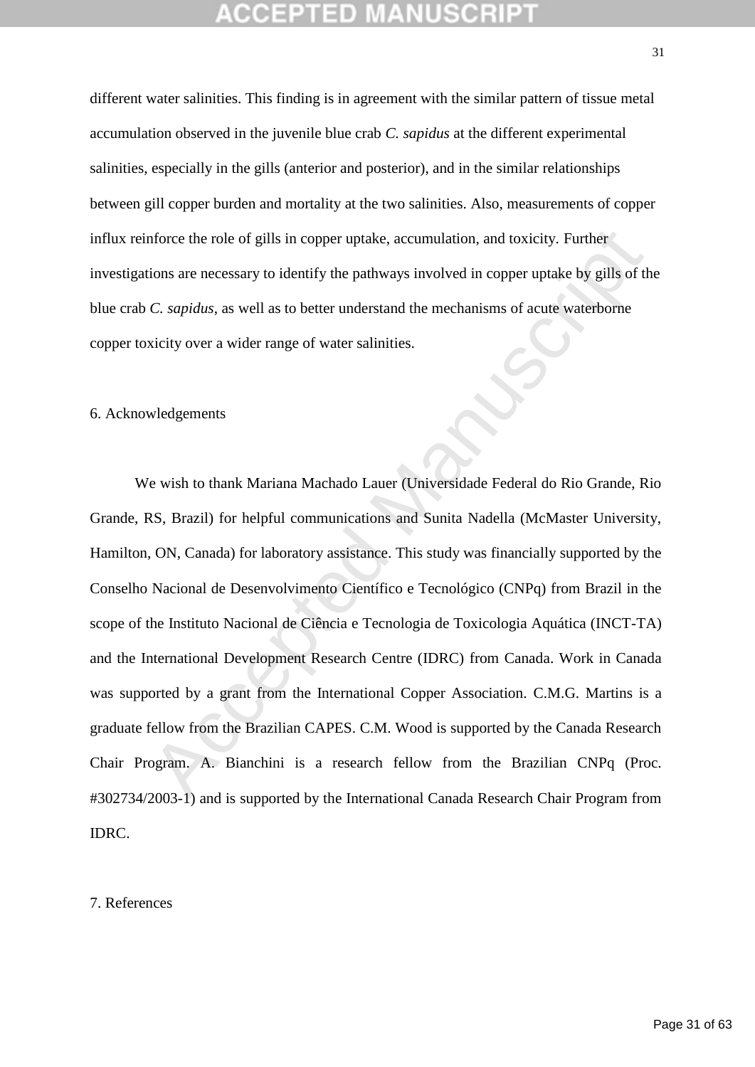different water salinities. This finding is in agreement with the similar pattern of tissue metal accumulation observed in the juvenile blue crab *C. sapidus* at the different experimental salinities, especially in the gills (anterior and posterior), and in the similar relationships between gill copper burden and mortality at the two salinities. Also, measurements of copper influx reinforce the role of gills in copper uptake, accumulation, and toxicity. Further investigations are necessary to identify the pathways involved in copper uptake by gills of the blue crab *C. sapidus*, as well as to better understand the mechanisms of acute waterborne copper toxicity over a wider range of water salinities.

### 6. Acknowledgements

more the role of gills in copper uptake, accumulation, and toxicity. Further<br>
ions are necessary to identify the pathways involved in copper uptake by gills of the<br>
C. sapidus, as well as to better understand the mechanism We wish to thank Mariana Machado Lauer (Universidade Federal do Rio Grande, Rio Grande, RS, Brazil) for helpful communications and Sunita Nadella (McMaster University, Hamilton, ON, Canada) for laboratory assistance. This study was financially supported by the Conselho Nacional de Desenvolvimento Científico e Tecnológico (CNPq) from Brazil in the scope of the Instituto Nacional de Ciência e Tecnologia de Toxicologia Aquática (INCT-TA) and the International Development Research Centre (IDRC) from Canada. Work in Canada was supported by a grant from the International Copper Association. C.M.G. Martins is a graduate fellow from the Brazilian CAPES. C.M. Wood is supported by the Canada Research Chair Program. A. Bianchini is a research fellow from the Brazilian CNPq (Proc. #302734/2003-1) and is supported by the International Canada Research Chair Program from IDRC.

### 7. References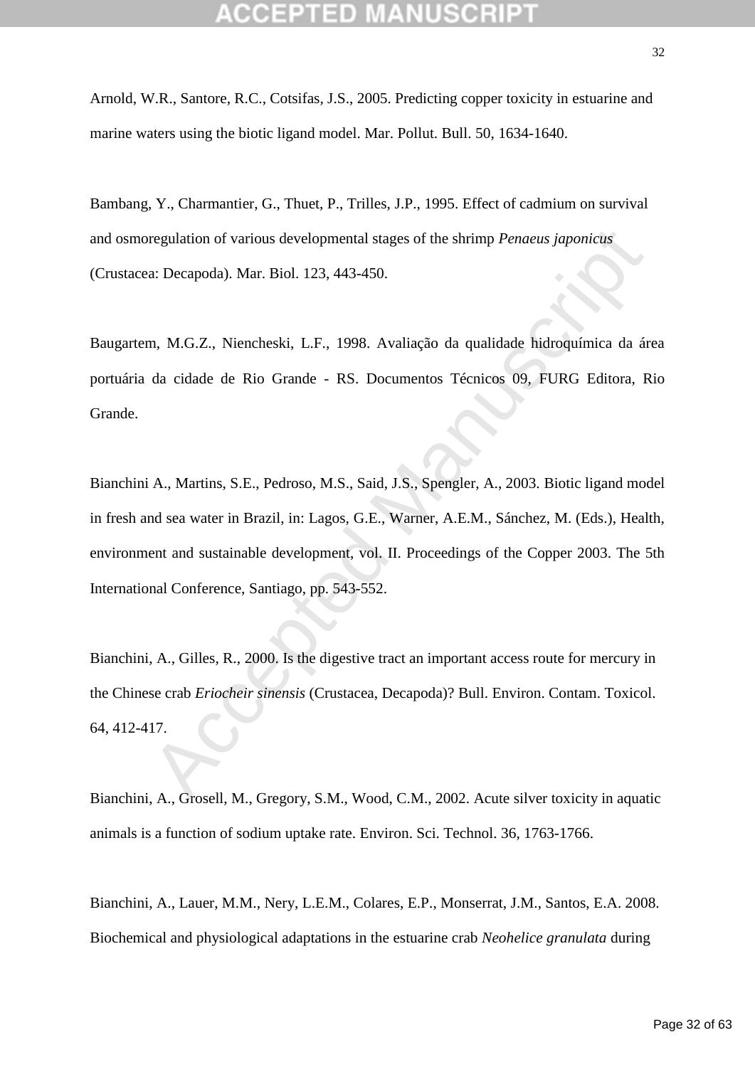Arnold, W.R., Santore, R.C., Cotsifas, J.S., 2005. Predicting copper toxicity in estuarine and marine waters using the biotic ligand model. Mar. Pollut. Bull. 50, 1634-1640.

Bambang, Y., Charmantier, G., Thuet, P., Trilles, J.P., 1995. Effect of cadmium on survival and osmoregulation of various developmental stages of the shrimp *Penaeus japonicus*  (Crustacea: Decapoda). Mar. Biol. 123, 443-450.

Baugartem, M.G.Z., Niencheski, L.F., 1998. Avaliação da qualidade hidroquímica da área portuária da cidade de Rio Grande - RS. Documentos Técnicos 09, FURG Editora, Rio Grande.

regulation of various developmental stages of the shrimp *Penaeus japonicus*<br>a: Decapoda). Mar. Biol. 123, 443-450.<br> **n. M.G.Z.**, Niencheski, L.F., 1998. Avaliação da qualidade hidroquímica da ár<br>
da cidade de Rio Grande -Bianchini A., Martins, S.E., Pedroso, M.S., Said, J.S., Spengler, A., 2003. Biotic ligand model in fresh and sea water in Brazil, in: Lagos, G.E., Warner, A.E.M., Sánchez, M. (Eds.), Health, environment and sustainable development, vol. II. Proceedings of the Copper 2003. The 5th International Conference, Santiago, pp. 543-552.

Bianchini, A., Gilles, R., 2000. Is the digestive tract an important access route for mercury in the Chinese crab *Eriocheir sinensis* (Crustacea, Decapoda)? Bull. Environ. Contam. Toxicol. 64, 412-417.

Bianchini, A., Grosell, M., Gregory, S.M., Wood, C.M., 2002. Acute silver toxicity in aquatic animals is a function of sodium uptake rate. Environ. Sci. Technol. 36, 1763-1766.

Bianchini, A., Lauer, M.M., Nery, L.E.M., Colares, E.P., Monserrat, J.M., Santos, E.A. 2008. Biochemical and physiological adaptations in the estuarine crab *Neohelice granulata* during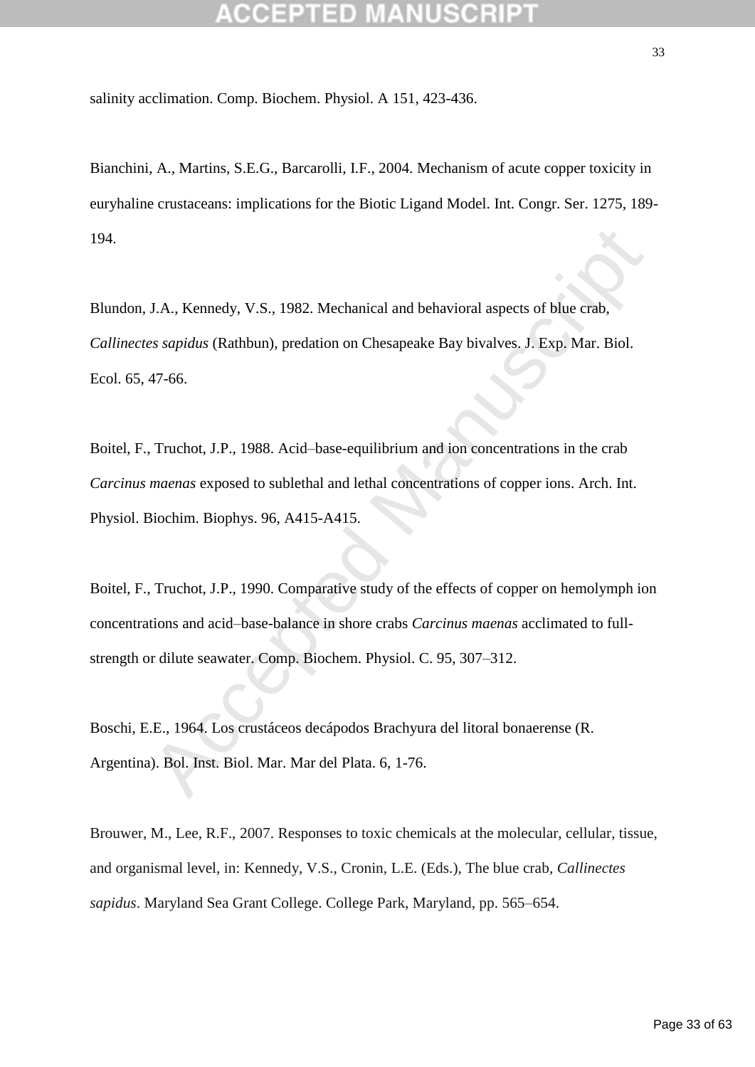salinity acclimation. Comp. Biochem. Physiol. A 151, 423-436.

Bianchini, A., Martins, S.E.G., Barcarolli, I.F., 2004. Mechanism of acute copper toxicity in euryhaline crustaceans: implications for the Biotic Ligand Model. Int. Congr. Ser. 1275, 189- 194.

Blundon, J.A., Kennedy, V.S., 1982. Mechanical and behavioral aspects of blue crab, *Callinectes sapidus* (Rathbun), predation on Chesapeake Bay bivalves. J. Exp. Mar. Biol. Ecol. 65, 47-66.

Boitel, F., Truchot, J.P., 1988. Acid–base-equilibrium and ion concentrations in the crab *Carcinus maenas* exposed to sublethal and lethal concentrations of copper ions. Arch. Int. Physiol. Biochim. Biophys. 96, A415-A415.

J.A., Kennedy, V.S., 1982. Mechanical and behavioral aspects of blue crab, *es sapidus* (Rathbun), predation on Chesapeake Bay bivalves. J. Exp. Mar. Biol. 47-66.<br>The method Manuscripts of the same equilibrium and ion conc Boitel, F., Truchot, J.P., 1990. Comparative study of the effects of copper on hemolymph ion concentrations and acid–base-balance in shore crabs *Carcinus maenas* acclimated to fullstrength or dilute seawater. Comp. Biochem. Physiol. C. 95, 307–312.

Boschi, E.E., 1964. Los crustáceos decápodos Brachyura del litoral bonaerense (R. Argentina). Bol. Inst. Biol. Mar. Mar del Plata. 6, 1-76.

Brouwer, M., Lee, R.F., 2007. Responses to toxic chemicals at the molecular, cellular, tissue, and organismal level, in: Kennedy, V.S., Cronin, L.E. (Eds.), The blue crab, *Callinectes sapidus*. Maryland Sea Grant College. College Park, Maryland, pp. 565–654.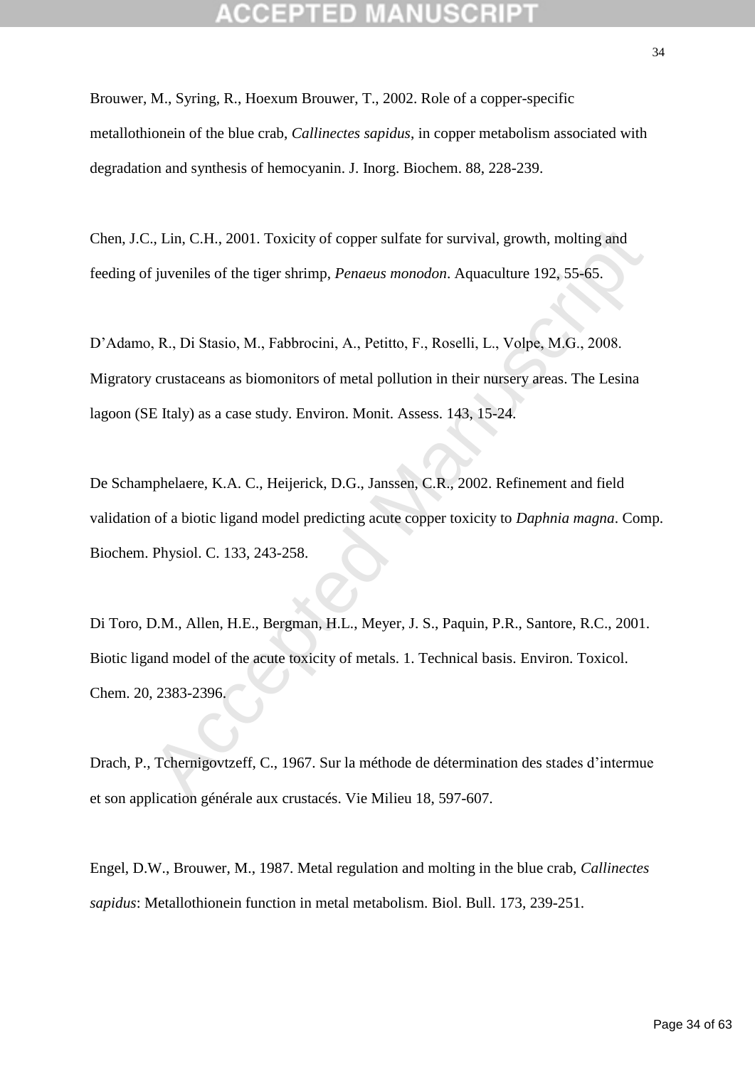Brouwer, M., Syring, R., Hoexum Brouwer, T., 2002. Role of a copper-specific metallothionein of the blue crab, *Callinectes sapidus*, in copper metabolism associated with degradation and synthesis of hemocyanin. J. Inorg. Biochem. 88, 228-239.

Chen, J.C., Lin, C.H., 2001. Toxicity of copper sulfate for survival, growth, molting and feeding of juveniles of the tiger shrimp, *Penaeus monodon*. Aquaculture 192, 55-65.

D'Adamo, R., Di Stasio, M., Fabbrocini, A., Petitto, F., Roselli, L., Volpe, M.G., 2008. Migratory crustaceans as biomonitors of metal pollution in their nursery areas. The Lesina lagoon (SE Italy) as a case study. Environ. Monit. Assess. 143, 15-24.

De Schamphelaere, K.A. C., Heijerick, D.G., Janssen, C.R., 2002. Refinement and field validation of a biotic ligand model predicting acute copper toxicity to *Daphnia magna*. Comp. Biochem. Physiol. C. 133, 243-258.

C., Lin, C.H., 2001. Toxicity of copper sulfate for survival, growth, molting and<br>
f juveniles of the tiger shrimp, *Penaeus monodon*. Aquaculture 192, 55-65.<br>
1, R., Di Stasio, M., Fabbrocini, A., Petitto, F., Roselli, L. Di Toro, D.M., Allen, H.E., Bergman, H.L., Meyer, J. S., Paquin, P.R., Santore, R.C., 2001. Biotic ligand model of the acute toxicity of metals. 1. Technical basis. Environ. Toxicol. Chem. 20, 2383-2396.

Drach, P., Tchernigovtzeff, C., 1967. Sur la méthode de détermination des stades d'intermue et son application générale aux crustacés. Vie Milieu 18, 597-607.

Engel, D.W., Brouwer, M., 1987. Metal regulation and molting in the blue crab, *Callinectes sapidus*: Metallothionein function in metal metabolism. Biol. Bull. 173, 239-251.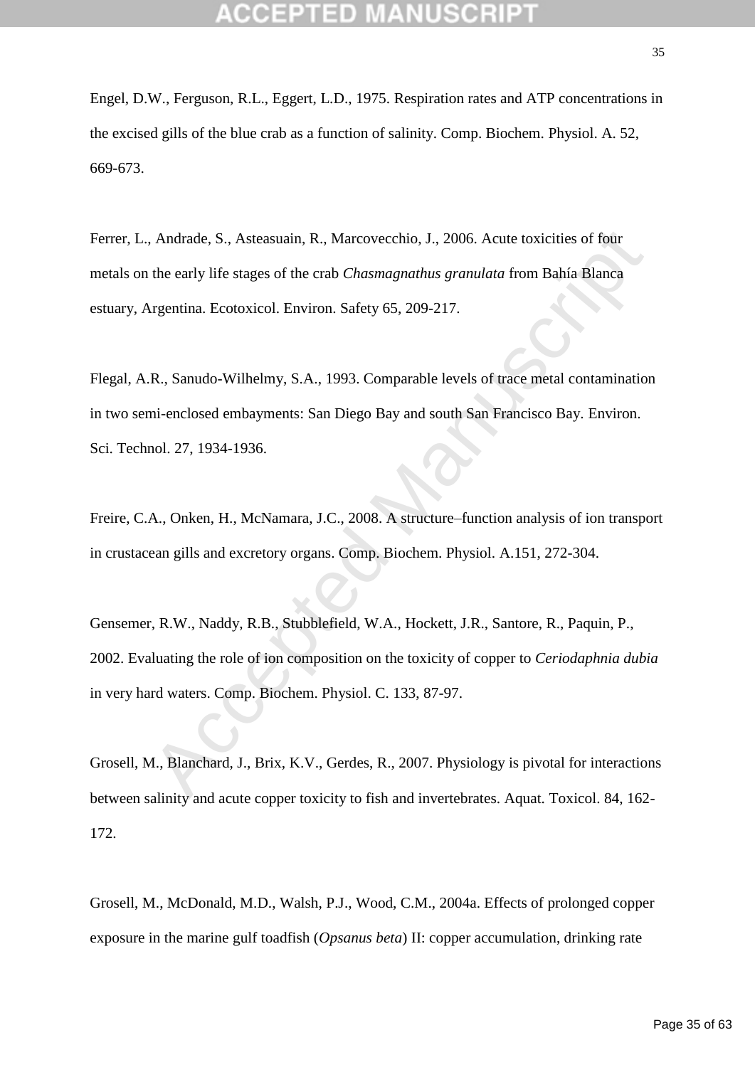Engel, D.W., Ferguson, R.L., Eggert, L.D., 1975. Respiration rates and ATP concentrations in the excised gills of the blue crab as a function of salinity. Comp. Biochem. Physiol. A. 52, 669-673.

Ferrer, L., Andrade, S., Asteasuain, R., Marcovecchio, J., 2006. Acute toxicities of four metals on the early life stages of the crab *Chasmagnathus granulata* from Bahía Blanca estuary, Argentina. Ecotoxicol. Environ. Safety 65, 209-217.

Flegal, A.R., Sanudo-Wilhelmy, S.A., 1993. Comparable levels of trace metal contamination in two semi-enclosed embayments: San Diego Bay and south San Francisco Bay. Environ. Sci. Technol. 27, 1934-1936.

Freire, C.A., Onken, H., McNamara, J.C., 2008. A structure–function analysis of ion transport in crustacean gills and excretory organs. Comp. Biochem. Physiol. A.151, 272-304.

, Andrade, S., Asteasuain, R., Marcovecchio, J., 2006. Acute toxicities of four<br>the early life stages of the crab *Chasmagnathus granulata* from Bahía Blanca<br>tygentina. Ecotoxicol. Environ. Safety 65, 209-217.<br>R., Sanudo-W Gensemer, R.W., Naddy, R.B., Stubblefield, W.A., Hockett, J.R., Santore, R., Paquin, P., 2002. Evaluating the role of ion composition on the toxicity of copper to *Ceriodaphnia dubia* in very hard waters. Comp. Biochem. Physiol. C. 133, 87-97.

Grosell, M., Blanchard, J., Brix, K.V., Gerdes, R., 2007. Physiology is pivotal for interactions between salinity and acute copper toxicity to fish and invertebrates. Aquat. Toxicol. 84, 162- 172.

Grosell, M., McDonald, M.D., Walsh, P.J., Wood, C.M., 2004a. Effects of prolonged copper exposure in the marine gulf toadfish (*Opsanus beta*) II: copper accumulation, drinking rate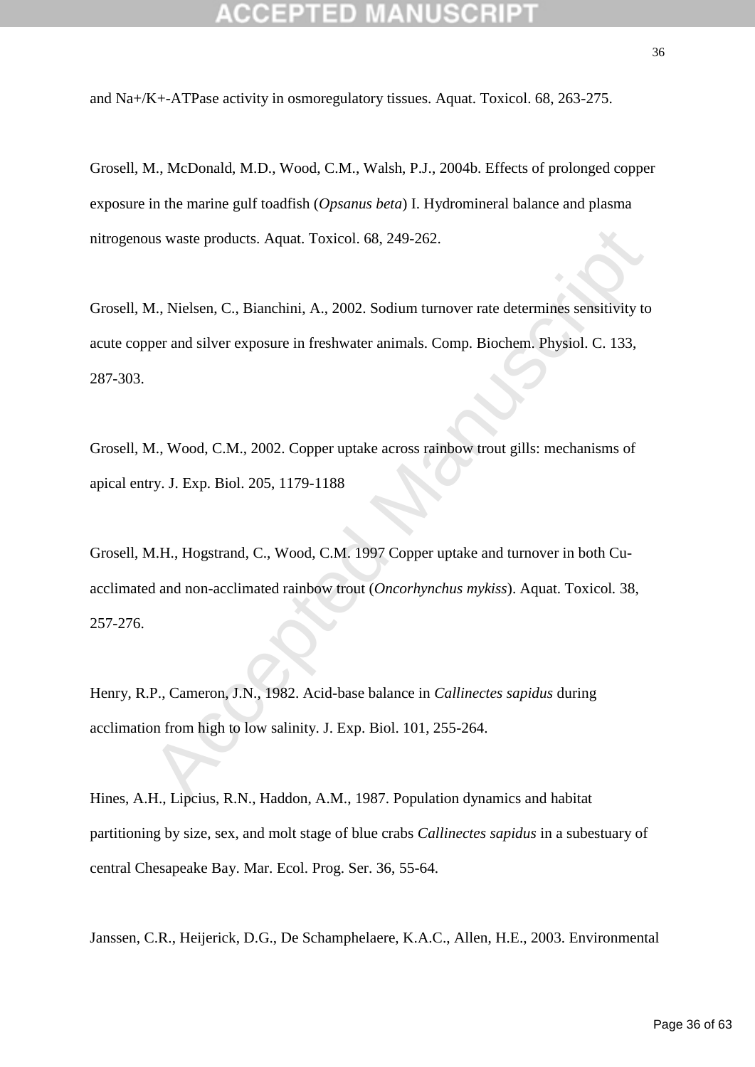and Na+/K+-ATPase activity in osmoregulatory tissues. Aquat. Toxicol. 68, 263-275.

Grosell, M., McDonald, M.D., Wood, C.M., Walsh, P.J., 2004b. Effects of prolonged copper exposure in the marine gulf toadfish (*Opsanus beta*) I. Hydromineral balance and plasma nitrogenous waste products. Aquat. Toxicol. 68, 249-262.

us waste products. Aquat. Toxicol. 68, 249-262.<br>
A., Nielsen, C., Bianchini, A., 2002. Sodium tumover rate determines sensitivity to<br>
per and silver exposure in freshwater animals. Comp. Biochem. Physiol. C. 133,<br>
A., Wood Grosell, M., Nielsen, C., Bianchini, A., 2002. Sodium turnover rate determines sensitivity to acute copper and silver exposure in freshwater animals. Comp. Biochem. Physiol. C. 133, 287-303.

Grosell, M., Wood, C.M., 2002. Copper uptake across rainbow trout gills: mechanisms of apical entry. J. Exp. Biol. 205, 1179-1188

Grosell, M.H., Hogstrand, C., Wood, C.M. 1997 Copper uptake and turnover in both Cuacclimated and non-acclimated rainbow trout (*Oncorhynchus mykiss*). Aquat. Toxicol*.* 38, 257-276.

Henry, R.P., Cameron, J.N., 1982. Acid-base balance in *Callinectes sapidus* during acclimation from high to low salinity. J. Exp. Biol. 101, 255-264.

Hines, A.H., Lipcius, R.N., Haddon, A.M., 1987. Population dynamics and habitat partitioning by size, sex, and molt stage of blue crabs *Callinectes sapidus* in a subestuary of central Chesapeake Bay. Mar. Ecol. Prog. Ser. 36, 55-64.

Janssen, C.R., Heijerick, D.G., De Schamphelaere, K.A.C., Allen, H.E., 2003. Environmental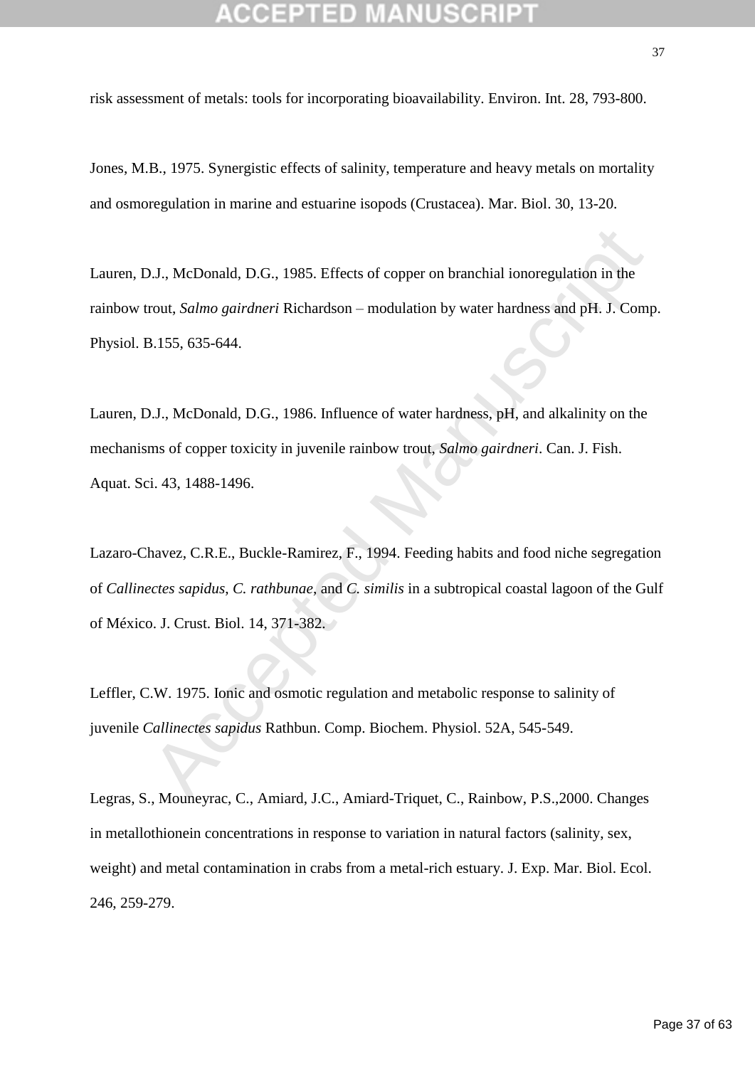risk assessment of metals: tools for incorporating bioavailability. Environ. Int. 28, 793-800.

Jones, M.B., 1975. Synergistic effects of salinity, temperature and heavy metals on mortality and osmoregulation in marine and estuarine isopods (Crustacea). Mar. Biol. 30, 13-20.

Lauren, D.J., McDonald, D.G., 1985. Effects of copper on branchial ionoregulation in the rainbow trout, *Salmo gairdneri* Richardson – modulation by water hardness and pH. J. Comp. Physiol. B.155, 635-644.

Lauren, D.J., McDonald, D.G., 1986. Influence of water hardness, pH, and alkalinity on the mechanisms of copper toxicity in juvenile rainbow trout, *Salmo gairdneri*. Can. J. Fish. Aquat. Sci. 43, 1488-1496.

**D.J., McDonald, D.G., 1985. Effects of copper on branchial ionoregulation in the rout,** *Salmo gairdneri* **Richardson – modulation by water hardness and pH. J. Comparent Comparent Manuscripts and Manuscripts and Manuscripts** Lazaro-Chavez, C.R.E., Buckle-Ramirez, F., 1994. Feeding habits and food niche segregation of *Callinectes sapidus*, *C. rathbunae*, and *C. similis* in a subtropical coastal lagoon of the Gulf of México. J. Crust. Biol. 14, 371-382.

Leffler, C.W. 1975. Ionic and osmotic regulation and metabolic response to salinity of juvenile *Callinectes sapidus* Rathbun. Comp. Biochem. Physiol. 52A, 545-549.

Legras, S., Mouneyrac, C., Amiard, J.C., Amiard-Triquet, C., Rainbow, P.S.,2000. Changes in metallothionein concentrations in response to variation in natural factors (salinity, sex, weight) and metal contamination in crabs from a metal-rich estuary. J. Exp. Mar. Biol. Ecol. 246, 259-279.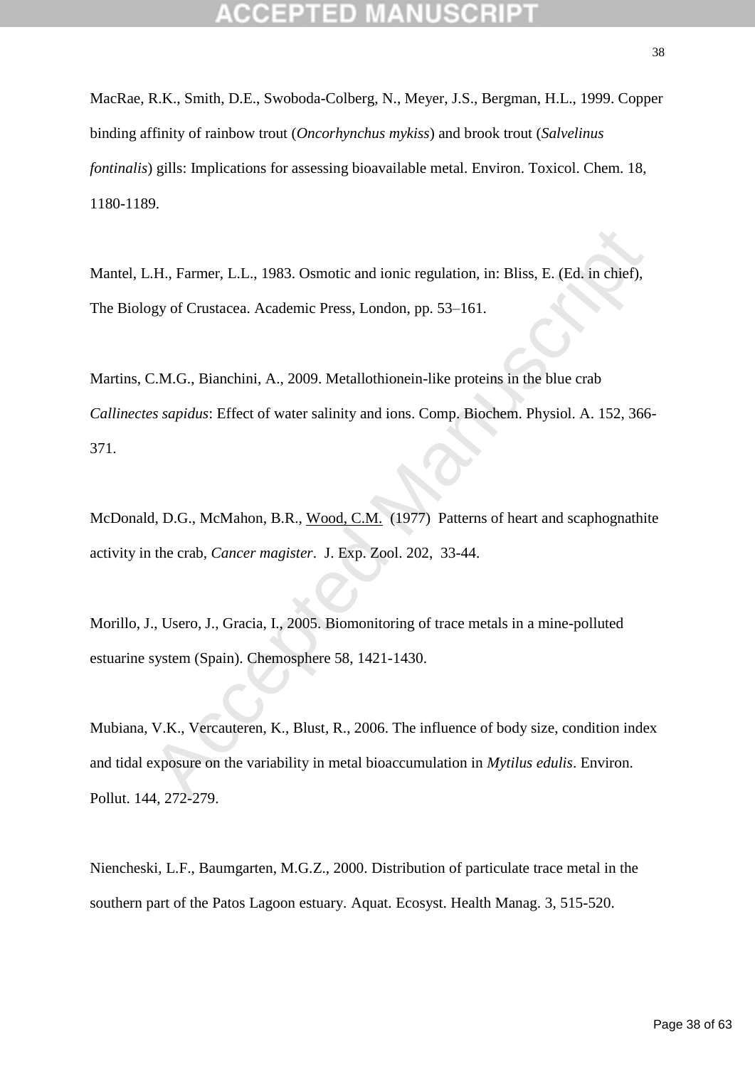MacRae, R.K., Smith, D.E., Swoboda-Colberg, N., Meyer, J.S., Bergman, H.L., 1999. Copper binding affinity of rainbow trout (*Oncorhynchus mykiss*) and brook trout (*Salvelinus fontinalis*) gills: Implications for assessing bioavailable metal. Environ. Toxicol. Chem. 18, 1180-1189.

Mantel, L.H., Farmer, L.L., 1983. Osmotic and ionic regulation, in: Bliss, E. (Ed. in chief), The Biology of Crustacea. Academic Press, London, pp. 53–161.

L.H., Farmer, L.L., 1983. Osmotic and ionic regulation, in: Bliss, E. (Ed. in chief),<br>pgy of Crustacea. Academic Press, London, pp. 53–161.<br>C.M.G., Bianchini, A., 2009. Metallothionein-like proteins in the blue crab<br>es sap Martins, C.M.G., Bianchini, A., 2009. Metallothionein-like proteins in the blue crab *Callinectes sapidus*: Effect of water salinity and ions. Comp. Biochem. Physiol. A. 152, 366- 371.

McDonald, D.G., McMahon, B.R., Wood, C.M. (1977) Patterns of heart and scaphognathite activity in the crab, *Cancer magister*. J. Exp. Zool. 202, 33-44.

Morillo, J., Usero, J., Gracia, I., 2005. Biomonitoring of trace metals in a mine-polluted estuarine system (Spain). Chemosphere 58, 1421-1430.

Mubiana, V.K., Vercauteren, K., Blust, R., 2006. The influence of body size, condition index and tidal exposure on the variability in metal bioaccumulation in *Mytilus edulis*. Environ. Pollut. 144, 272-279.

Niencheski, L.F., Baumgarten, M.G.Z., 2000. Distribution of particulate trace metal in the southern part of the Patos Lagoon estuary. Aquat. Ecosyst. Health Manag. 3, 515-520.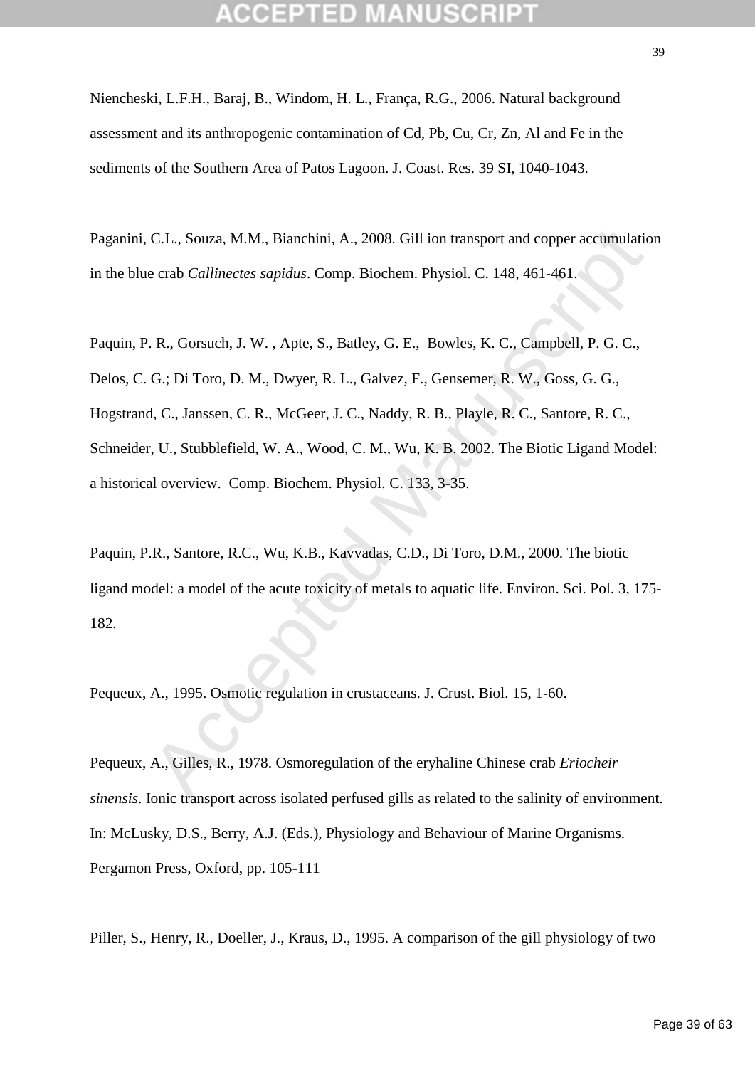Niencheski, L.F.H., Baraj, B., Windom, H. L., França, R.G., 2006. Natural background assessment and its anthropogenic contamination of Cd, Pb, Cu, Cr, Zn, Al and Fe in the sediments of the Southern Area of Patos Lagoon. J. Coast. Res. 39 SI, 1040-1043.

Paganini, C.L., Souza, M.M., Bianchini, A., 2008. Gill ion transport and copper accumulation in the blue crab *Callinectes sapidus*. Comp. Biochem. Physiol. C. 148, 461-461.

C.L., Souza, M.M., Bianchini, A., 2008. Gill ion transport and copper accumulation<br>
e crab *Callinectes sapidus*. Comp. Biochem. Physiol. C. 148, 461-461.<br>
. R., Gorsuch, J. W., Apte, S., Batley, G. E., Bowles, K. C., Camp Paquin, P. R., Gorsuch, J. W. , Apte, S., Batley, G. E., Bowles, K. C., Campbell, P. G. C., Delos, C. G.; Di Toro, D. M., Dwyer, R. L., Galvez, F., Gensemer, R. W., Goss, G. G., Hogstrand, C., Janssen, C. R., McGeer, J. C., Naddy, R. B., Playle, R. C., Santore, R. C., Schneider, U., Stubblefield, W. A., Wood, C. M., Wu, K. B. 2002. The Biotic Ligand Model: a historical overview. Comp. Biochem. Physiol. C. 133, 3-35.

Paquin, P.R., Santore, R.C., Wu, K.B., Kavvadas, C.D., Di Toro, D.M., 2000. The biotic ligand model: a model of the acute toxicity of metals to aquatic life. Environ. Sci. Pol. 3, 175- 182.

Pequeux, A., 1995. Osmotic regulation in crustaceans. J. Crust. Biol. 15, 1-60.

Pequeux, A., Gilles, R., 1978. Osmoregulation of the eryhaline Chinese crab *Eriocheir sinensis*. Ionic transport across isolated perfused gills as related to the salinity of environment. In: McLusky, D.S., Berry, A.J. (Eds.), Physiology and Behaviour of Marine Organisms. Pergamon Press, Oxford, pp. 105-111

Piller, S., Henry, R., Doeller, J., Kraus, D., 1995. A comparison of the gill physiology of two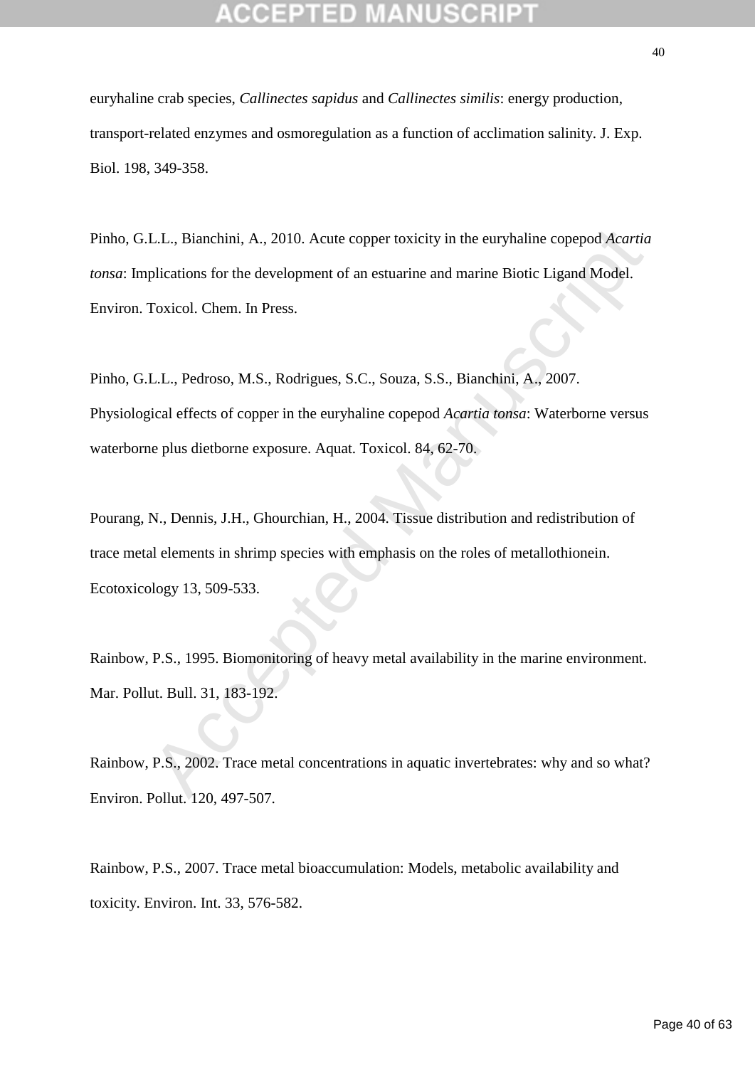euryhaline crab species, *Callinectes sapidus* and *Callinectes similis*: energy production, transport-related enzymes and osmoregulation as a function of acclimation salinity. J. Exp. Biol. 198, 349-358.

Pinho, G.L.L., Bianchini, A., 2010. Acute copper toxicity in the euryhaline copepod *Acartia tonsa*: Implications for the development of an estuarine and marine Biotic Ligand Model. Environ. Toxicol. Chem. In Press.

L.L., Bianchini, A., 2010. Acute copper toxicity in the euryhaline copepod Acartia<br>plications for the development of an estuarine and marine Biotic Ligand Model.<br>Toxicol. Chem. In Press.<br>L.L., Pedroso, M.S., Rodrigues, S.C Pinho, G.L.L., Pedroso, M.S., Rodrigues, S.C., Souza, S.S., Bianchini, A., 2007. Physiological effects of copper in the euryhaline copepod *Acartia tonsa*: Waterborne versus waterborne plus dietborne exposure. Aquat. Toxicol. 84, 62-70.

Pourang, N., Dennis, J.H., Ghourchian, H., 2004. Tissue distribution and redistribution of trace metal elements in shrimp species with emphasis on the roles of metallothionein. Ecotoxicology 13, 509-533.

Rainbow, P.S., 1995. Biomonitoring of heavy metal availability in the marine environment. Mar. Pollut. Bull. 31, 183-192.

Rainbow, P.S., 2002. Trace metal concentrations in aquatic invertebrates: why and so what? Environ. Pollut. 120, 497-507.

Rainbow, P.S., 2007. Trace metal bioaccumulation: Models, metabolic availability and toxicity. Environ. Int. 33, 576-582.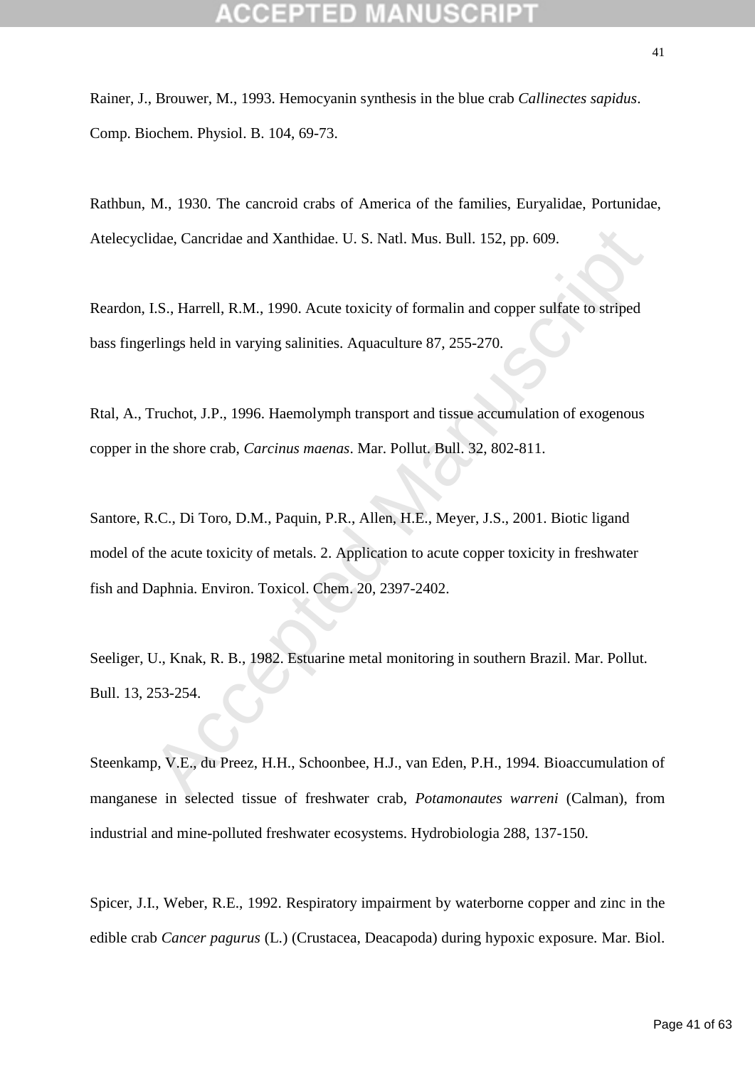Rainer, J., Brouwer, M., 1993. Hemocyanin synthesis in the blue crab *Callinectes sapidus*. Comp. Biochem. Physiol. B. 104, 69-73.

Rathbun, M., 1930. The cancroid crabs of America of the families, Euryalidae, Portunidae, Atelecyclidae, Cancridae and Xanthidae. U. S. Natl. Mus. Bull. 152, pp. 609.

Reardon, I.S., Harrell, R.M., 1990. Acute toxicity of formalin and copper sulfate to striped bass fingerlings held in varying salinities. Aquaculture 87, 255-270.

Rtal, A., Truchot, J.P., 1996. Haemolymph transport and tissue accumulation of exogenous copper in the shore crab, *Carcinus maenas*. Mar. Pollut. Bull. 32, 802-811.

idae, Cancridae and Xanthidae. U. S. Natl. Mus. Bull. 152, pp. 609.<br>
1.S., Harrell, R.M., 1990. Acute toxicity of formalin and copper sulfate to striped<br>
relings held in varying salinities. Aquaculture 87, 255-270.<br>
Frucho Santore, R.C., Di Toro, D.M., Paquin, P.R., Allen, H.E., Meyer, J.S., 2001. Biotic ligand model of the acute toxicity of metals. 2. Application to acute copper toxicity in freshwater fish and Daphnia. Environ. Toxicol. Chem. 20, 2397-2402.

Seeliger, U., Knak, R. B., 1982. Estuarine metal monitoring in southern Brazil. Mar. Pollut. Bull. 13, 253-254.

Steenkamp, V.E., du Preez, H.H., Schoonbee, H.J., van Eden, P.H., 1994. Bioaccumulation of manganese in selected tissue of freshwater crab, *Potamonautes warreni* (Calman), from industrial and mine-polluted freshwater ecosystems. Hydrobiologia 288, 137-150.

Spicer, J.I., Weber, R.E., 1992. Respiratory impairment by waterborne copper and zinc in the edible crab *Cancer pagurus* (L.) (Crustacea, Deacapoda) during hypoxic exposure. Mar. Biol.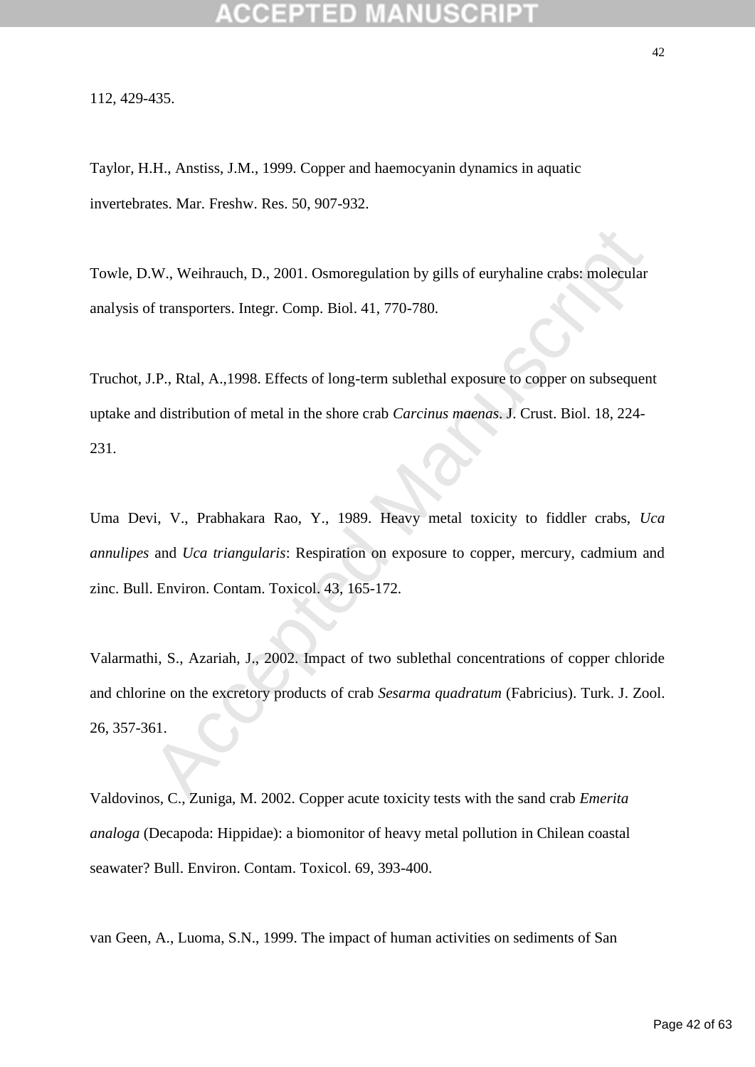112, 429-435.

Taylor, H.H., Anstiss, J.M., 1999. Copper and haemocyanin dynamics in aquatic invertebrates. Mar. Freshw. Res. 50, 907-932.

Towle, D.W., Weihrauch, D., 2001. Osmoregulation by gills of euryhaline crabs: molecular analysis of transporters. Integr. Comp. Biol. 41, 770-780.

Truchot, J.P., Rtal, A.,1998. Effects of long-term sublethal exposure to copper on subsequent uptake and distribution of metal in the shore crab *Carcinus maenas*. J. Crust. Biol. 18, 224- 231.

Uma Devi, V., Prabhakara Rao, Y., 1989. Heavy metal toxicity to fiddler crabs, *Uca annulipes* and *Uca triangularis*: Respiration on exposure to copper, mercury, cadmium and zinc. Bull. Environ. Contam. Toxicol. 43, 165-172.

**AV., Weihrauch, D., 2001. Osmoregulation by gills of euryhaline crabs: molecular of transporters. Integr. Comp. Biol. 41, 770-780.**<br> **I.P., Rtal, A.,1998.** Effects of long-term sublethal exposure to copper on subsequent d Valarmathi, S., Azariah, J., 2002. Impact of two sublethal concentrations of copper chloride and chlorine on the excretory products of crab *Sesarma quadratum* (Fabricius). Turk. J. Zool. 26, 357-361.

Valdovinos, C., Zuniga, M. 2002. Copper acute toxicity tests with the sand crab *Emerita analoga* (Decapoda: Hippidae): a biomonitor of heavy metal pollution in Chilean coastal seawater? Bull. Environ. Contam. Toxicol. 69, 393-400.

van Geen, A., Luoma, S.N., 1999. The impact of human activities on sediments of San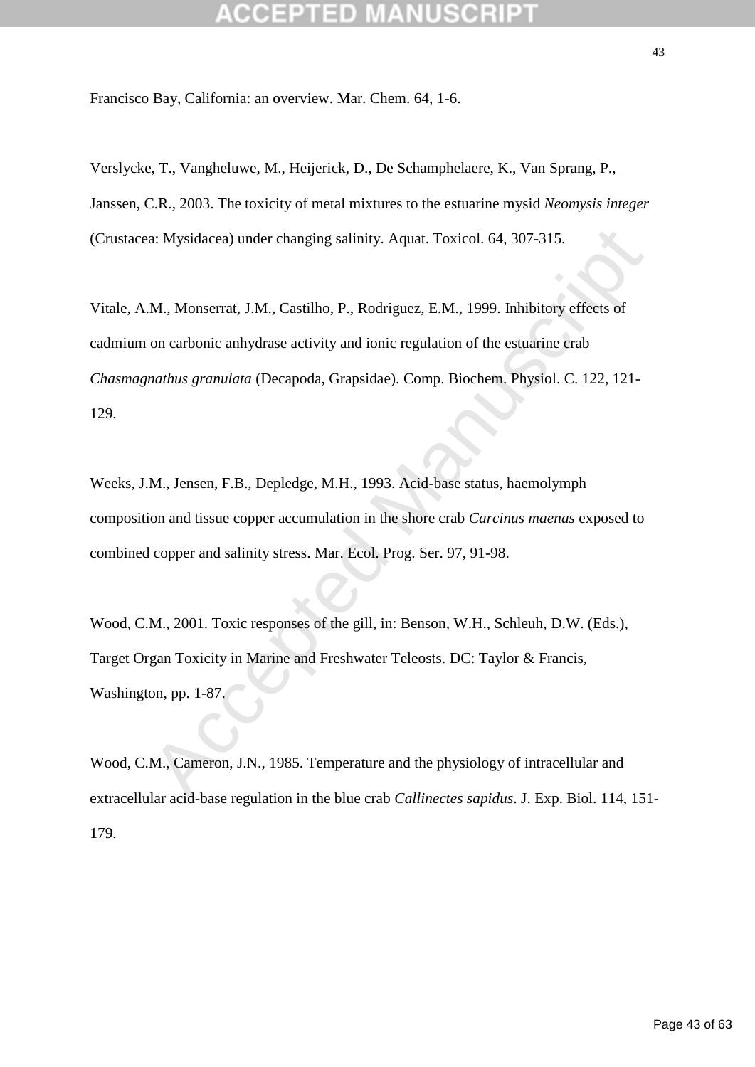Francisco Bay, California: an overview. Mar. Chem. 64, 1-6.

Verslycke, T., Vangheluwe, M., Heijerick, D., De Schamphelaere, K., Van Sprang, P., Janssen, C.R., 2003. The toxicity of metal mixtures to the estuarine mysid *Neomysis integer* (Crustacea: Mysidacea) under changing salinity. Aquat. Toxicol. 64, 307-315.

a: Mysidacea) under changing salinity. Aquat. Toxicol. 64, 307-315.<br>
M., Monserrat, J.M., Castilho, P., Rodriguez, E.M., 1999. Inhibitory effects of<br>
on carbonic anhydrase activity and ionic regulation of the estuarine cra Vitale, A.M., Monserrat, J.M., Castilho, P., Rodriguez, E.M., 1999. Inhibitory effects of cadmium on carbonic anhydrase activity and ionic regulation of the estuarine crab *Chasmagnathus granulata* (Decapoda, Grapsidae). Comp. Biochem. Physiol. C. 122, 121- 129.

Weeks, J.M., Jensen, F.B., Depledge, M.H., 1993. Acid-base status, haemolymph composition and tissue copper accumulation in the shore crab *Carcinus maenas* exposed to combined copper and salinity stress. Mar. Ecol. Prog. Ser. 97, 91-98.

Wood, C.M., 2001. Toxic responses of the gill, in: Benson, W.H., Schleuh, D.W. (Eds.), Target Organ Toxicity in Marine and Freshwater Teleosts. DC: Taylor & Francis, Washington, pp. 1-87.

Wood, C.M., Cameron, J.N., 1985. Temperature and the physiology of intracellular and extracellular acid-base regulation in the blue crab *Callinectes sapidus*. J. Exp. Biol. 114, 151- 179.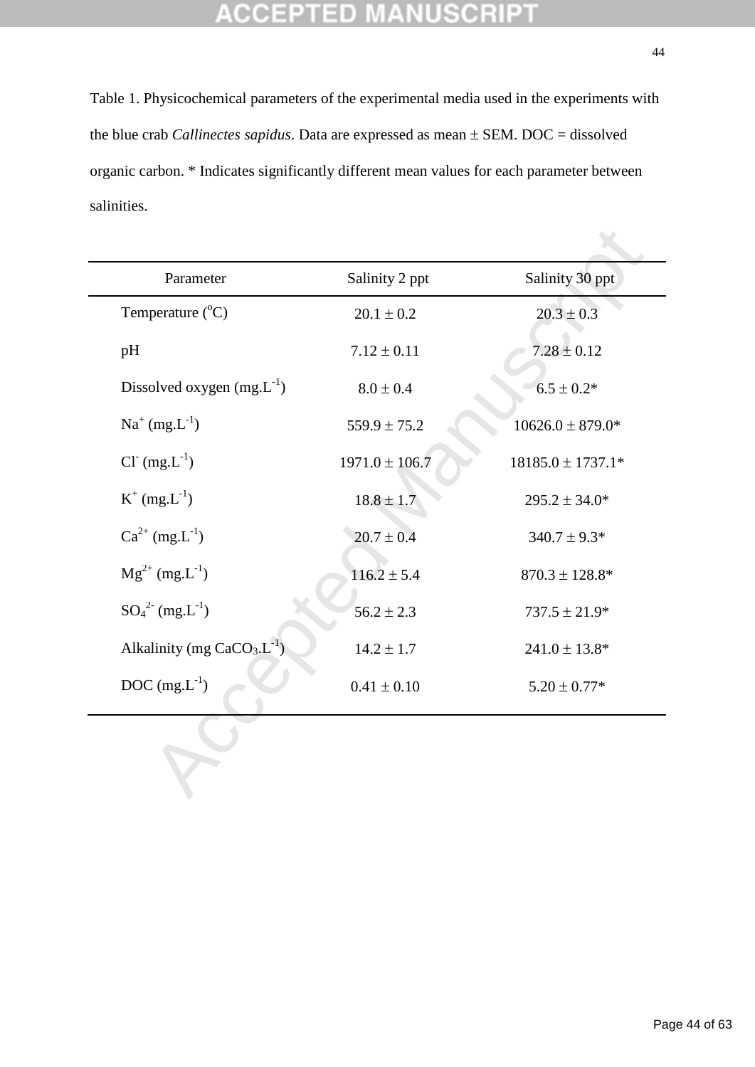### **CCEPTED MANUSCRIPT**  $\pm$

Table 1. Physicochemical parameters of the experimental media used in the experiments with the blue crab *Callinectes sapidus*. Data are expressed as mean  $\pm$  SEM. DOC = dissolved organic carbon. \* Indicates significantly different mean values for each parameter between salinities.

| Parameter                      | Salinity 2 ppt     | Salinity 30 ppt       |
|--------------------------------|--------------------|-----------------------|
| Temperature $(^{\circ}C)$      | $20.1 \pm 0.2$     | $20.3 \pm 0.3$        |
| pH                             | $7.12 \pm 0.11$    | $7.28 \pm 0.12$       |
| Dissolved oxygen $(mg.L^{-1})$ | $8.0 \pm 0.4$      | $6.5 \pm 0.2*$        |
| $Na^{+} (mg.L^{-1})$           | $559.9 \pm 75.2$   | $10626.0 \pm 879.0*$  |
| $Cl^-(mg.L^{-1})$              | $1971.0 \pm 106.7$ | $18185.0 \pm 1737.1*$ |
| $K^{+}$ (mg. $L^{-1}$ )        | $18.8 \pm 1.7$     | $295.2 \pm 34.0*$     |
| $Ca^{2+} (mg.L^{-1})$          | $20.7 \pm 0.4$     | $340.7 \pm 9.3*$      |
| $Mg^{2+} (mg.L^{-1})$          | $116.2 \pm 5.4$    | $870.3 \pm 128.8^*$   |
| $SO_4^{2-} (mg.L^{-1})$        | $56.2 \pm 2.3$     | $737.5 \pm 21.9*$     |
| Alkalinity (mg $CaCO3.L-1$ )   | $14.2 \pm 1.7$     | $241.0 \pm 13.8*$     |
| DOC $(mg.L^{-1})$              | $0.41 \pm 0.10$    | $5.20 \pm 0.77*$      |
|                                |                    |                       |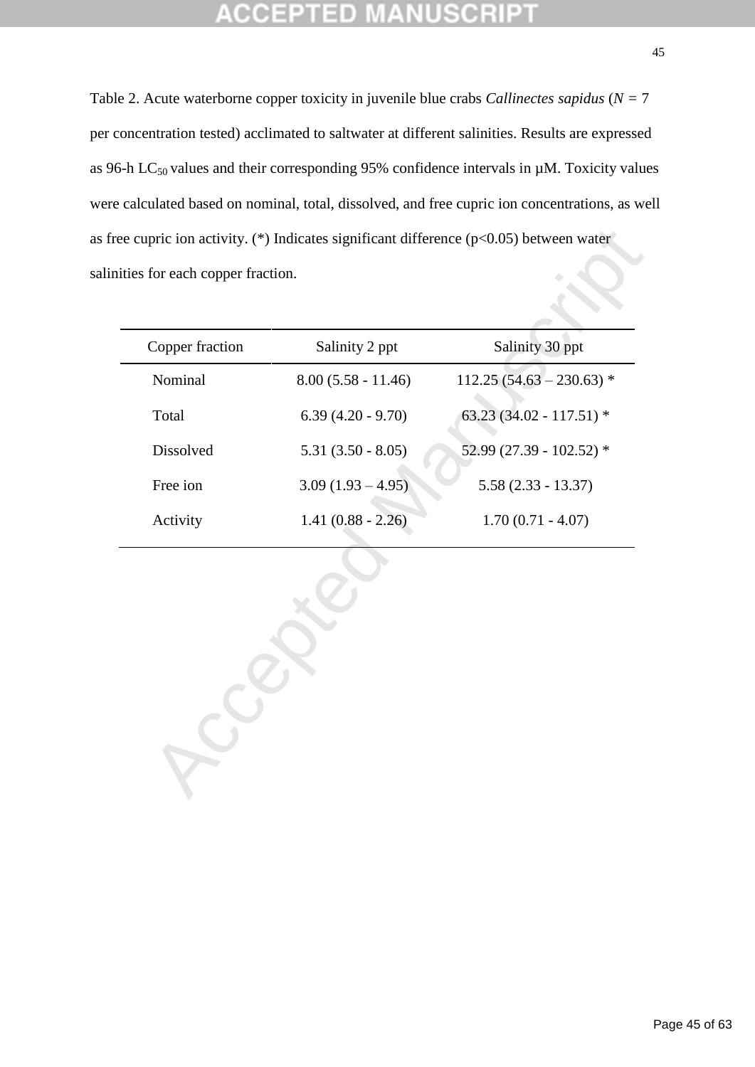# TET

Table 2. Acute waterborne copper toxicity in juvenile blue crabs *Callinectes sapidus* (*N =* 7 per concentration tested) acclimated to saltwater at different salinities. Results are expressed as 96-h LC $_{50}$  values and their corresponding 95% confidence intervals in  $\mu$ M. Toxicity values were calculated based on nominal, total, dissolved, and free cupric ion concentrations, as well as free cupric ion activity. (\*) Indicates significant difference ( $p<0.05$ ) between water salinities for each copper fraction.

| Copper fraction | Salinity 2 ppt       | Salinity 30 ppt            |
|-----------------|----------------------|----------------------------|
| Nominal         | $8.00(5.58 - 11.46)$ | $112.25(54.63 - 230.63)$ * |
| Total           | $6.39(4.20 - 9.70)$  | 63.23 (34.02 - 117.51) *   |
| Dissolved       | $5.31(3.50 - 8.05)$  | 52.99 (27.39 - 102.52) *   |
| Free ion        | $3.09(1.93 - 4.95)$  | $5.58(2.33 - 13.37)$       |
| Activity        | $1.41(0.88 - 2.26)$  | $1.70(0.71 - 4.07)$        |
|                 |                      |                            |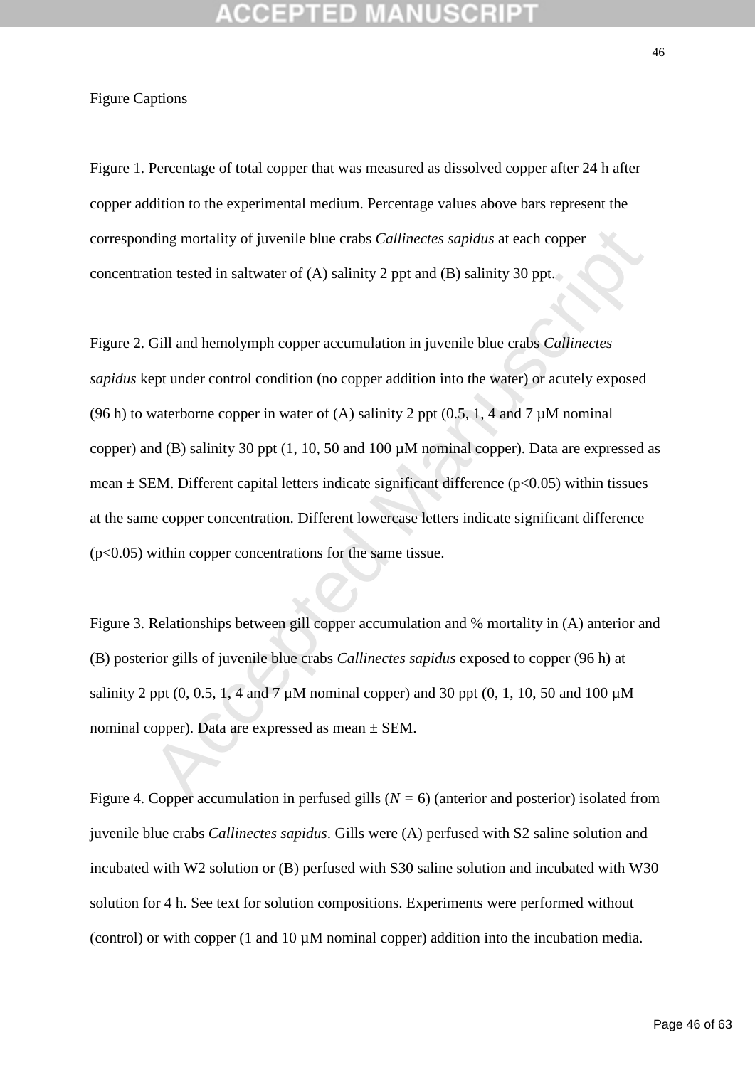Figure Captions

Figure 1. Percentage of total copper that was measured as dissolved copper after 24 h after copper addition to the experimental medium. Percentage values above bars represent the corresponding mortality of juvenile blue crabs *Callinectes sapidus* at each copper concentration tested in saltwater of (A) salinity 2 ppt and (B) salinity 30 ppt.

ding mortality of juvenile blue crabs *Callinectes sapidus* at each copper<br>
tion tested in saltwater of (A) salinity 2 ppt and (B) salinity 30 ppt.<br>
Gill and hemolymph copper accumulation in juvenile blue crabs *Callinect* Figure 2. Gill and hemolymph copper accumulation in juvenile blue crabs *Callinectes sapidus* kept under control condition (no copper addition into the water) or acutely exposed (96 h) to waterborne copper in water of (A) salinity 2 ppt  $(0.5, 1, 4$  and 7  $\mu$ M nominal copper) and (B) salinity 30 ppt (1, 10, 50 and 100 µM nominal copper). Data are expressed as mean  $\pm$  SEM. Different capital letters indicate significant difference ( $p$ <0.05) within tissues at the same copper concentration. Different lowercase letters indicate significant difference  $(p<0.05)$  within copper concentrations for the same tissue.

Figure 3. Relationships between gill copper accumulation and % mortality in (A) anterior and (B) posterior gills of juvenile blue crabs *Callinectes sapidus* exposed to copper (96 h) at salinity 2 ppt  $(0, 0.5, 1, 4$  and 7  $\mu$ M nominal copper) and 30 ppt  $(0, 1, 10, 50$  and 100  $\mu$ M nominal copper). Data are expressed as mean ± SEM.

Figure 4. Copper accumulation in perfused gills (*N =* 6) (anterior and posterior) isolated from juvenile blue crabs *Callinectes sapidus*. Gills were (A) perfused with S2 saline solution and incubated with W2 solution or (B) perfused with S30 saline solution and incubated with W30 solution for 4 h. See text for solution compositions. Experiments were performed without (control) or with copper  $(1 \text{ and } 10 \mu M \text{ nominal copper})$  addition into the incubation media.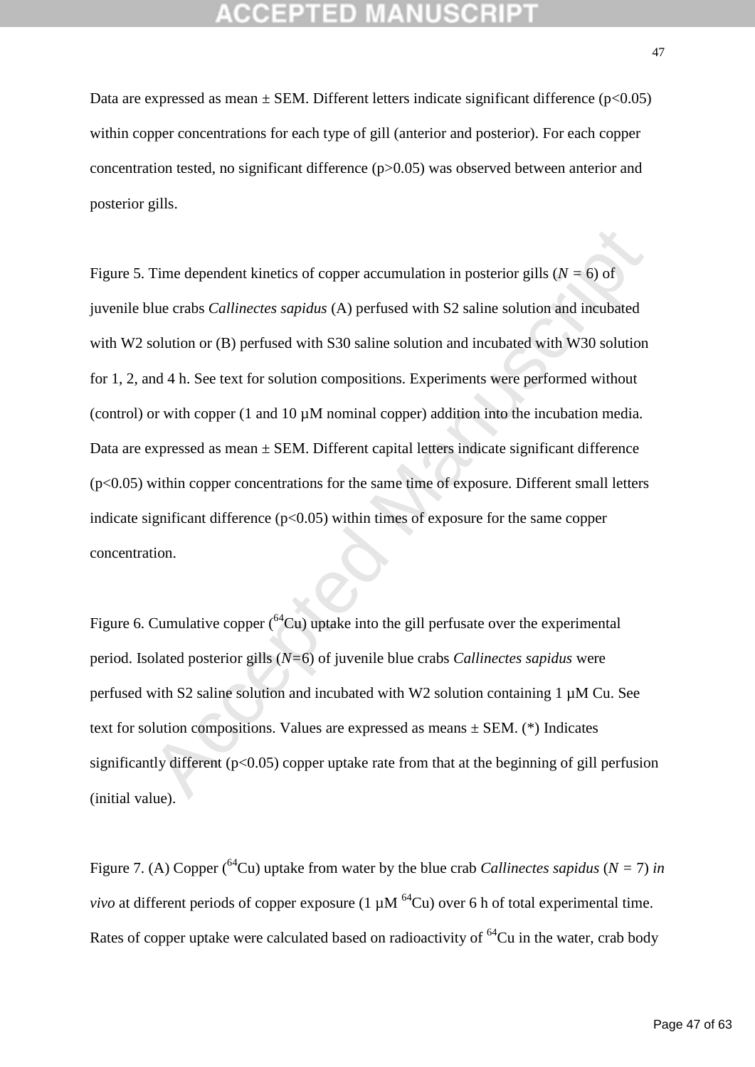Data are expressed as mean  $\pm$  SEM. Different letters indicate significant difference ( $p$ <0.05) within copper concentrations for each type of gill (anterior and posterior). For each copper concentration tested, no significant difference (p>0.05) was observed between anterior and posterior gills.

Time dependent kinetics of copper accumulation in posterior gills  $(N = 6)$  of<br>slue crabs *Callinectes sapidus* ( $\Lambda$ ) perfused with S2 saline solution and incubated<br>solution or (B) perfused with S30 saline solution and inc Figure 5. Time dependent kinetics of copper accumulation in posterior gills (*N =* 6) of juvenile blue crabs *Callinectes sapidus* (A) perfused with S2 saline solution and incubated with W<sub>2</sub> solution or (B) perfused with S<sub>30</sub> saline solution and incubated with W<sub>30</sub> solution for 1, 2, and 4 h. See text for solution compositions. Experiments were performed without (control) or with copper  $(1 \text{ and } 10 \mu M \text{ nominal copper})$  addition into the incubation media. Data are expressed as mean  $\pm$  SEM. Different capital letters indicate significant difference (p<0.05) within copper concentrations for the same time of exposure. Different small letters indicate significant difference  $(p<0.05)$  within times of exposure for the same copper concentration.

Figure 6. Cumulative copper  $\binom{64}{x}$  uptake into the gill perfusate over the experimental period. Isolated posterior gills (*N=*6) of juvenile blue crabs *Callinectes sapidus* were perfused with S2 saline solution and incubated with W2 solution containing 1 µM Cu. See text for solution compositions. Values are expressed as means  $\pm$  SEM. (\*) Indicates significantly different ( $p<0.05$ ) copper uptake rate from that at the beginning of gill perfusion (initial value).

Figure 7. (A) Copper (<sup>64</sup>Cu) uptake from water by the blue crab *Callinectes sapidus* ( $N = 7$ ) *in vivo* at different periods of copper exposure (1  $\mu$ M <sup>64</sup>Cu) over 6 h of total experimental time. Rates of copper uptake were calculated based on radioactivity of  ${}^{64}Cu$  in the water, crab body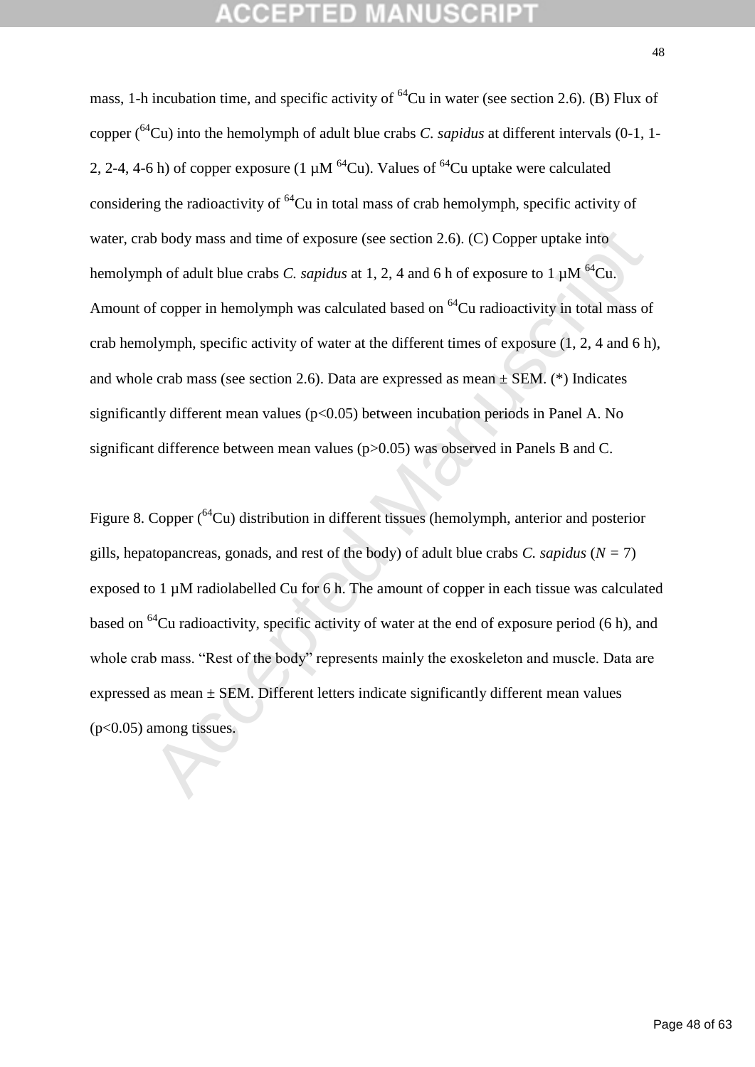th body mass and time of exposure (see section 2.6). (C) Copper uptake into<br>ph of adult blue crabs *C. sapidus* at 1, 2, 4 and 6 h of exposure to 1 µM<sup>64</sup>Cu.<br>of copper in hemolymph was calculated based on <sup>64</sup>Cu radioacti mass, 1-h incubation time, and specific activity of  $^{64}$ Cu in water (see section 2.6). (B) Flux of copper (<sup>64</sup>Cu) into the hemolymph of adult blue crabs *C. sapidus* at different intervals (0-1, 1- 2, 2-4, 4-6 h) of copper exposure (1  $\mu$ M <sup>64</sup>Cu). Values of <sup>64</sup>Cu uptake were calculated considering the radioactivity of  ${}^{64}$ Cu in total mass of crab hemolymph, specific activity of water, crab body mass and time of exposure (see section 2.6). (C) Copper uptake into hemolymph of adult blue crabs *C. sapidus* at 1, 2, 4 and 6 h of exposure to 1  $\mu$ M <sup>64</sup>Cu. Amount of copper in hemolymph was calculated based on  ${}^{64}$ Cu radioactivity in total mass of crab hemolymph, specific activity of water at the different times of exposure (1, 2, 4 and 6 h), and whole crab mass (see section 2.6). Data are expressed as mean  $\pm$  SEM. (\*) Indicates significantly different mean values  $(p<0.05)$  between incubation periods in Panel A. No significant difference between mean values (p>0.05) was observed in Panels B and C.

Figure 8. Copper (<sup>64</sup>Cu) distribution in different tissues (hemolymph, anterior and posterior gills, hepatopancreas, gonads, and rest of the body) of adult blue crabs *C. sapidus* (*N =* 7) exposed to 1 µM radiolabelled Cu for 6 h. The amount of copper in each tissue was calculated based on <sup>64</sup>Cu radioactivity, specific activity of water at the end of exposure period (6 h), and whole crab mass. "Rest of the body" represents mainly the exoskeleton and muscle. Data are expressed as mean  $\pm$  SEM. Different letters indicate significantly different mean values  $(p<0.05)$  among tissues.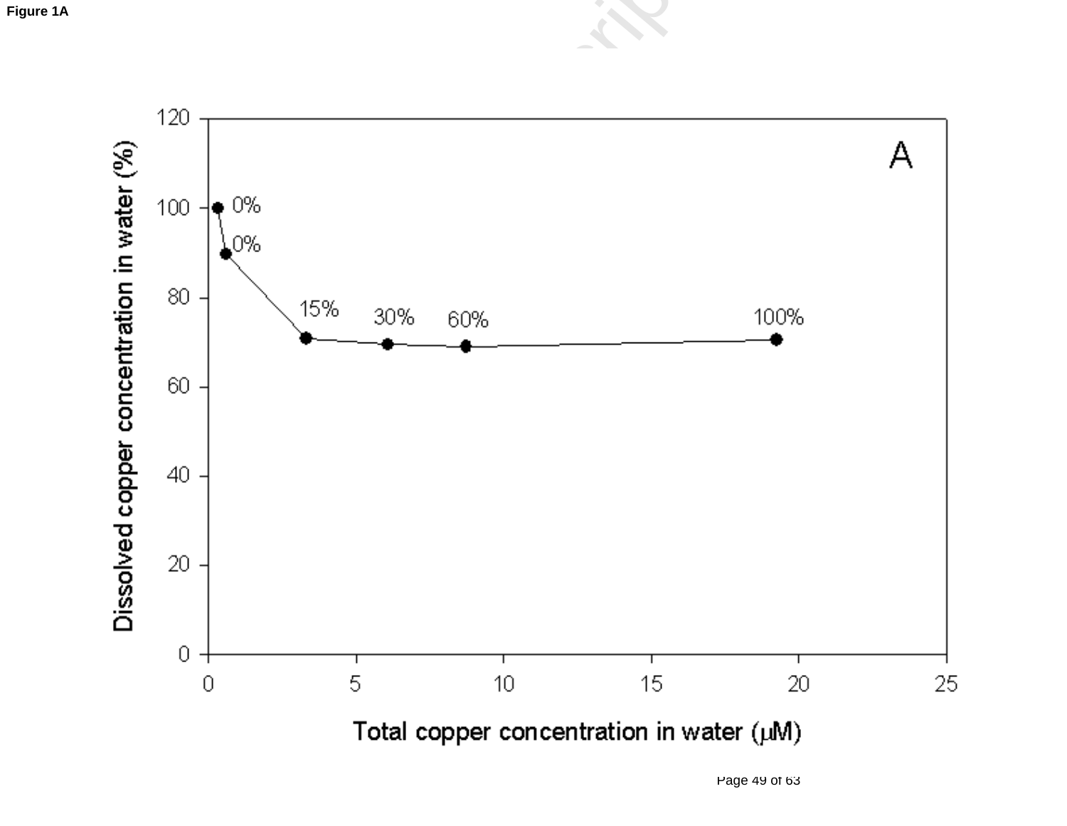

Page 49 of 63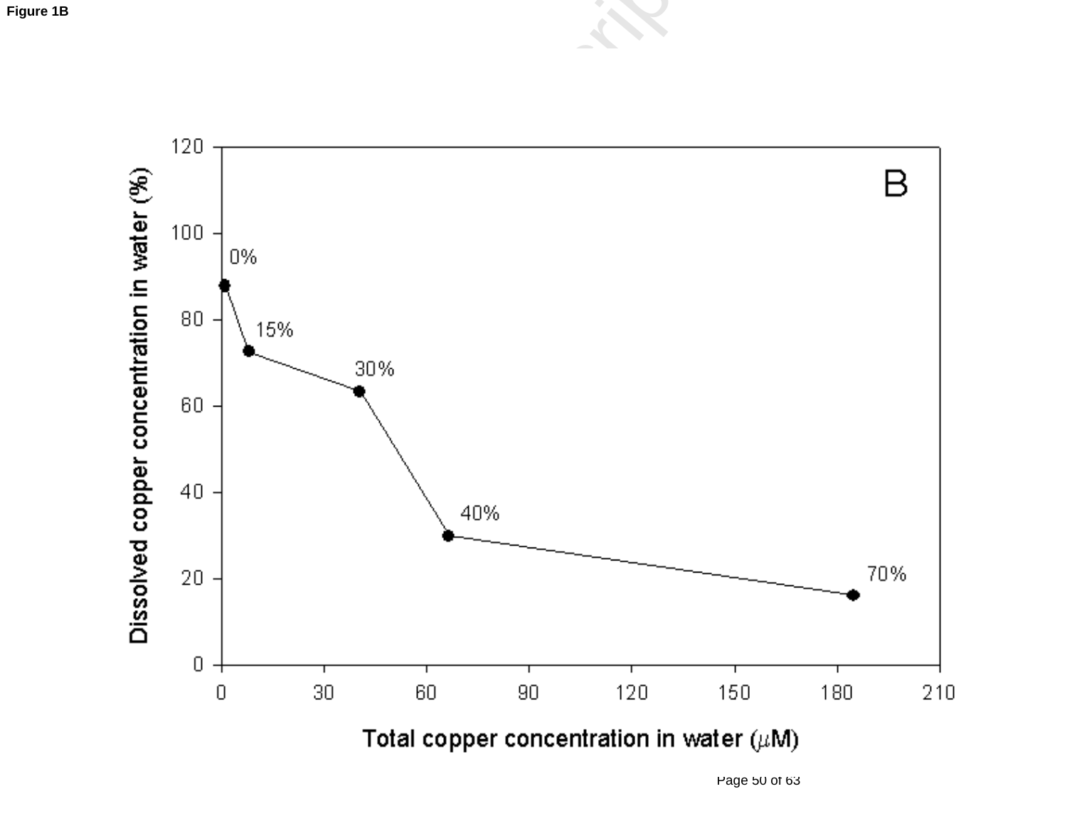

Page 50 of 63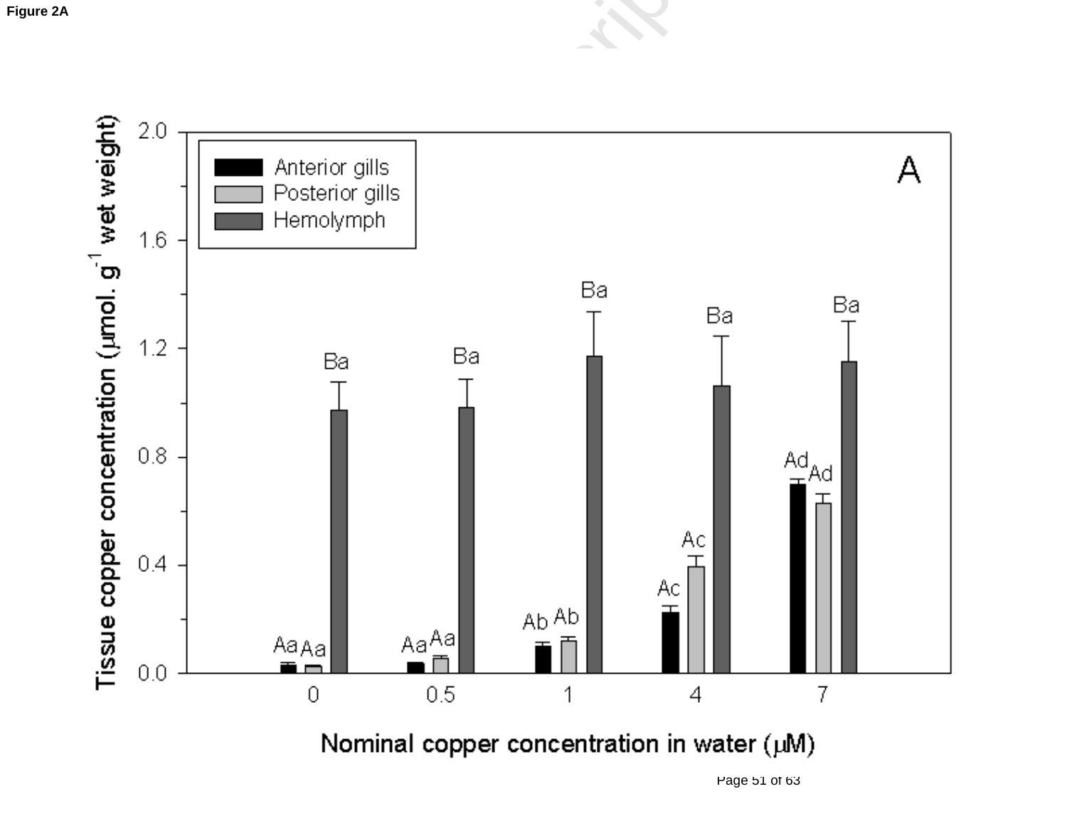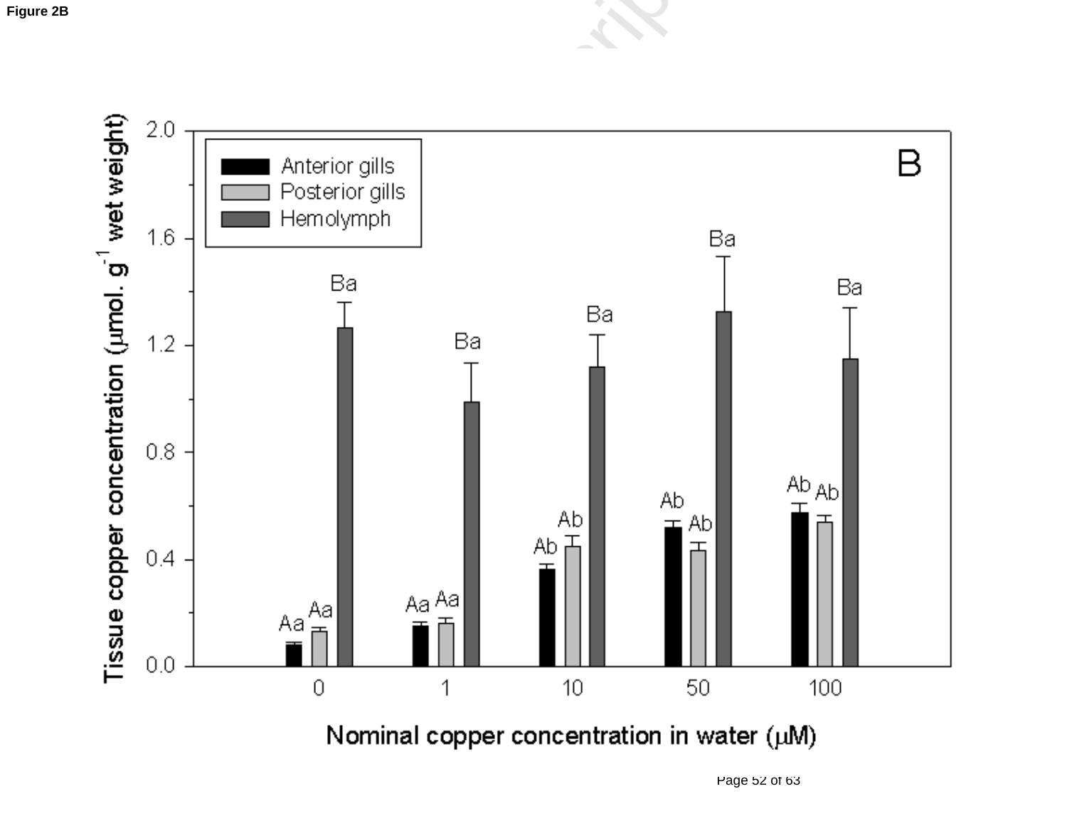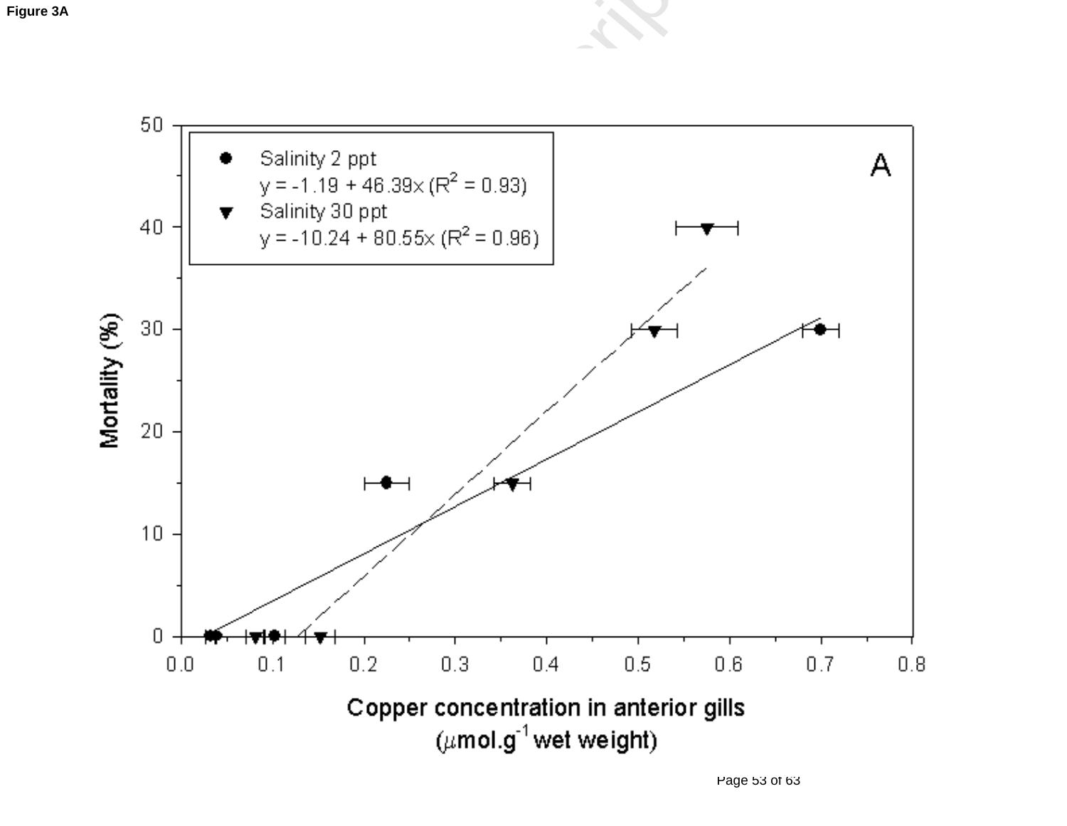

Page 53 of 63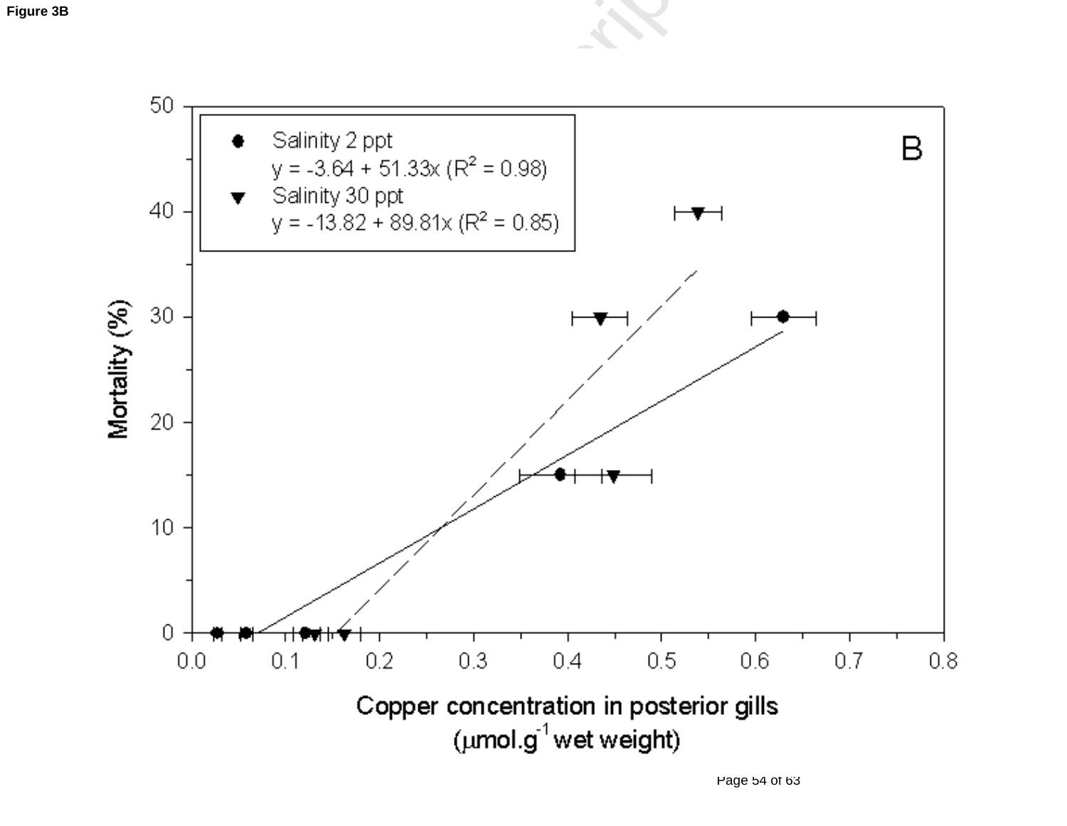

Page 54 of 63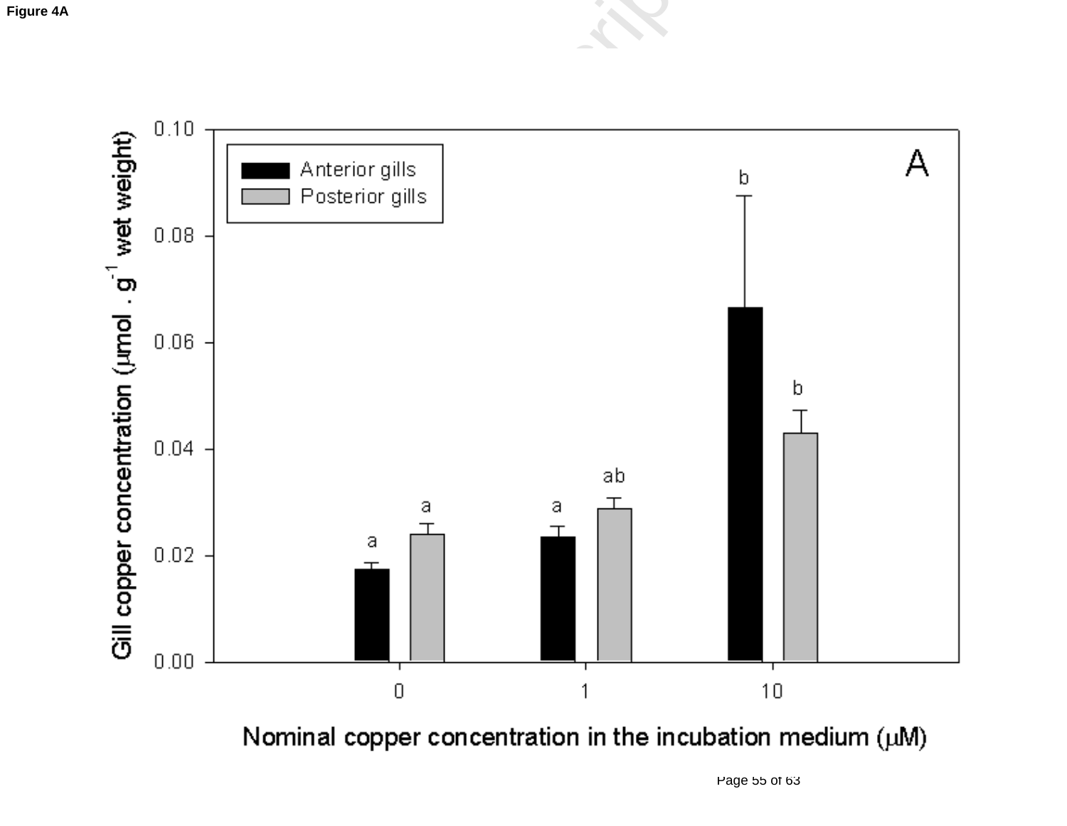

Nominal copper concentration in the incubation medium (uM)

Page 55 of 63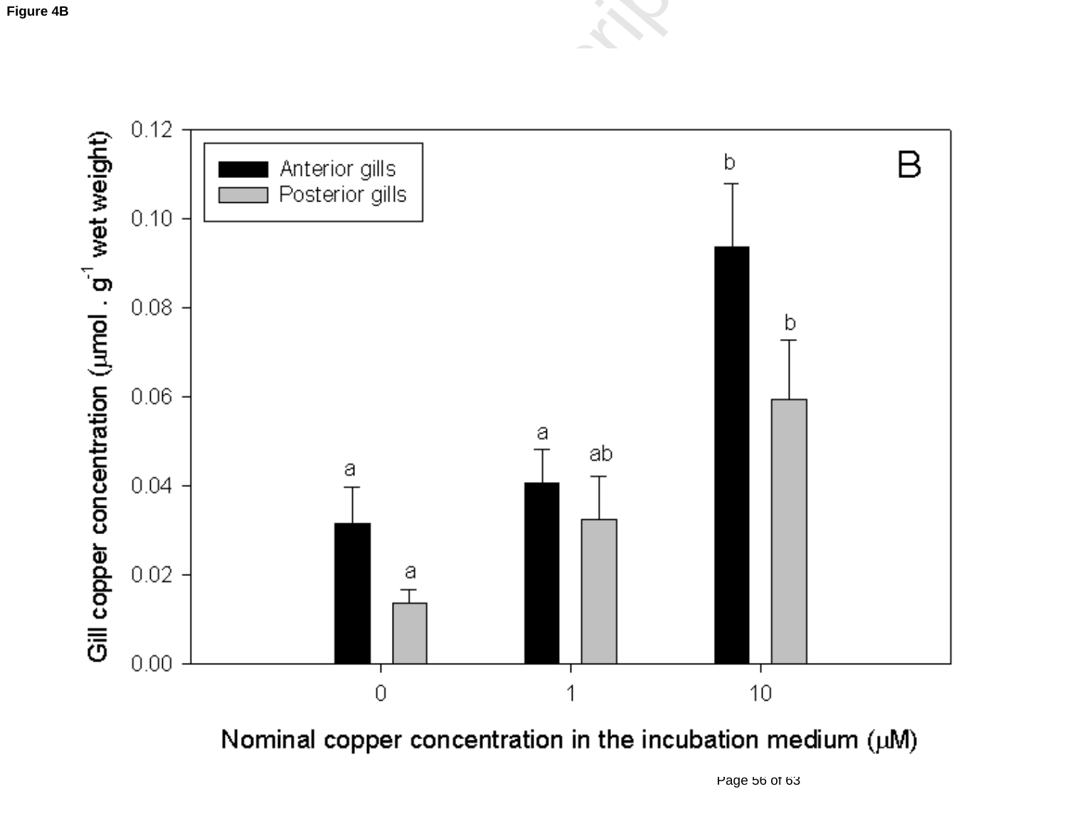

Nominal copper concentration in the incubation medium (uM)

Page 56 of 63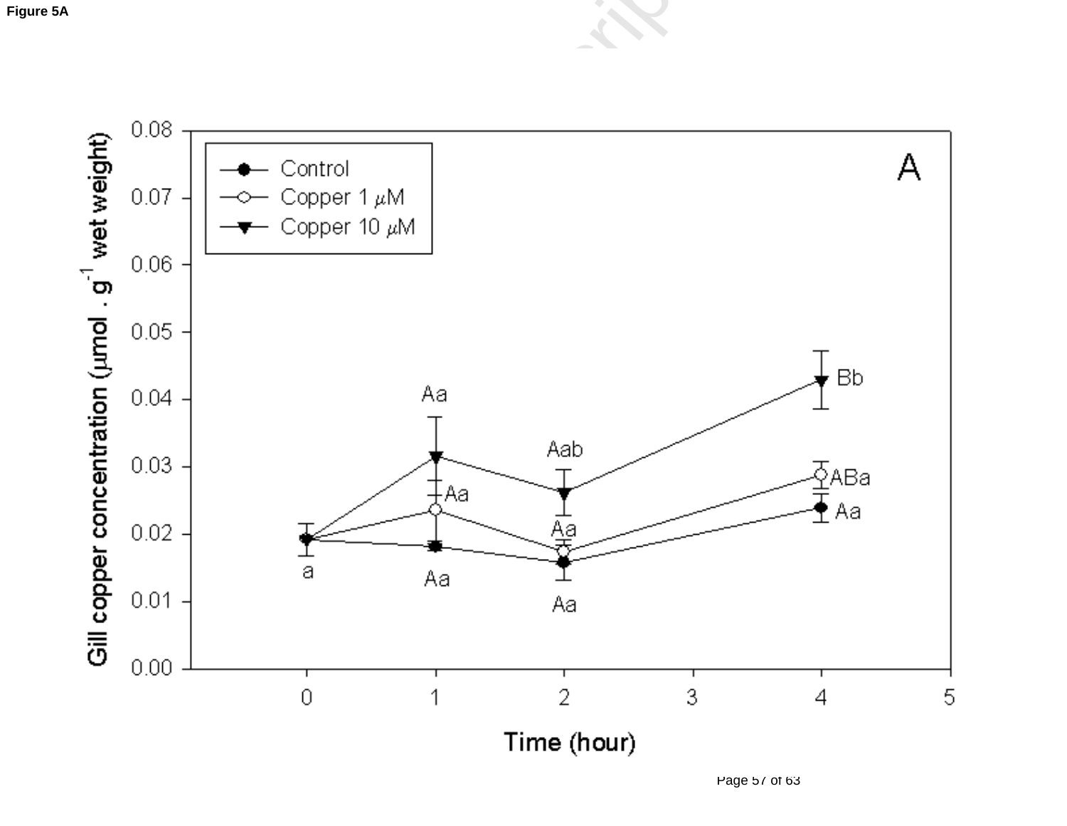

Page 57 of 63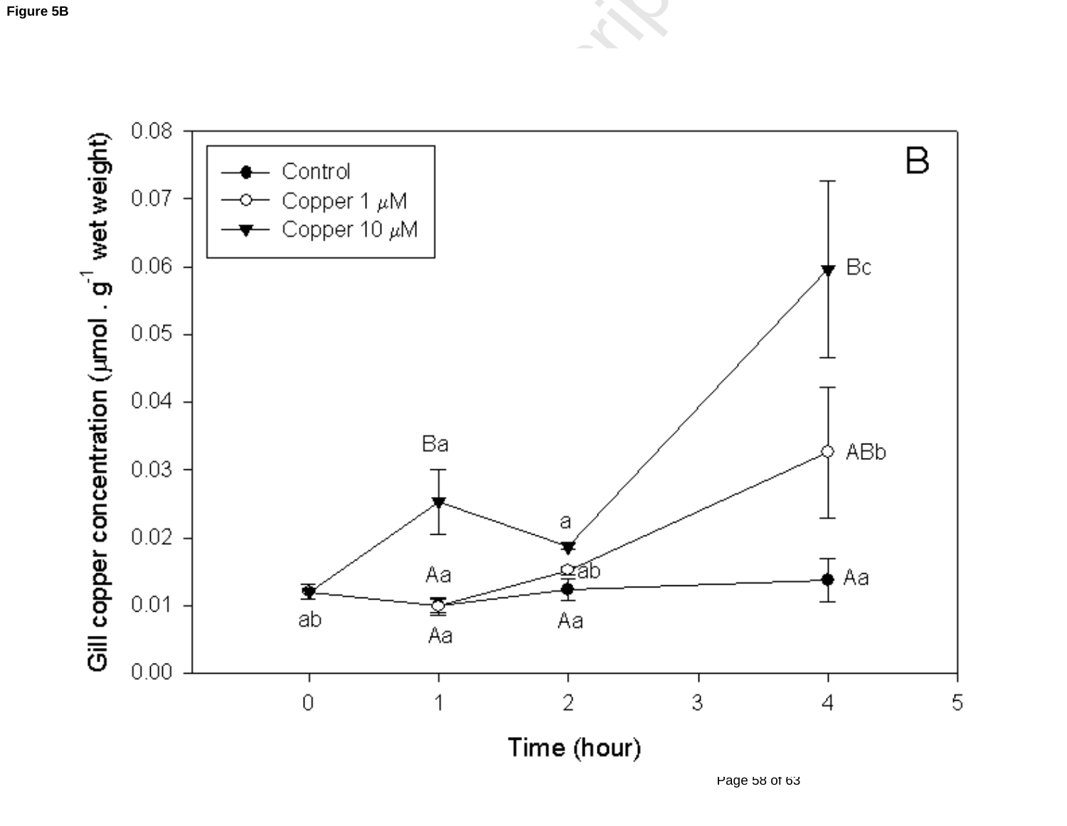

Page 58 of 63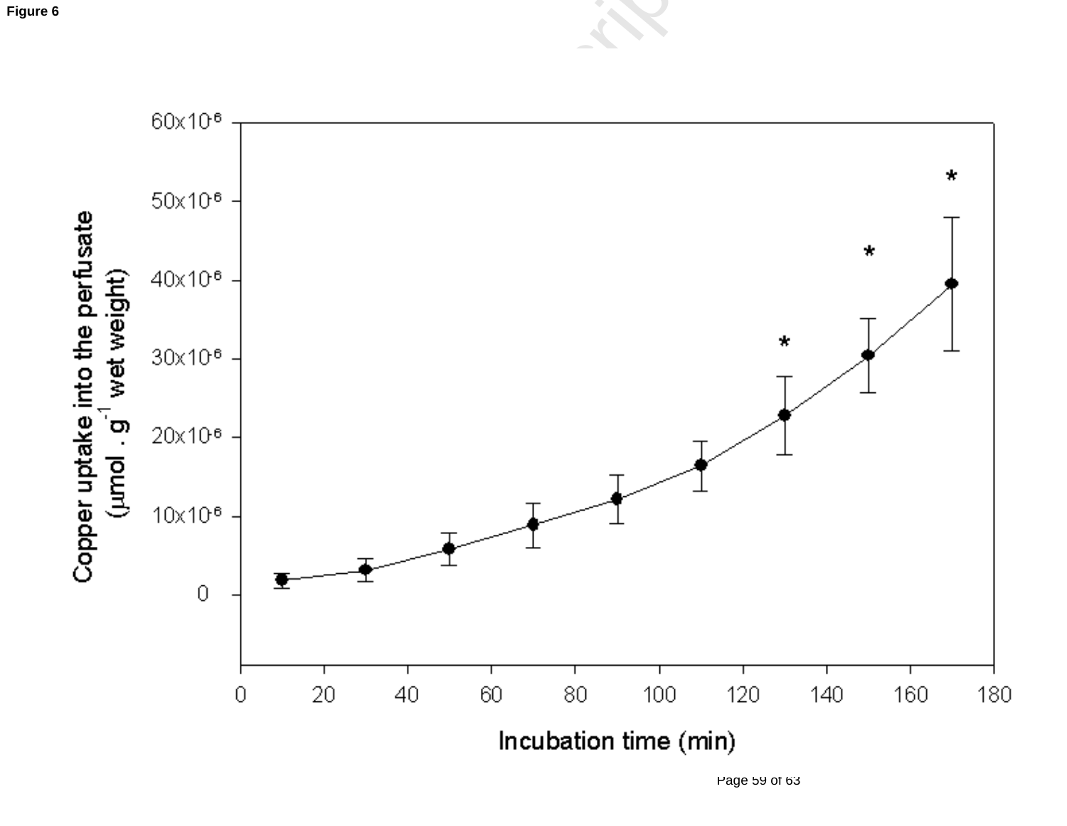

Page 59 of 63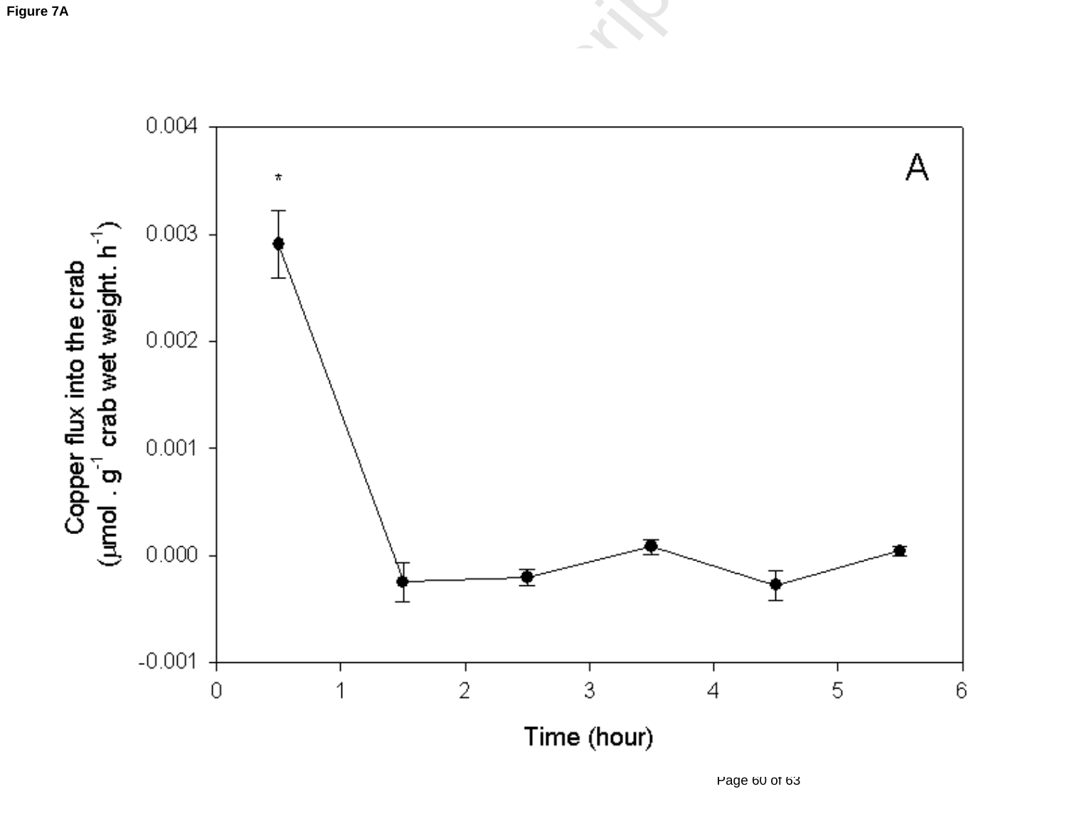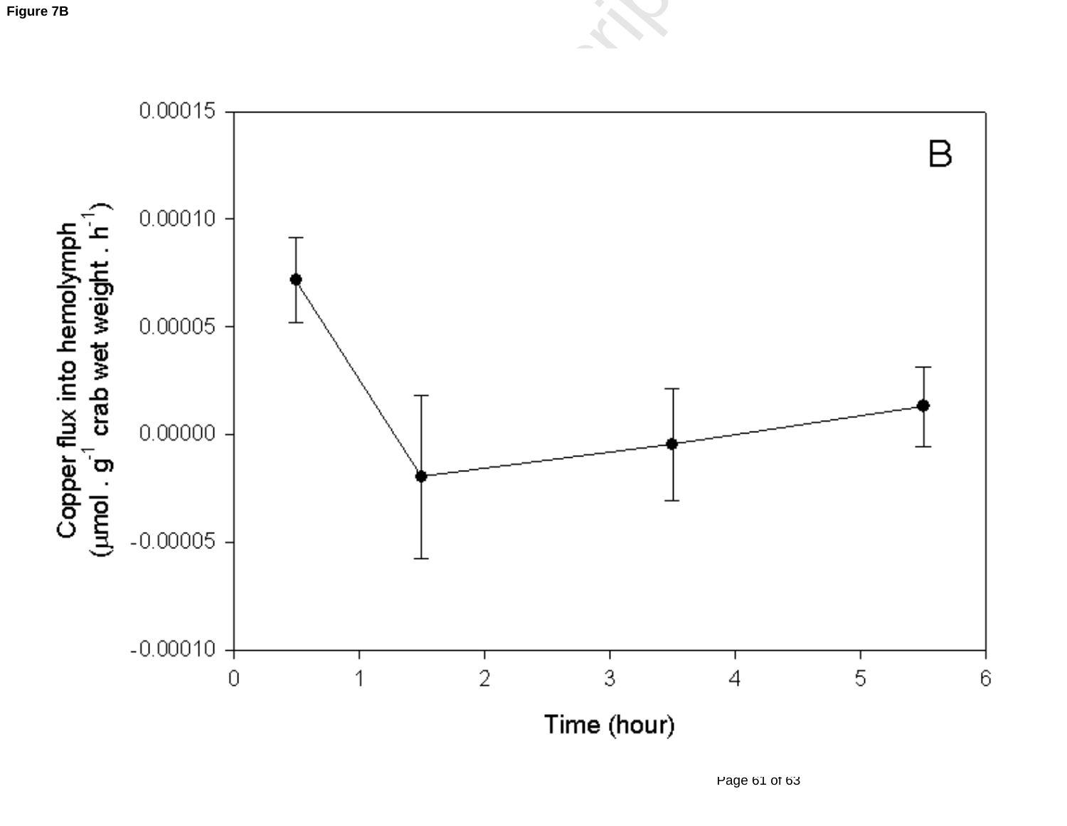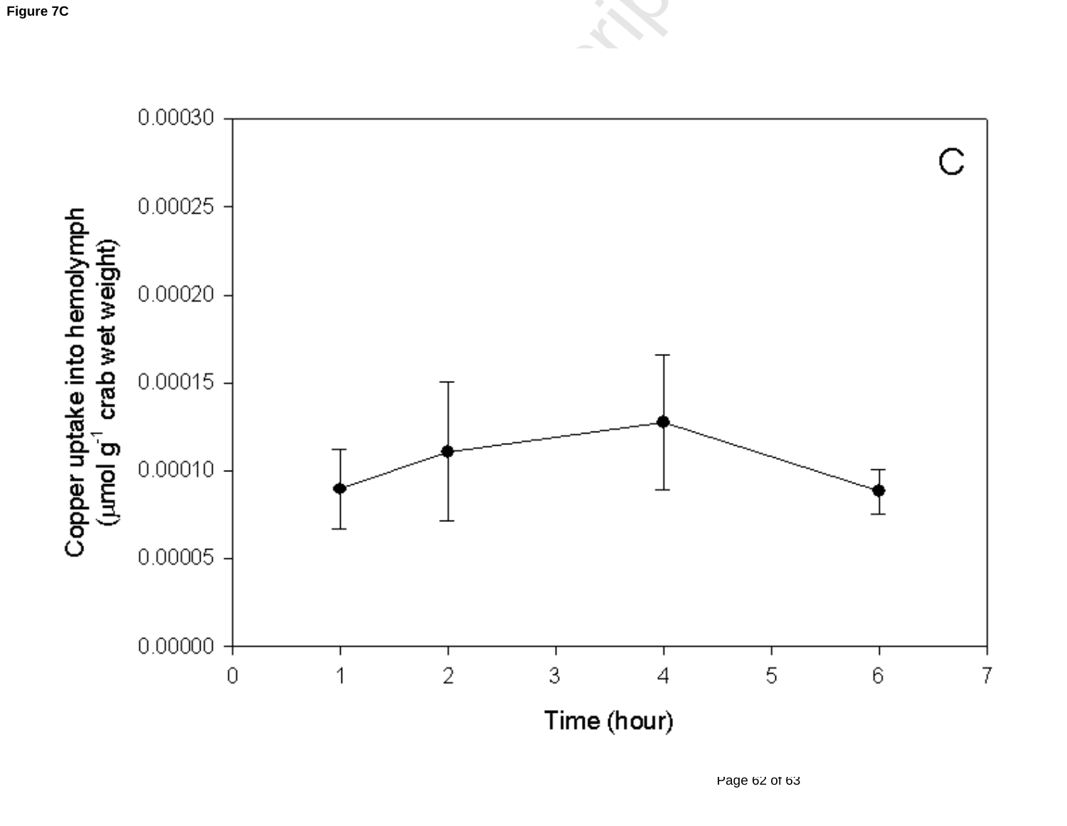